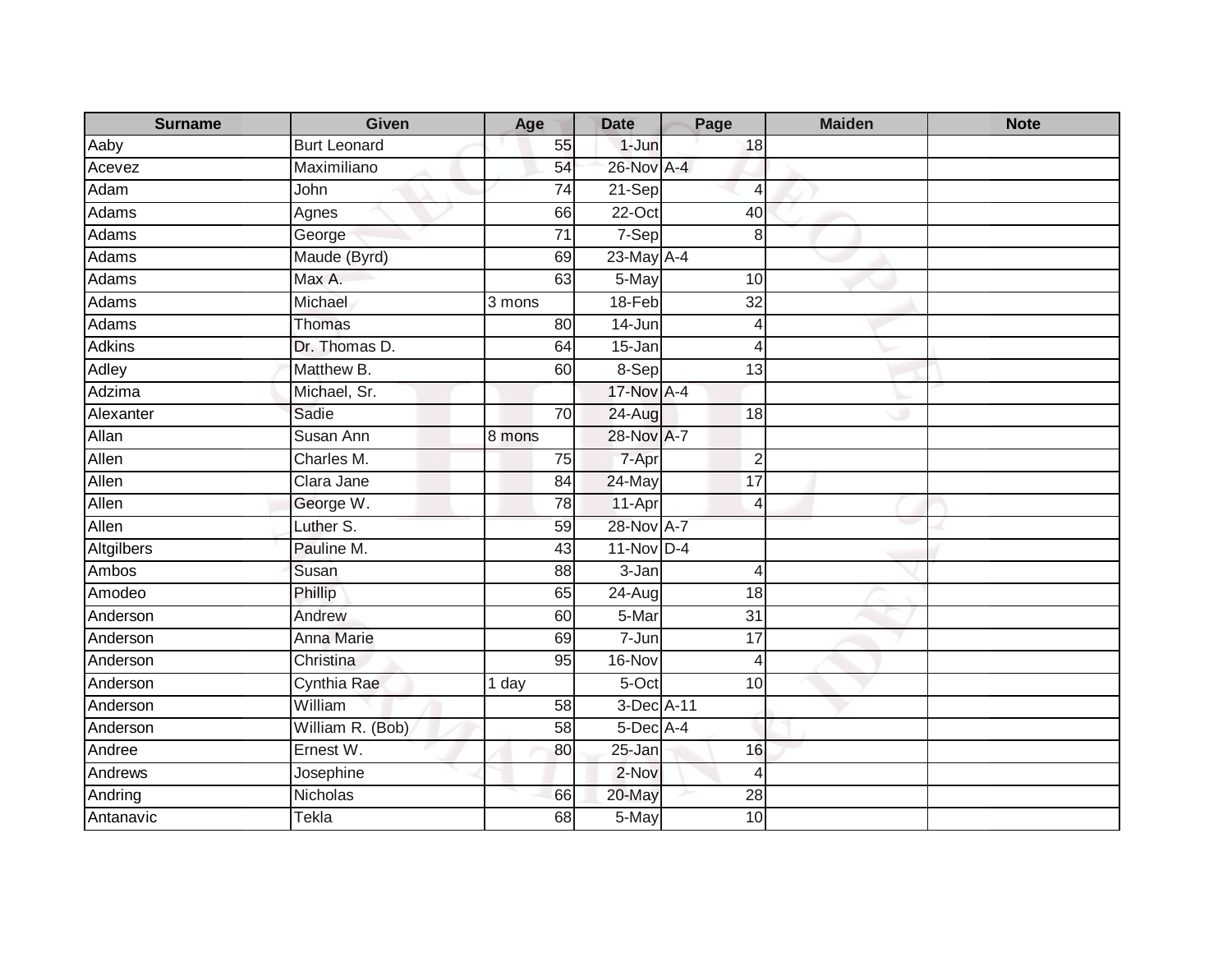| <b>Surname</b> | <b>Given</b>        | Age             | <b>Date</b> | Page            | <b>Maiden</b> | <b>Note</b> |
|----------------|---------------------|-----------------|-------------|-----------------|---------------|-------------|
| Aaby           | <b>Burt Leonard</b> | 55              | 1-Jun       | 18              |               |             |
| Acevez         | Maximiliano         | 54              | 26-Nov A-4  |                 |               |             |
| Adam           | John                | $\overline{74}$ | $21-Sep$    | $\overline{4}$  |               |             |
| Adams          | Agnes               | 66              | $22$ -Oct   | 40              |               |             |
| Adams          | George              | $\overline{71}$ | 7-Sep       | 8               |               |             |
| Adams          | Maude (Byrd)        | 69              | 23-May A-4  |                 |               |             |
| Adams          | Max A.              | 63              | 5-May       | 10              |               |             |
| Adams          | Michael             | 3 mons          | 18-Feb      | $\overline{32}$ |               |             |
| Adams          | Thomas              | 80              | 14-Jun      | 4               |               |             |
| <b>Adkins</b>  | Dr. Thomas D.       | 64              | 15-Jan      | $\overline{4}$  |               |             |
| <b>Adley</b>   | Matthew B.          | 60              | 8-Sep       | 13              |               |             |
| Adzima         | Michael, Sr.        |                 | 17-Nov A-4  |                 |               |             |
| Alexanter      | Sadie               | 70              | 24-Aug      | 18              |               |             |
| Allan          | Susan Ann           | 8 mons          | 28-Nov A-7  |                 |               |             |
| Allen          | Charles M.          | 75              | 7-Apr       | $\overline{c}$  |               |             |
| Allen          | Clara Jane          | 84              | 24-May      | $\overline{17}$ |               |             |
| Allen          | George W.           | 78              | 11-Apr      | $\overline{4}$  |               |             |
| Allen          | Luther S.           | 59              | 28-Nov A-7  |                 |               |             |
| Altgilbers     | Pauline M.          | 43              | 11-Nov D-4  |                 |               |             |
| Ambos          | Susan               | 88              | $3 - Jan$   | $\overline{4}$  |               |             |
| Amodeo         | Phillip             | 65              | 24-Aug      | 18              |               |             |
| Anderson       | Andrew              | 60              | 5-Mar       | 31              |               |             |
| Anderson       | <b>Anna Marie</b>   | 69              | 7-Jun       | 17              |               |             |
| Anderson       | Christina           | 95              | 16-Nov      | $\overline{4}$  |               |             |
| Anderson       | Cynthia Rae         | 1 day           | 5-Oct       | 10              |               |             |
| Anderson       | William             | $\overline{58}$ | 3-Dec A-11  |                 |               |             |
| Anderson       | William R. (Bob)    | 58              | 5-Dec A-4   |                 |               |             |
| Andree         | Ernest W.           | 80              | 25-Jan      | 16              |               |             |
| Andrews        | Josephine           |                 | 2-Nov       | $\overline{4}$  |               |             |
| Andring        | Nicholas            | 66              | 20-May      | 28              |               |             |
| Antanavic      | <b>Tekla</b>        | 68              | $5-May$     | 10              |               |             |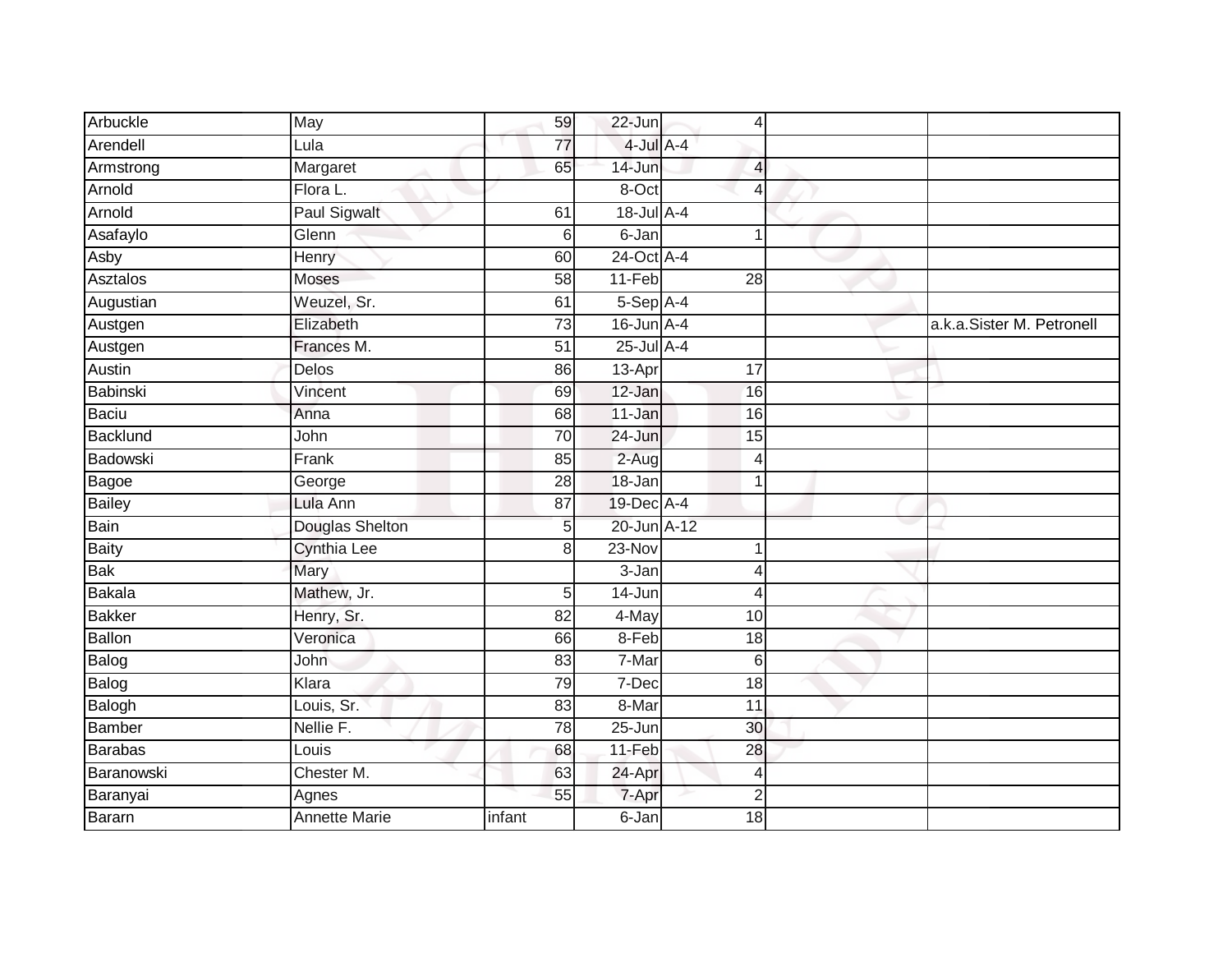| Arbuckle        | May                  | 59              | 22-Jun          | $\overline{4}$  |                           |
|-----------------|----------------------|-----------------|-----------------|-----------------|---------------------------|
| Arendell        | Lula                 | 77              | $4$ -Jul $A$ -4 |                 |                           |
| Armstrong       | Margaret             | 65              | 14-Jun          | 4               |                           |
| Arnold          | Flora L.             |                 | 8-Oct           | $\overline{4}$  |                           |
| Arnold          | <b>Paul Sigwalt</b>  | 61              | 18-Jul A-4      |                 |                           |
| Asafaylo        | Glenn                | $6 \mid$        | $6 - Jan$       | 1               |                           |
| Asby            | Henry                | 60              | 24-Oct A-4      |                 |                           |
| Asztalos        | Moses                | 58              | 11-Feb          | 28              |                           |
| Augustian       | Weuzel, Sr.          | 61              | 5-Sep A-4       |                 |                           |
| Austgen         | Elizabeth            | $\overline{73}$ | $16$ -Jun $A-4$ |                 | a.k.a.Sister M. Petronell |
| Austgen         | Frances M.           | 51              | $25$ -Jul $A-4$ |                 |                           |
| Austin          | Delos                | 86              | 13-Apr          | $\overline{17}$ |                           |
| Babinski        | Vincent              | 69              | $12$ -Jan       | 16              |                           |
| Baciu           | Anna                 | 68              | 11-Jan          | 16              |                           |
| <b>Backlund</b> | John                 | 70              | 24-Jun          | 15              |                           |
| Badowski        | Frank                | 85              | $2-Aug$         | $\overline{4}$  |                           |
| Bagoe           | George               | $\overline{28}$ | 18-Jan          | $\mathbf{1}$    |                           |
| <b>Bailey</b>   | Lula Ann             | 87              | 19-Dec A-4      |                 |                           |
| Bain            | Douglas Shelton      | 5               | 20-Jun A-12     |                 |                           |
| <b>Baity</b>    | <b>Cynthia Lee</b>   | 8               | $23-Nov$        |                 |                           |
| <b>Bak</b>      | Mary                 |                 | 3-Jan           | 4               |                           |
| <b>Bakala</b>   | Mathew, Jr.          | 5               | 14-Jun          | $\overline{4}$  |                           |
| <b>Bakker</b>   | Henry, Sr.           | 82              | 4-May           | 10              |                           |
| <b>Ballon</b>   | Veronica             | 66              | 8-Feb           | 18              |                           |
| Balog           | John                 | 83              | 7-Mar           | 6               |                           |
| Balog           | Klara                | 79              | 7-Dec           | 18              |                           |
| Balogh          | Louis, Sr.           | 83              | 8-Mar           | $\overline{11}$ |                           |
| <b>Bamber</b>   | Nellie F.            | 78              | 25-Jun          | 30              |                           |
| <b>Barabas</b>  | Louis                | 68              | 11-Feb          | 28              |                           |
| Baranowski      | Chester M.           | 63              | 24-Apr          | $\overline{4}$  |                           |
| Baranyai        | Agnes                | 55              | 7-Apr           | $\overline{2}$  |                           |
| <b>Bararn</b>   | <b>Annette Marie</b> | infant          | 6-Jan           | 18              |                           |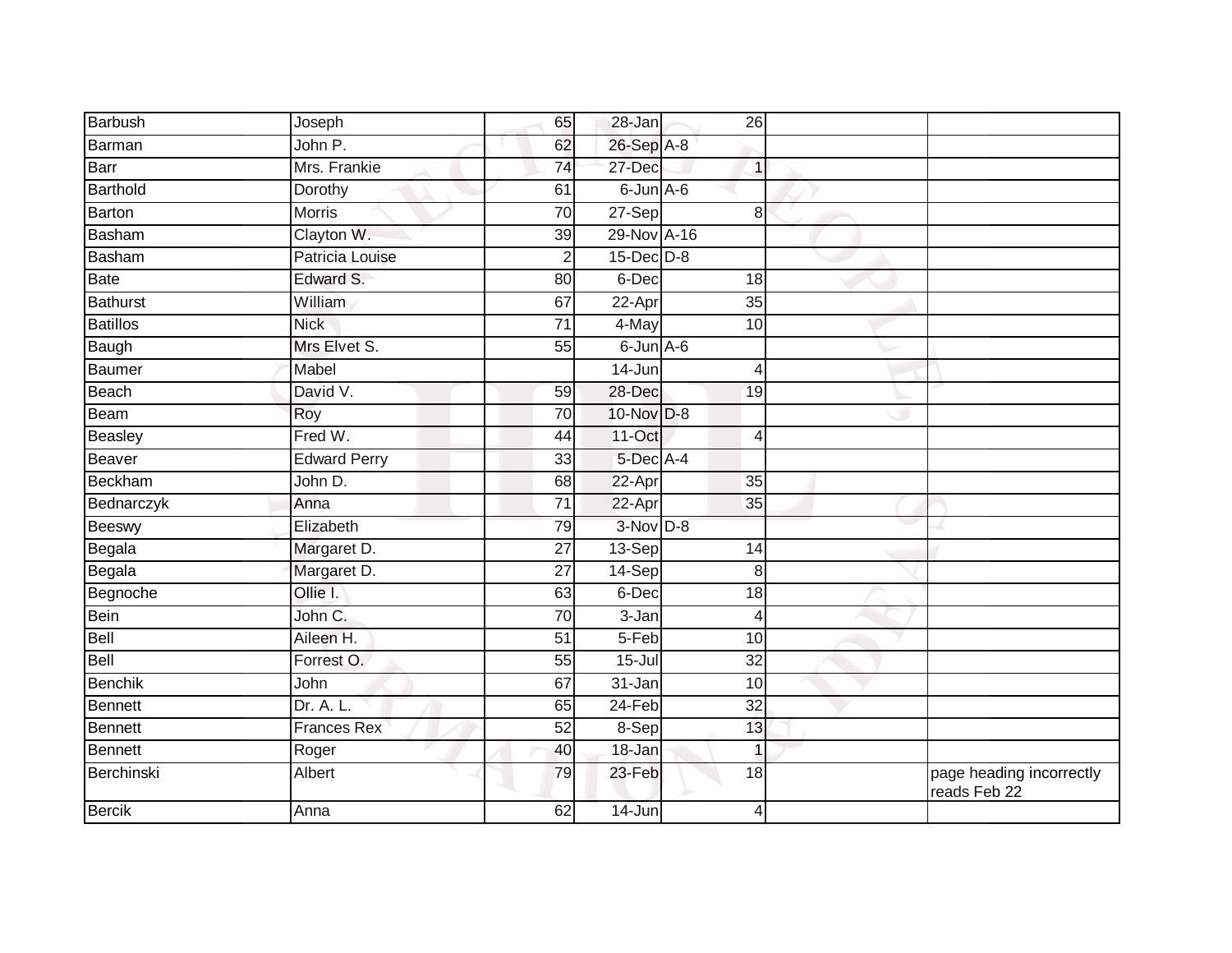| Barbush         | Joseph              | 65              | 28-Jan          | 26              |                                          |
|-----------------|---------------------|-----------------|-----------------|-----------------|------------------------------------------|
| Barman          | John P.             | 62              | 26-Sep A-8      |                 |                                          |
| Barr            | Mrs. Frankie        | 74              | 27-Dec          | $\mathbf{1}$    |                                          |
| Barthold        | Dorothy             | 61              | 6-Jun A-6       |                 |                                          |
| Barton          | <b>Morris</b>       | $\overline{70}$ | 27-Sep          | 8               |                                          |
| Basham          | Clayton W.          | $\overline{39}$ | 29-Nov A-16     |                 |                                          |
| Basham          | Patricia Louise     | $\overline{2}$  | $15$ -Dec $D-8$ |                 |                                          |
| <b>Bate</b>     | Edward S.           | 80              | 6-Dec           | 18              |                                          |
| <b>Bathurst</b> | William             | 67              | 22-Apr          | 35              |                                          |
| <b>Batillos</b> | <b>Nick</b>         | $\overline{71}$ | 4-May           | 10              |                                          |
| Baugh           | Mrs Elvet S.        | 55              | $6$ -Jun $A$ -6 |                 |                                          |
| Baumer          | Mabel               |                 | 14-Jun          | $\overline{4}$  |                                          |
| Beach           | David V.            | 59              | 28-Dec          | 19              |                                          |
| Beam            | Roy                 | 70              | 10-Nov D-8      |                 |                                          |
| <b>Beasley</b>  | Fred W.             | 44              | 11-Oct          | $\overline{4}$  |                                          |
| Beaver          | <b>Edward Perry</b> | 33              | 5-Dec A-4       |                 |                                          |
| <b>Beckham</b>  | John D.             | 68              | 22-Apr          | 35              |                                          |
| Bednarczyk      | Anna                | $\overline{71}$ | 22-Apr          | $\overline{35}$ |                                          |
| Beeswy          | Elizabeth           | 79              | 3-Nov D-8       |                 |                                          |
| Begala          | Margaret D.         | 27              | 13-Sep          | 14              |                                          |
| Begala          | Margaret D.         | $\overline{27}$ | 14-Sep          | 8               |                                          |
| Begnoche        | Ollie I.            | 63              | 6-Dec           | 18              |                                          |
| Bein            | John C.             | $\overline{70}$ | 3-Jan           | $\overline{4}$  |                                          |
| Bell            | Aileen H.           | 51              | 5-Feb           | 10              |                                          |
| Bell            | Forrest O.          | 55              | $15 -$ Jul      | 32              |                                          |
| Benchik         | John                | 67              | 31-Jan          | 10              |                                          |
| Bennett         | Dr. A. L.           | 65              | $24-Feb$        | $\overline{32}$ |                                          |
| Bennett         | <b>Frances Rex</b>  | 52              | $8-Sep$         | 13              |                                          |
| Bennett         | Roger               | 40              | $18 - Jan$      | $\mathbf 1$     |                                          |
| Berchinski      | Albert              | 79              | 23-Feb          | 18              | page heading incorrectly<br>reads Feb 22 |
| <b>Bercik</b>   | Anna                | 62              | $14$ -Jun       | $\overline{4}$  |                                          |
|                 |                     |                 |                 |                 |                                          |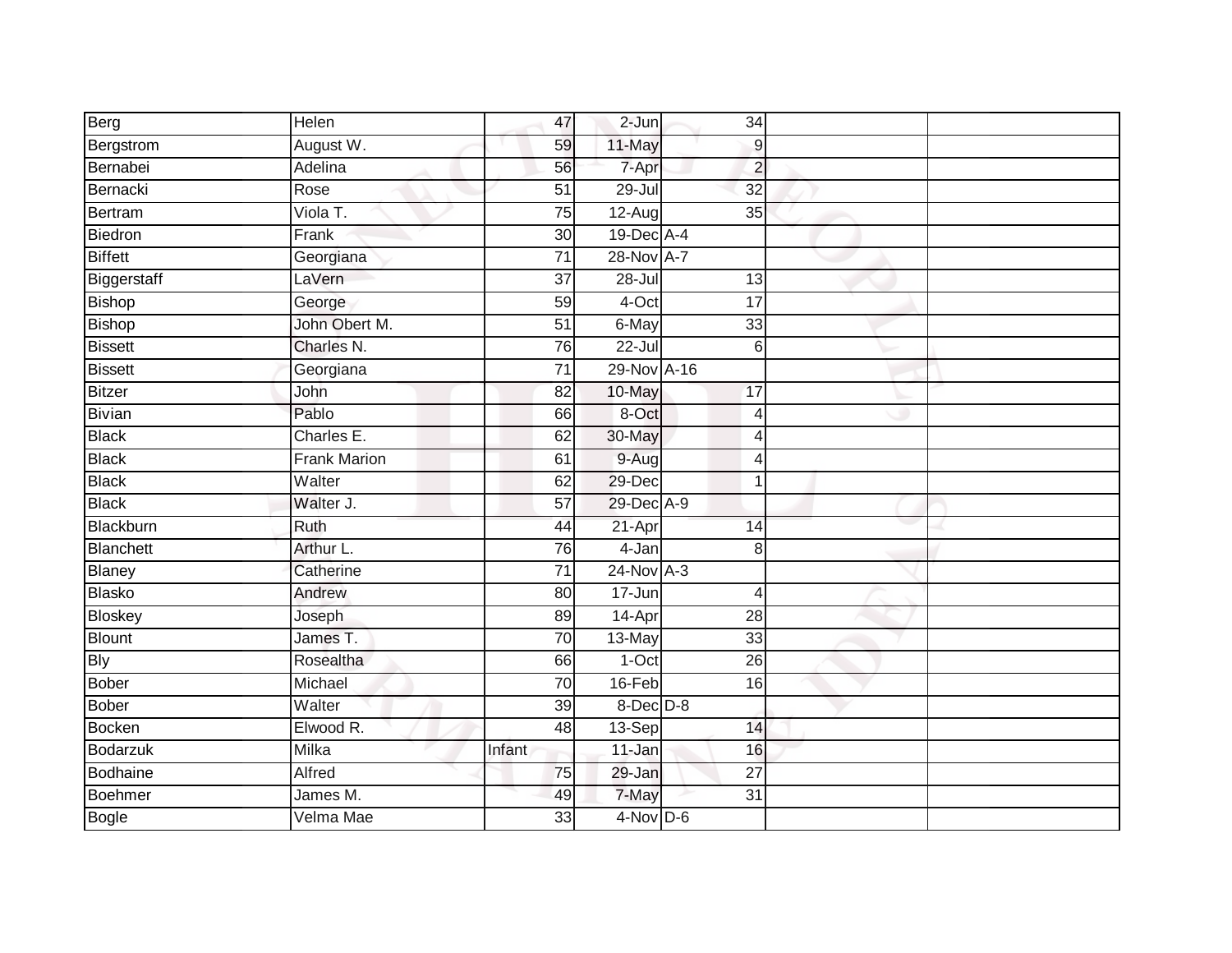| Berg            | Helen               | 47              | 2-Jun           | 34               |  |
|-----------------|---------------------|-----------------|-----------------|------------------|--|
| Bergstrom       | August W.           | 59              | 11-May          | $\boldsymbol{9}$ |  |
| Bernabei        | Adelina             | 56              | 7-Apr           | $\overline{2}$   |  |
| Bernacki        | Rose                | 51              | $29 -$ Jul      | $\overline{32}$  |  |
| <b>Bertram</b>  | Viola T.            | $\overline{75}$ | $12-Auq$        | $\overline{35}$  |  |
| <b>Biedron</b>  | Frank               | 30              | 19-Dec A-4      |                  |  |
| <b>Biffett</b>  | Georgiana           | 71              | 28-Nov A-7      |                  |  |
| Biggerstaff     | LaVern              | 37              | $28 -$ Jul      | 13               |  |
| <b>Bishop</b>   | George              | 59              | $4$ -Oct        | 17               |  |
| <b>Bishop</b>   | John Obert M.       | $\overline{51}$ | 6-May           | $\overline{33}$  |  |
| <b>Bissett</b>  | Charles N.          | 76              | $22 -$ Jul      | 6                |  |
| <b>Bissett</b>  | Georgiana           | $\overline{71}$ | 29-Nov A-16     |                  |  |
| <b>Bitzer</b>   | John                | 82              | 10-May          | 17               |  |
| <b>Bivian</b>   | Pablo               | 66              | 8-Oct           | $\overline{4}$   |  |
| <b>Black</b>    | Charles E.          | 62              | 30-May          | $\overline{4}$   |  |
| <b>Black</b>    | <b>Frank Marion</b> | 61              | 9-Aug           | $\overline{4}$   |  |
| <b>Black</b>    | Walter              | 62              | 29-Dec          | $\mathbf 1$      |  |
| <b>Black</b>    | Walter J.           | $\overline{57}$ | 29-Dec A-9      |                  |  |
| Blackburn       | Ruth                | 44              | $21-Apr$        | 14               |  |
| Blanchett       | Arthur L.           | 76              | $4-Jan$         | 8                |  |
| <b>Blaney</b>   | Catherine           | 71              | $24$ -Nov $A-3$ |                  |  |
| <b>Blasko</b>   | Andrew              | $\overline{80}$ | 17-Jun          | $\overline{4}$   |  |
| Bloskey         | Joseph              | 89              | 14-Apr          | 28               |  |
| Blount          | James T.            | $\overline{70}$ | 13-May          | 33               |  |
| <b>Bly</b>      | Rosealtha           | 66              | $1-Oct$         | $\overline{26}$  |  |
| <b>Bober</b>    | Michael             | 70              | 16-Feb          | 16               |  |
| <b>Bober</b>    | Walter              | $\overline{39}$ | $8$ -Dec $D-8$  |                  |  |
| <b>Bocken</b>   | Elwood R.           | 48              | $13-Sep$        | 14               |  |
| Bodarzuk        | Milka               | Infant          | 11-Jan          | 16               |  |
| <b>Bodhaine</b> | Alfred              | 75              | 29-Jan          | $\overline{27}$  |  |
| <b>Boehmer</b>  | James M.            | 49              | 7-May           | $\overline{31}$  |  |
| <b>Bogle</b>    | Velma Mae           | $\overline{33}$ | $4-Nov$ D-6     |                  |  |
|                 |                     |                 |                 |                  |  |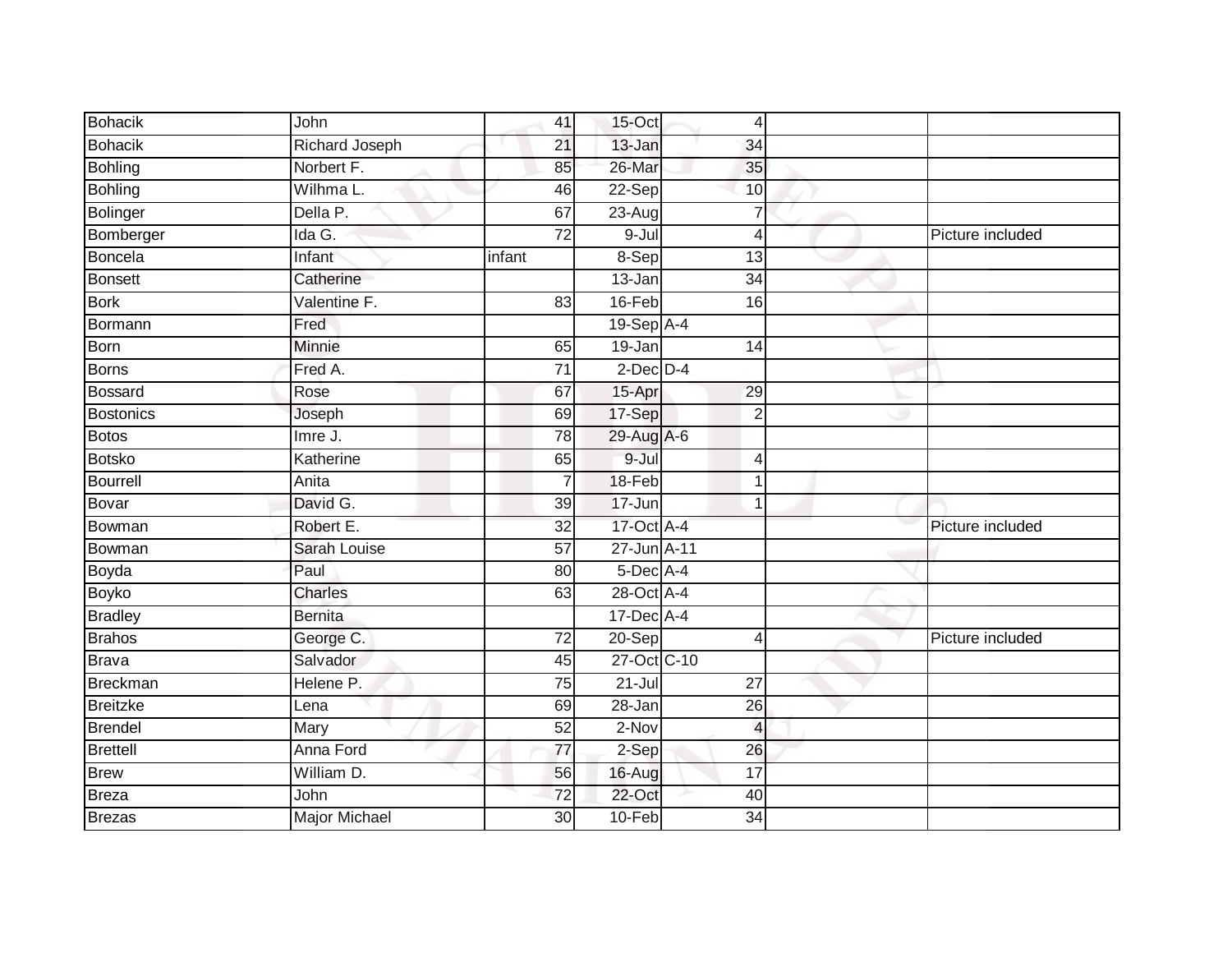| Bohacik         | John                  | 41              | 15-Oct         | 4                       |                  |
|-----------------|-----------------------|-----------------|----------------|-------------------------|------------------|
| Bohacik         | <b>Richard Joseph</b> | 21              | 13-Jan         | 34                      |                  |
| Bohling         | Norbert F.            | 85              | 26-Mar         | 35                      |                  |
| <b>Bohling</b>  | Wilhma L.             | 46              | 22-Sep         | 10                      |                  |
| Bolinger        | Della P.              | 67              | 23-Aug         |                         |                  |
| Bomberger       | Ida G.                | $\overline{72}$ | 9-Jul          | 4                       | Picture included |
| Boncela         | Infant                | infant          | 8-Sep          | 13                      |                  |
| Bonsett         | Catherine             |                 | 13-Jan         | 34                      |                  |
| Bork            | Valentine F.          | 83              | 16-Feb         | 16                      |                  |
| Bormann         | Fred                  |                 | 19-Sep A-4     |                         |                  |
| <b>Born</b>     | Minnie                | 65              | 19-Jan         | 14                      |                  |
| Borns           | Fred A.               | 71              | $2$ -Dec $D-4$ |                         |                  |
| <b>Bossard</b>  | Rose                  | 67              | 15-Apr         | 29                      |                  |
| Bostonics       | Joseph                | 69              | 17-Sep         | $\overline{2}$          |                  |
| <b>Botos</b>    | Imre J.               | $\overline{78}$ | $29$ -Aug A-6  |                         |                  |
| Botsko          | Katherine             | 65              | 9-Jul          | 4                       |                  |
| Bourrell        | Anita                 | $\overline{7}$  | 18-Feb         |                         |                  |
| Bovar           | David G.              | 39              | 17-Jun         |                         |                  |
| Bowman          | Robert E.             | 32              | 17-Oct A-4     |                         | Picture included |
| Bowman          | <b>Sarah Louise</b>   | $\overline{57}$ | 27-Jun A-11    |                         |                  |
| Boyda           | Paul                  | 80              | 5-Dec A-4      |                         |                  |
| Boyko           | Charles               | 63              | 28-Oct A-4     |                         |                  |
| <b>Bradley</b>  | <b>Bernita</b>        |                 | 17-Dec A-4     |                         |                  |
| <b>Brahos</b>   | George C.             | 72              | 20-Sep         | 4                       | Picture included |
| Brava           | Salvador              | 45              | 27-Oct C-10    |                         |                  |
| Breckman        | Helene P.             | $\overline{75}$ | $21 -$ Jul     | $\overline{27}$         |                  |
| <b>Breitzke</b> | Lena                  | 69              | 28-Jan         | 26                      |                  |
| <b>Brendel</b>  | Mary                  | 52              | $2-Nov$        | $\overline{\mathbf{A}}$ |                  |
| <b>Brettell</b> | Anna Ford             | $\overline{77}$ | 2-Sep          | 26                      |                  |
| <b>Brew</b>     | William D.            | 56              | 16-Aug         | 17                      |                  |
| Breza           | John                  | 72              | 22-Oct         | 40                      |                  |
| <b>Brezas</b>   | Major Michael         | 30 <sup>1</sup> | 10-Feb         | 34                      |                  |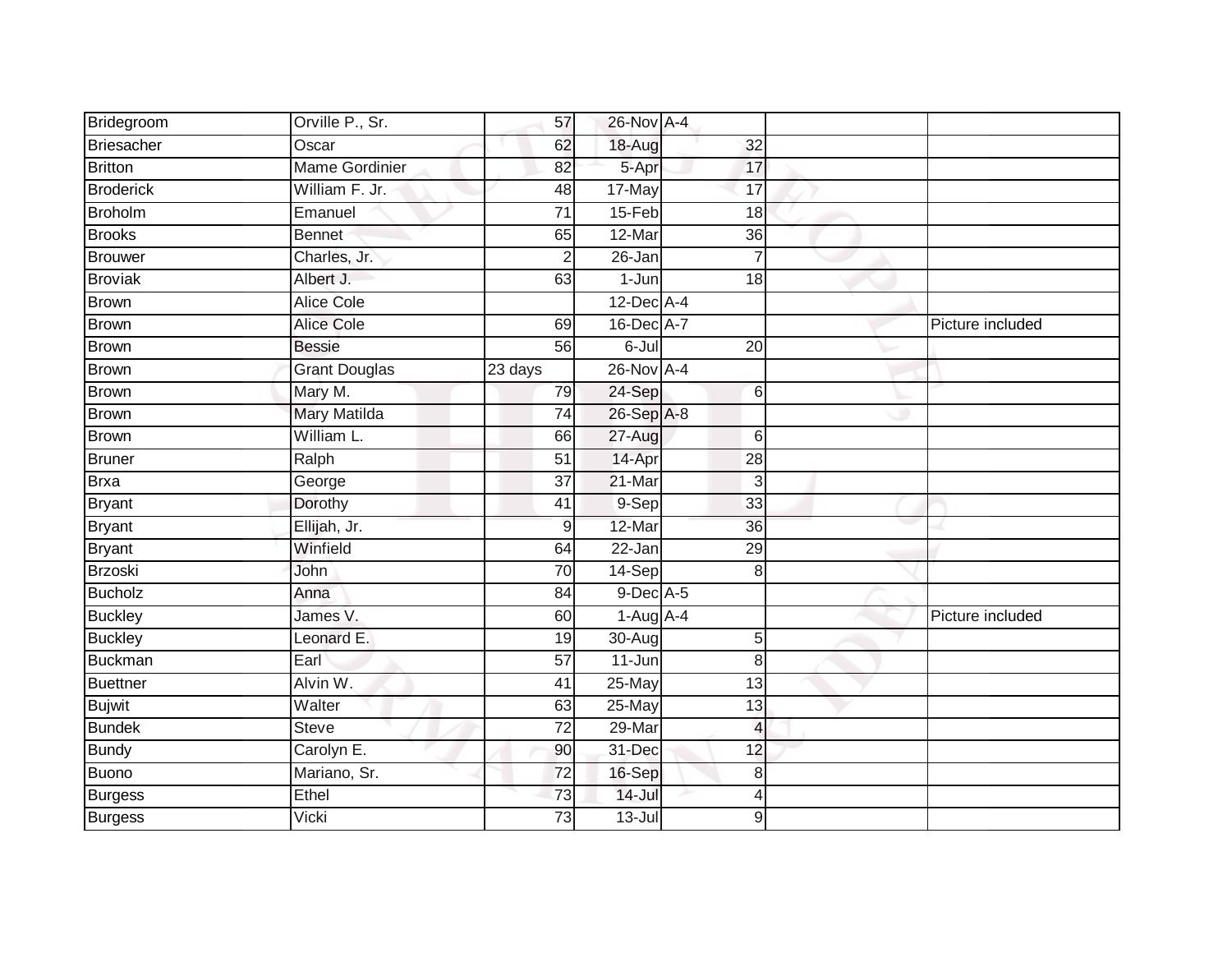| Bridegroom       | Orville P., Sr.       | 57              | 26-Nov A-4       |                       |                  |
|------------------|-----------------------|-----------------|------------------|-----------------------|------------------|
| Briesacher       | Oscar                 | 62              | 18-Aug           | 32                    |                  |
| <b>Britton</b>   | <b>Mame Gordinier</b> | 82              | 5-Apr            | 17                    |                  |
| <b>Broderick</b> | William F. Jr.        | 48              | 17-May           | 17                    |                  |
| <b>Broholm</b>   | Emanuel               | $\overline{71}$ | 15-Feb           | 18                    |                  |
| <b>Brooks</b>    | Bennet                | 65              | 12-Mar           | 36                    |                  |
| Brouwer          | Charles, Jr.          | $\overline{2}$  | 26-Jan           |                       |                  |
| <b>Broviak</b>   | Albert J.             | 63              | 1-Jun            | 18                    |                  |
| Brown            | <b>Alice Cole</b>     |                 | $12$ -Dec $A$ -4 |                       |                  |
| <b>Brown</b>     | Alice Cole            | 69              | 16-Dec A-7       |                       | Picture included |
| <b>Brown</b>     | <b>Bessie</b>         | 56              | $6$ -Jul         | 20                    |                  |
| <b>Brown</b>     | <b>Grant Douglas</b>  | 23 days         | 26-Nov A-4       |                       |                  |
| <b>Brown</b>     | Mary M.               | 79              | 24-Sep           | $6\phantom{.}6$       |                  |
| <b>Brown</b>     | <b>Mary Matilda</b>   | 74              | 26-Sep A-8       |                       |                  |
| <b>Brown</b>     | William L.            | 66              | 27-Aug           | 6                     |                  |
| <b>Bruner</b>    | Ralph                 | $\overline{51}$ | 14-Apr           | 28                    |                  |
| <b>Brxa</b>      | George                | $\overline{37}$ | 21-Mar           | 3                     |                  |
| <b>Bryant</b>    | Dorothy               | 41              | 9-Sep            | 33                    |                  |
| <b>Bryant</b>    | Ellijah, Jr.          | 9               | 12-Mar           | 36                    |                  |
| <b>Bryant</b>    | Winfield              | 64              | $22 - Jan$       | 29                    |                  |
| Brzoski          | John                  | 70              | 14-Sep           | 8                     |                  |
| <b>Bucholz</b>   | Anna                  | 84              | $9$ -Dec A-5     |                       |                  |
| <b>Buckley</b>   | James V.              | 60              | $1-Aug$ A-4      |                       | Picture included |
| <b>Buckley</b>   | Leonard E.            | 19              | 30-Aug           | 5                     |                  |
| Buckman          | Earl                  | 57              | $11$ -Jun        | $\,8\,$               |                  |
| Buettner         | Alvin W.              | 41              | 25-May           | $\overline{13}$       |                  |
| <b>Bujwit</b>    | Walter                | 63              | 25-May           | $\overline{13}$       |                  |
| <b>Bundek</b>    | <b>Steve</b>          | 72              | 29-Mar           | $\boldsymbol{\Delta}$ |                  |
| <b>Bundy</b>     | Carolyn E.            | 90              | $31$ -Dec        | 12                    |                  |
| Buono            | Mariano, Sr.          | 72              | 16-Sep           | 8                     |                  |
| Burgess          | Ethel                 | 73              | $14$ -Jul        | 4                     |                  |
| <b>Burgess</b>   | Vicki                 | 73              | $13 -$ Jul       | 9                     |                  |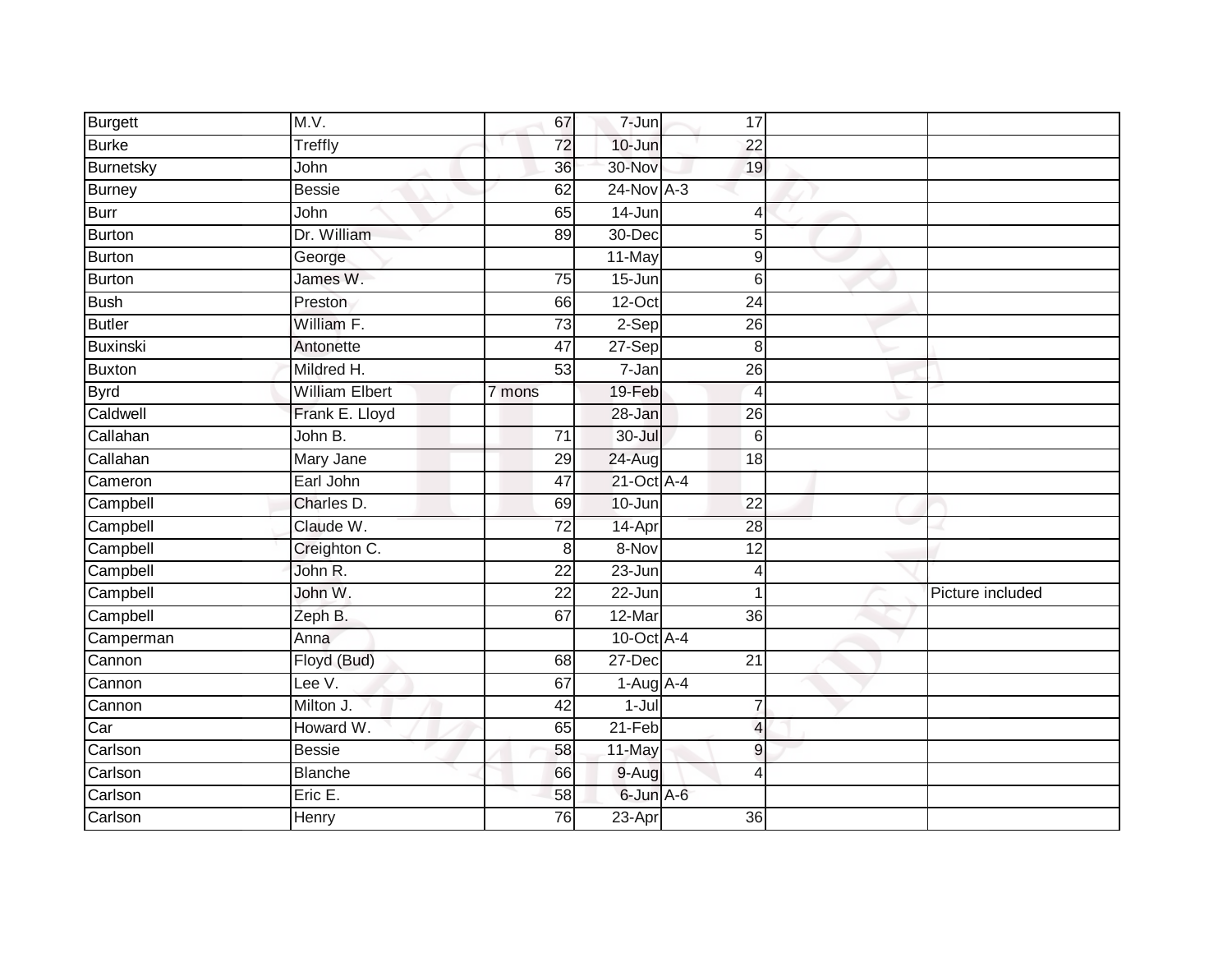| <b>Burgett</b>  | M.V.                  | 67              | 7-Jun           | 17              |                  |
|-----------------|-----------------------|-----------------|-----------------|-----------------|------------------|
| <b>Burke</b>    | Treffly               | 72              | 10-Jun          | 22              |                  |
| Burnetsky       | John                  | 36              | 30-Nov          | 19              |                  |
| <b>Burney</b>   | <b>Bessie</b>         | 62              | $24$ -Nov $A-3$ |                 |                  |
| <b>Burr</b>     | John                  | 65              | $14 - Jun$      | $\overline{4}$  |                  |
| Burton          | Dr. William           | 89              | 30-Dec          | $5\overline{)}$ |                  |
| Burton          | George                |                 | 11-May          | $\overline{9}$  |                  |
| Burton          | James W.              | $\overline{75}$ | $15 - Jun$      | 6               |                  |
| <b>Bush</b>     | Preston               | 66              | $12-Oct$        | 24              |                  |
| <b>Butler</b>   | William F.            | 73              | 2-Sep           | 26              |                  |
| <b>Buxinski</b> | Antonette             | 47              | 27-Sep          | 8               |                  |
| Buxton          | Mildred H.            | 53              | 7-Jan           | 26              |                  |
| <b>Byrd</b>     | <b>William Elbert</b> | 7 mons          | 19-Feb          | $\overline{4}$  |                  |
| Caldwell        | Frank E. Lloyd        |                 | 28-Jan          | 26              |                  |
| Callahan        | John B.               | $\overline{71}$ | $30 -$ Jul      | $6 \,$          |                  |
| Callahan        | Mary Jane             | 29              | 24-Aug          | 18              |                  |
| Cameron         | Earl John             | 47              | 21-Oct A-4      |                 |                  |
| Campbell        | Charles D.            | 69              | 10-Jun          | $\overline{22}$ |                  |
| Campbell        | Claude W.             | $\overline{72}$ | 14-Apr          | 28              |                  |
| Campbell        | Creighton C.          | 8               | 8-Nov           | $\overline{12}$ |                  |
| Campbell        | John R.               | $\overline{22}$ | $23 - Jun$      | 4               |                  |
| Campbell        | John W.               | 22              | 22-Jun          | 1               | Picture included |
| Campbell        | Zeph B.               | 67              | 12-Mar          | $\overline{36}$ |                  |
| Camperman       | Anna                  |                 | 10-Oct A-4      |                 |                  |
| Cannon          | Floyd (Bud)           | 68              | 27-Dec          | 21              |                  |
| Cannon          | Lee $V$ .             | 67              | $1-Aug$ $A-4$   |                 |                  |
| Cannon          | Milton J.             | 42              | $1 -$ Jul       | $\overline{7}$  |                  |
| Car             | Howard W.             | 65              | $21-Feb$        | $\overline{4}$  |                  |
| Carlson         | <b>Bessie</b>         | 58              | 11-May          | 9               |                  |
| Carlson         | <b>Blanche</b>        | 66              | 9-Aug           | $\overline{4}$  |                  |
| Carlson         | Eric E.               | 58              | 6-Jun A-6       |                 |                  |
| Carlson         | Henry                 | 76              | $23-Apr$        | $\overline{36}$ |                  |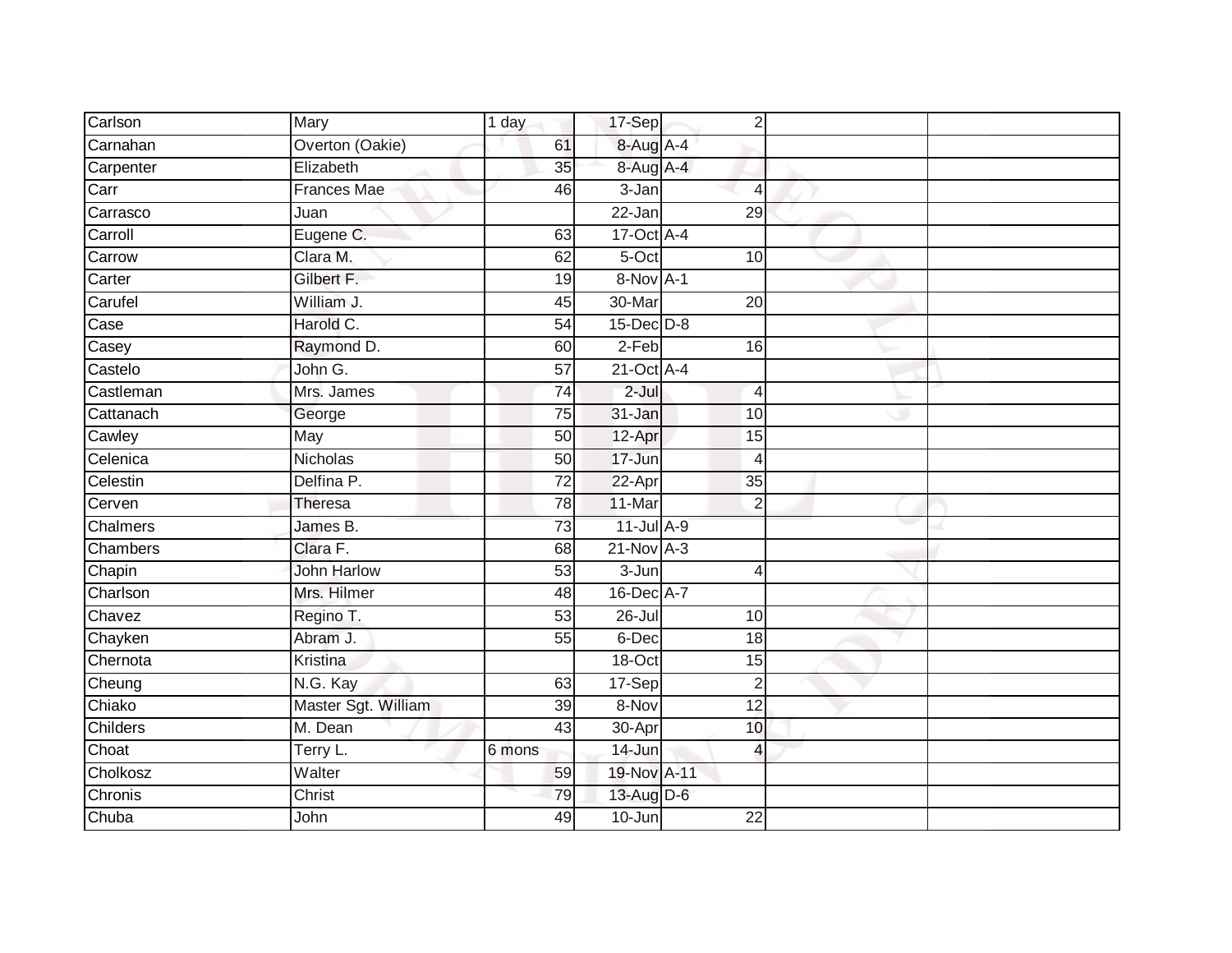| Carlson   | <b>Mary</b>         | $\overline{1}$ day | 17-Sep           | $\overline{2}$  |  |
|-----------|---------------------|--------------------|------------------|-----------------|--|
| Carnahan  | Overton (Oakie)     | 61                 | 8-Aug A-4        |                 |  |
| Carpenter | Elizabeth           | 35                 | 8-Aug A-4        |                 |  |
| Carr      | Frances Mae         | 46                 | 3-Jan            | $\overline{4}$  |  |
| Carrasco  | Juan                |                    | $22 - Jan$       | 29              |  |
| Carroll   | Eugene C.           | 63                 | 17-Oct A-4       |                 |  |
| Carrow    | Clara M.            | 62                 | 5-Oct            | 10 <sup>1</sup> |  |
| Carter    | Gilbert F.          | 19                 | 8-Nov A-1        |                 |  |
| Carufel   | William J.          | 45                 | 30-Mar           | 20              |  |
| Case      | Harold C.           | 54                 | 15-Dec D-8       |                 |  |
| Casey     | Raymond D.          | 60                 | $2-Feb$          | 16              |  |
| Castelo   | John G.             | 57                 | $21$ -Oct $A$ -4 |                 |  |
| Castleman | Mrs. James          | $\overline{74}$    | $2 -$ Jul        | $\overline{4}$  |  |
| Cattanach | George              | 75                 | 31-Jan           | 10              |  |
| Cawley    | May                 | 50                 | 12-Apr           | 15              |  |
| Celenica  | Nicholas            | 50                 | 17-Jun           | 4               |  |
| Celestin  | Delfina P.          | 72                 | 22-Apr           | $\overline{35}$ |  |
| Cerven    | <b>Theresa</b>      | 78                 | 11-Mar           | $\overline{2}$  |  |
| Chalmers  | James B.            | 73                 | $11$ -Jul A-9    |                 |  |
| Chambers  | Clara F.            | 68                 | $21$ -Nov $A-3$  |                 |  |
| Chapin    | <b>John Harlow</b>  | 53                 | $3 - Jun$        | $\overline{4}$  |  |
| Charlson  | Mrs. Hilmer         | $\overline{48}$    | 16-Dec A-7       |                 |  |
| Chavez    | Regino T.           | 53                 | $26 -$ Jul       | 10              |  |
| Chayken   | Abram J.            | 55                 | 6-Dec            | 18              |  |
| Chernota  | Kristina            |                    | 18-Oct           | 15              |  |
| Cheung    | N.G. Kay            | 63                 | 17-Sep           | $\overline{2}$  |  |
| Chiako    | Master Sgt. William | 39                 | 8-Nov            | 12              |  |
| Childers  | M. Dean             | 43                 | 30-Apr           | 10              |  |
| Choat     | Terry L.            | 6 mons             | 14-Jun           | $\overline{4}$  |  |
| Cholkosz  | Walter              | 59                 | 19-Nov A-11      |                 |  |
| Chronis   | Christ              | 79                 | 13-Aug D-6       |                 |  |
| Chuba     | John                | 49                 | $10 - Jun$       | $\overline{22}$ |  |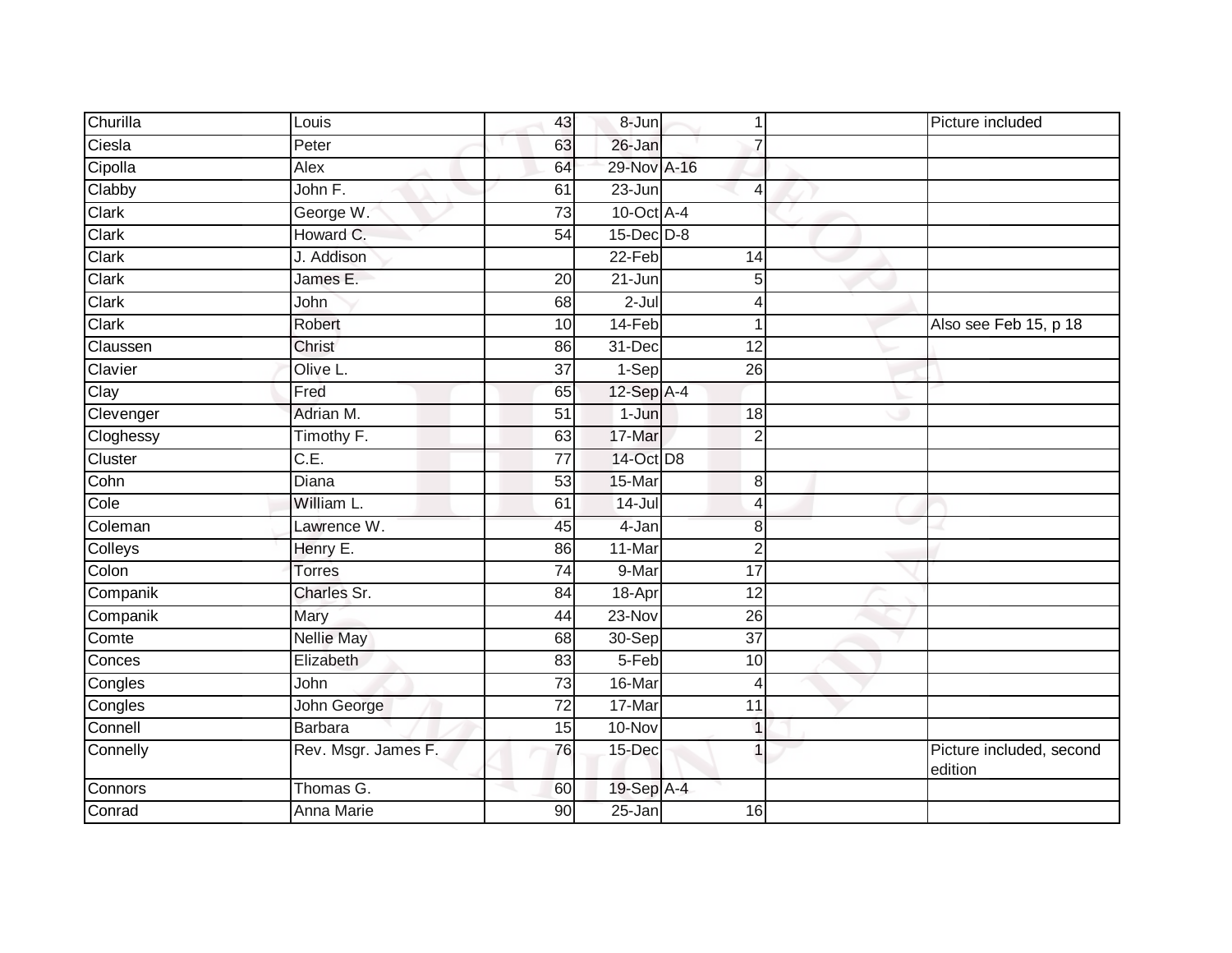| Churilla     | Louis                 | 43              | 8-Jun                       | 1                       | Picture included                    |
|--------------|-----------------------|-----------------|-----------------------------|-------------------------|-------------------------------------|
| Ciesla       | Peter                 | 63              | 26-Jan                      | 7                       |                                     |
| Cipolla      | Alex                  | 64              | 29-Nov A-16                 |                         |                                     |
| Clabby       | John F.               | 61              | 23-Jun                      | 4                       |                                     |
| <b>Clark</b> | George W.             | 73              | $10$ -Oct $\overline{A}$ -4 |                         |                                     |
| Clark        | Howard C.             | 54              | 15-Dec D-8                  |                         |                                     |
| Clark        | J. Addison            |                 | 22-Feb                      | 14                      |                                     |
| Clark        | James E.              | 20              | $21 - Jun$                  | 5                       |                                     |
| Clark        | John                  | 68              | $2 -$ Jul                   | 4                       |                                     |
| Clark        | Robert                | 10              | 14-Feb                      | 1                       | Also see Feb 15, p 18               |
| Claussen     | Christ                | 86              | 31-Dec                      | 12                      |                                     |
| Clavier      | Olive L.              | 37              | 1-Sep                       | 26                      |                                     |
| Clay         | Fred                  | 65              | $12$ -Sep $A-4$             |                         |                                     |
| Clevenger    | Adrian M.             | 51              | $1-Jun$                     | 18                      |                                     |
| Cloghessy    | Timothy <sub>F.</sub> | 63              | 17-Mar                      | $\overline{2}$          |                                     |
| Cluster      | C.E.                  | 77              | 14-Oct D8                   |                         |                                     |
| Cohn         | <b>Diana</b>          | 53              | 15-Mar                      | 8                       |                                     |
| Cole         | William L.            | 61              | $14$ -Jul                   | 4                       |                                     |
| Coleman      | Lawrence W.           | 45              | $4-Jan$                     | 8                       |                                     |
| Colleys      | Henry E.              | 86              | 11-Mar                      | $\overline{\mathbf{c}}$ |                                     |
| Colon        | <b>Torres</b>         | $\overline{74}$ | 9-Mar                       | 17                      |                                     |
| Companik     | Charles Sr.           | 84              | 18-Apr                      | $\overline{12}$         |                                     |
| Companik     | Mary                  | 44              | 23-Nov                      | 26                      |                                     |
| Comte        | <b>Nellie May</b>     | 68              | 30-Sep                      | $\overline{37}$         |                                     |
| Conces       | Elizabeth             | 83              | $5-Feb$                     | 10                      |                                     |
| Congles      | John                  | 73              | 16-Mar                      | 4                       |                                     |
| Congles      | John George           | $\overline{72}$ | 17-Mar                      | $\overline{11}$         |                                     |
| Connell      | <b>Barbara</b>        | 15              | 10-Nov                      | $\mathbf{1}$            |                                     |
| Connelly     | Rev. Msgr. James F.   | 76              | 15-Dec                      | $\mathbf{1}$            | Picture included, second<br>edition |
| Connors      | Thomas G.             | 60              | 19-Sep A-4                  |                         |                                     |
| Conrad       | Anna Marie            | 90              | $25 - Jan$                  | 16                      |                                     |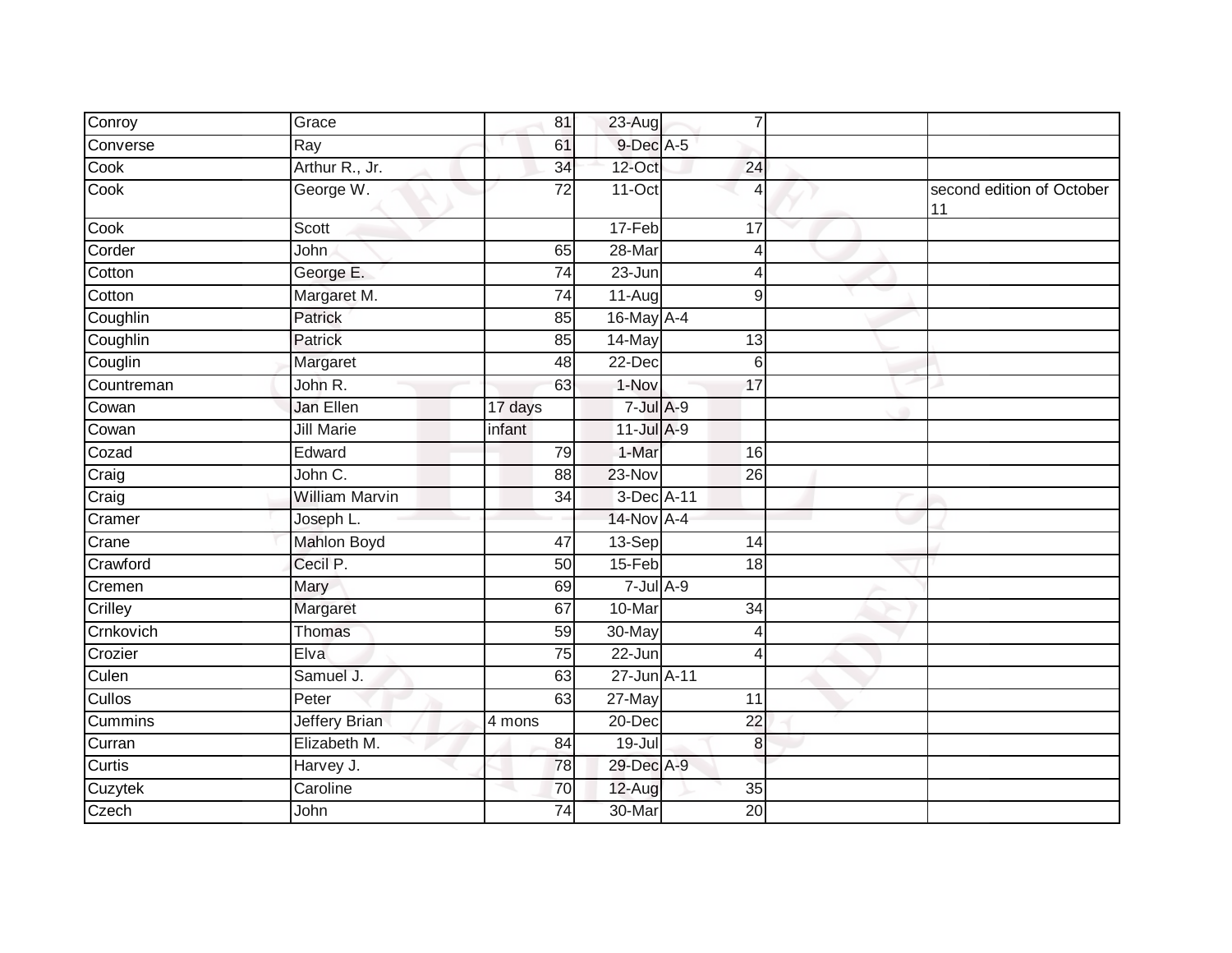| Conroy         | Grace                 | 81              | 23-Aug            | $\overline{7}$  |                                 |
|----------------|-----------------------|-----------------|-------------------|-----------------|---------------------------------|
| Converse       | Ray                   | 61              | $9$ -Dec A-5      |                 |                                 |
| Cook           | Arthur R., Jr.        | $\overline{34}$ | $12$ -Oct         | 24              |                                 |
| Cook           | George W.             | 72              | 11-Oct            | $\overline{4}$  | second edition of October<br>11 |
| Cook           | <b>Scott</b>          |                 | 17-Feb            | 17              |                                 |
| Corder         | John                  | 65              | 28-Mar            | $\overline{4}$  |                                 |
| Cotton         | George E.             | 74              | $23 - Jun$        | $\overline{4}$  |                                 |
| Cotton         | Margaret M.           | 74              | 11-Aug            | 9               |                                 |
| Coughlin       | Patrick               | 85              | 16-May A-4        |                 |                                 |
| Coughlin       | Patrick               | 85              | 14-May            | 13              |                                 |
| Couglin        | Margaret              | 48              | 22-Dec            | 6               |                                 |
| Countreman     | John R.               | 63              | 1-Nov             | 17              |                                 |
| Cowan          | Jan Ellen             | 17 days         | $7$ -Jul $A-9$    |                 |                                 |
| Cowan          | <b>Jill Marie</b>     | infant          | $11$ -Jul $A-9$   |                 |                                 |
| Cozad          | Edward                | 79              | 1-Mar             | 16              |                                 |
| Craig          | John C.               | 88              | 23-Nov            | 26              |                                 |
| Craig          | <b>William Marvin</b> | 34              | 3-Dec A-11        |                 |                                 |
| Cramer         | Joseph L.             |                 | 14-Nov A-4        |                 |                                 |
| Crane          | <b>Mahlon Boyd</b>    | 47              | $13-Sep$          | 14              |                                 |
| Crawford       | Cecil P.              | 50              | $15-Feb$          | 18              |                                 |
| Cremen         | Mary                  | 69              | $7 -$ Jul $A - 9$ |                 |                                 |
| Crilley        | Margaret              | 67              | 10-Mar            | 34              |                                 |
| Crnkovich      | Thomas                | 59              | 30-May            | $\overline{4}$  |                                 |
| Crozier        | Elva                  | 75              | 22-Jun            | Δ               |                                 |
| Culen          | Samuel J.             | 63              | 27-Jun A-11       |                 |                                 |
| Cullos         | Peter                 | 63              | 27-May            | 11              |                                 |
| <b>Cummins</b> | <b>Jeffery Brian</b>  | 4 mons          | 20-Dec            | $\overline{22}$ |                                 |
| Curran         | Elizabeth M.          | 84              | $19 -$ Jul        | 8               |                                 |
| Curtis         | Harvey J.             | 78              | 29-Dec A-9        |                 |                                 |
| Cuzytek        | Caroline              | 70              | 12-Aug            | 35              |                                 |
| Czech          | John                  | 74              | 30-Mar            | 20              |                                 |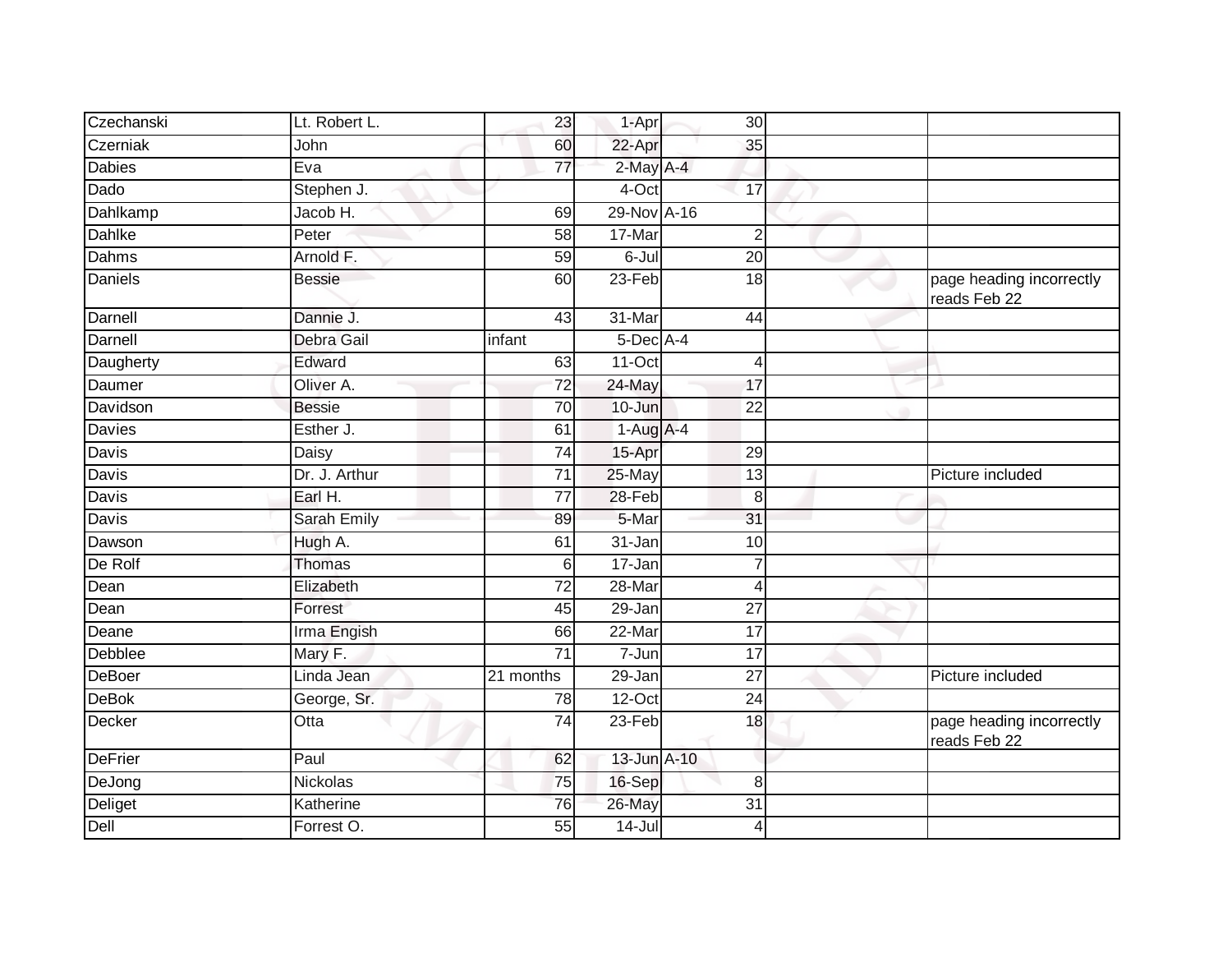| Czechanski     | Lt. Robert L.   | 23              | 1-Apr       | 30              |                                          |
|----------------|-----------------|-----------------|-------------|-----------------|------------------------------------------|
| Czerniak       | John            | 60              | 22-Apr      | 35              |                                          |
| <b>Dabies</b>  | Eva             | $\overline{77}$ | 2-May A-4   |                 |                                          |
| Dado           | Stephen J.      |                 | 4-Oct       | 17              |                                          |
| Dahlkamp       | Jacob H.        | 69              | 29-Nov A-16 |                 |                                          |
| Dahlke         | Peter           | 58              | 17-Mar      | $\overline{2}$  |                                          |
| Dahms          | Arnold F.       | 59              | 6-Jul       | 20              |                                          |
| <b>Daniels</b> | <b>Bessie</b>   | 60              | 23-Feb      | $\overline{18}$ | page heading incorrectly<br>reads Feb 22 |
| Darnell        | Dannie J.       | 43              | 31-Mar      | 44              |                                          |
| Darnell        | Debra Gail      | infant          | 5-Dec A-4   |                 |                                          |
| Daugherty      | Edward          | 63              | $11-Oct$    | $\overline{4}$  |                                          |
| Daumer         | Oliver A.       | 72              | 24-May      | 17              |                                          |
| Davidson       | <b>Bessie</b>   | $\overline{70}$ | 10-Jun      | $\overline{22}$ |                                          |
| <b>Davies</b>  | Esther J.       | 61              | $1-Aug$ A-4 |                 |                                          |
| Davis          | Daisy           | 74              | 15-Apr      | 29              |                                          |
| Davis          | Dr. J. Arthur   | $\overline{71}$ | 25-May      | 13              | Picture included                         |
| Davis          | Earl H.         | 77              | 28-Feb      | 8               |                                          |
| Davis          | Sarah Emily     | 89              | 5-Mar       | 31              |                                          |
| Dawson         | Hugh A.         | 61              | 31-Jan      | 10              |                                          |
| De Rolf        | Thomas          | 6               | $17 - Jan$  | 7               |                                          |
| Dean           | Elizabeth       | $\overline{72}$ | $28 - Mar$  | $\overline{4}$  |                                          |
| Dean           | Forrest         | 45              | 29-Jan      | $\overline{27}$ |                                          |
| Deane          | Irma Engish     | 66              | 22-Mar      | 17              |                                          |
| Debblee        | Mary F.         | $\overline{71}$ | $7 - Jun$   | $\overline{17}$ |                                          |
| <b>DeBoer</b>  | Linda Jean      | 21 months       | $29 - Jan$  | $\overline{27}$ | Picture included                         |
| <b>DeBok</b>   | George, Sr.     | 78              | 12-Oct      | 24              |                                          |
| Decker         | Otta            | $\overline{74}$ | $23-Feb$    | $\overline{18}$ | page heading incorrectly<br>reads Feb 22 |
| <b>DeFrier</b> | Paul            | 62              | 13-Jun A-10 |                 |                                          |
| DeJong         | <b>Nickolas</b> | 75              | 16-Sep      | 8               |                                          |
| Deliget        | Katherine       | 76              | 26-May      | $\overline{31}$ |                                          |
| Dell           | Forrest O.      | 55              | $14 -$ Jul  | 4               |                                          |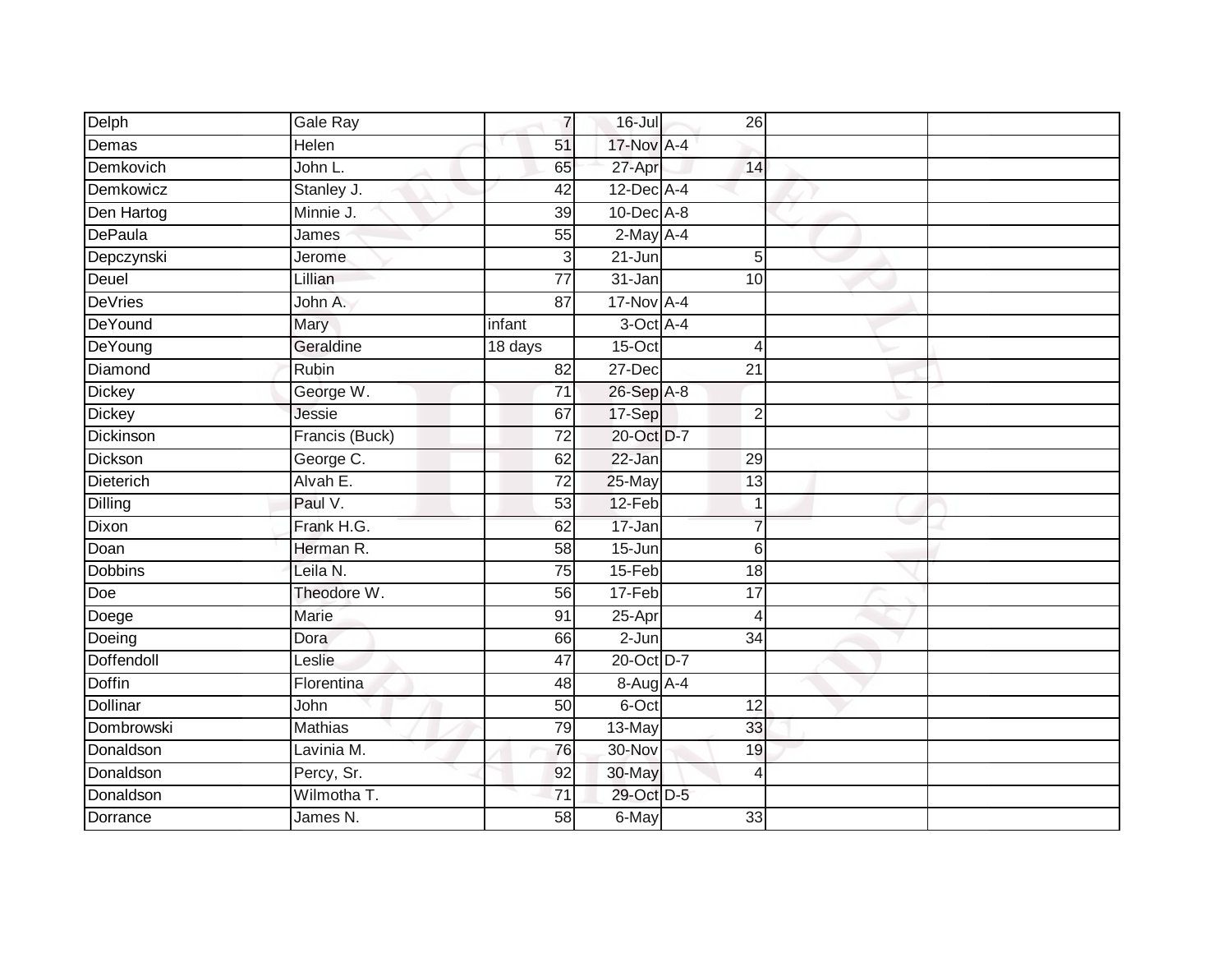| Delph           | Gale Ray       | $\overline{7}$  | $16$ -Jul        | 26              |  |
|-----------------|----------------|-----------------|------------------|-----------------|--|
| Demas           | <b>Helen</b>   | 51              | 17-Nov A-4       |                 |  |
| Demkovich       | John L.        | 65              | 27-Apr           | 14              |  |
| Demkowicz       | Stanley J.     | 42              | $12$ -Dec $A$ -4 |                 |  |
| Den Hartog      | Minnie J.      | $\overline{39}$ | $10$ -Dec $A-8$  |                 |  |
| <b>DePaula</b>  | James          | 55              | $2$ -May A-4     |                 |  |
| Depczynski      | Jerome         | $\mathbf{3}$    | $21 - Jun$       | $5\overline{)}$ |  |
| Deuel           | Lillian        | 77              | 31-Jan           | 10              |  |
| <b>DeVries</b>  | John A.        | $\overline{87}$ | $17-Nov$ A-4     |                 |  |
| DeYound         | <b>Mary</b>    | infant          | 3-Oct A-4        |                 |  |
| DeYoung         | Geraldine      | 18 days         | 15-Oct           | $\overline{4}$  |  |
| Diamond         | Rubin          | 82              | 27-Dec           | $\overline{21}$ |  |
| Dickey          | George W.      | $\overline{71}$ | 26-Sep A-8       |                 |  |
| <b>Dickey</b>   | Jessie         | 67              | 17-Sep           | $\overline{2}$  |  |
| Dickinson       | Francis (Buck) | $\overline{72}$ | 20-Oct D-7       |                 |  |
| Dickson         | George C.      | 62              | 22-Jan           | 29              |  |
| Dieterich       | Alvah E.       | $\overline{72}$ | $25$ -May        | 13              |  |
| Dilling         | Paul V.        | 53              | 12-Feb           |                 |  |
| Dixon           | Frank H.G.     | 62              | 17-Jan           | 7               |  |
| Doan            | Herman R.      | 58              | $15 - Jun$       | 6               |  |
| Dobbins         | Leila N.       | 75              | 15-Feb           | 18              |  |
| Doe             | Theodore W.    | 56              | 17-Feb           | $\overline{17}$ |  |
| Doege           | Marie          | 91              | 25-Apr           | 4               |  |
| Doeing          | Dora           | 66              | $2-Jun$          | $\overline{34}$ |  |
| Doffendoll      | Leslie         | 47              | 20-Oct D-7       |                 |  |
| <b>Doffin</b>   | Florentina     | 48              | $8-Aug$ $A-4$    |                 |  |
| <b>Dollinar</b> | John           | 50              | 6-Oct            | $\overline{12}$ |  |
| Dombrowski      | <b>Mathias</b> | 79              | 13-May           | 33              |  |
| Donaldson       | Lavinia M.     | 76              | 30-Nov           | 19              |  |
| Donaldson       | Percy, Sr.     | 92              | 30-May           | 4               |  |
| Donaldson       | Wilmotha T.    | 71              | 29-Oct D-5       |                 |  |
| <b>Dorrance</b> | James N.       | 58              | 6-May            | 33              |  |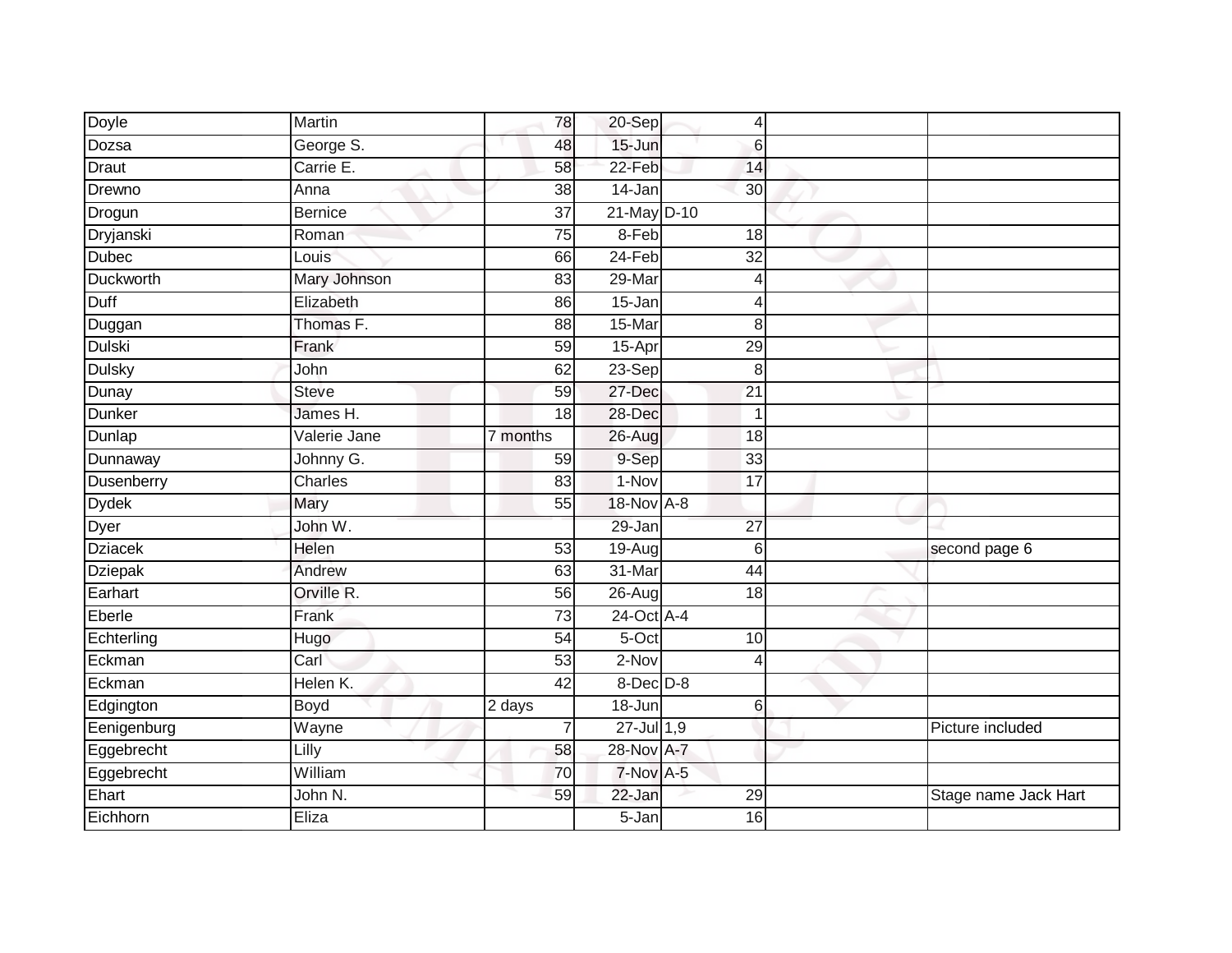| Doyle            | Martin         | 78              | 20-Sep      | 4               |                      |
|------------------|----------------|-----------------|-------------|-----------------|----------------------|
| Dozsa            | George S.      | 48              | 15-Jun      | $\,6$           |                      |
| Draut            | Carrie E.      | 58              | 22-Feb      | 14              |                      |
| Drewno           | Anna           | 38              | 14-Jan      | 30              |                      |
| Drogun           | <b>Bernice</b> | $\overline{37}$ | 21-May D-10 |                 |                      |
| Dryjanski        | Roman          | 75              | $8-Feb$     | 18              |                      |
| <b>Dubec</b>     | Louis          | 66              | 24-Feb      | 32              |                      |
| <b>Duckworth</b> | Mary Johnson   | 83              | 29-Mar      | $\overline{4}$  |                      |
| Duff             | Elizabeth      | 86              | 15-Jan      | $\overline{4}$  |                      |
| Duggan           | Thomas F.      | 88              | 15-Mar      | 8               |                      |
| <b>Dulski</b>    | Frank          | 59              | 15-Apr      | 29              |                      |
| <b>Dulsky</b>    | John           | 62              | $23-Sep$    | 8               |                      |
| Dunay            | <b>Steve</b>   | 59              | 27-Dec      | 21              |                      |
| Dunker           | James H.       | 18              | 28-Dec      | $\overline{1}$  |                      |
| Dunlap           | Valerie Jane   | 7 months        | $26 - Aug$  | 18              |                      |
| Dunnaway         | Johnny G.      | 59              | 9-Sep       | 33              |                      |
| Dusenberry       | Charles        | $\overline{83}$ | $1-Nov$     | $\overline{17}$ |                      |
| <b>Dydek</b>     | Mary           | 55              | 18-Nov A-8  |                 |                      |
| <b>Dyer</b>      | John W.        |                 | 29-Jan      | 27              |                      |
| <b>Dziacek</b>   | Helen          | $\overline{53}$ | $19-Aug$    | $6\phantom{1}6$ | second page 6        |
| Dziepak          | Andrew         | 63              | 31-Mar      | 44              |                      |
| Earhart          | Orville R.     | 56              | $26 - Aug$  | 18              |                      |
| Eberle           | Frank          | 73              | 24-Oct A-4  |                 |                      |
| Echterling       | Hugo           | 54              | 5-Oct       | 10              |                      |
| Eckman           | Carl           | 53              | 2-Nov       | $\overline{4}$  |                      |
| Eckman           | Helen K.       | 42              | 8-Dec D-8   |                 |                      |
| Edgington        | <b>Boyd</b>    | 2 days          | 18-Jun      | $6 \,$          |                      |
| Eenigenburg      | Wayne          |                 | 27-Jul 1,9  |                 | Picture included     |
| Eggebrecht       | Lilly          | 58              | 28-Nov A-7  |                 |                      |
| Eggebrecht       | William        | 70              | 7-Nov A-5   |                 |                      |
| Ehart            | John N.        | 59              | 22-Jan      | 29              | Stage name Jack Hart |
| Eichhorn         | Eliza          |                 | $5 - Jan$   | 16              |                      |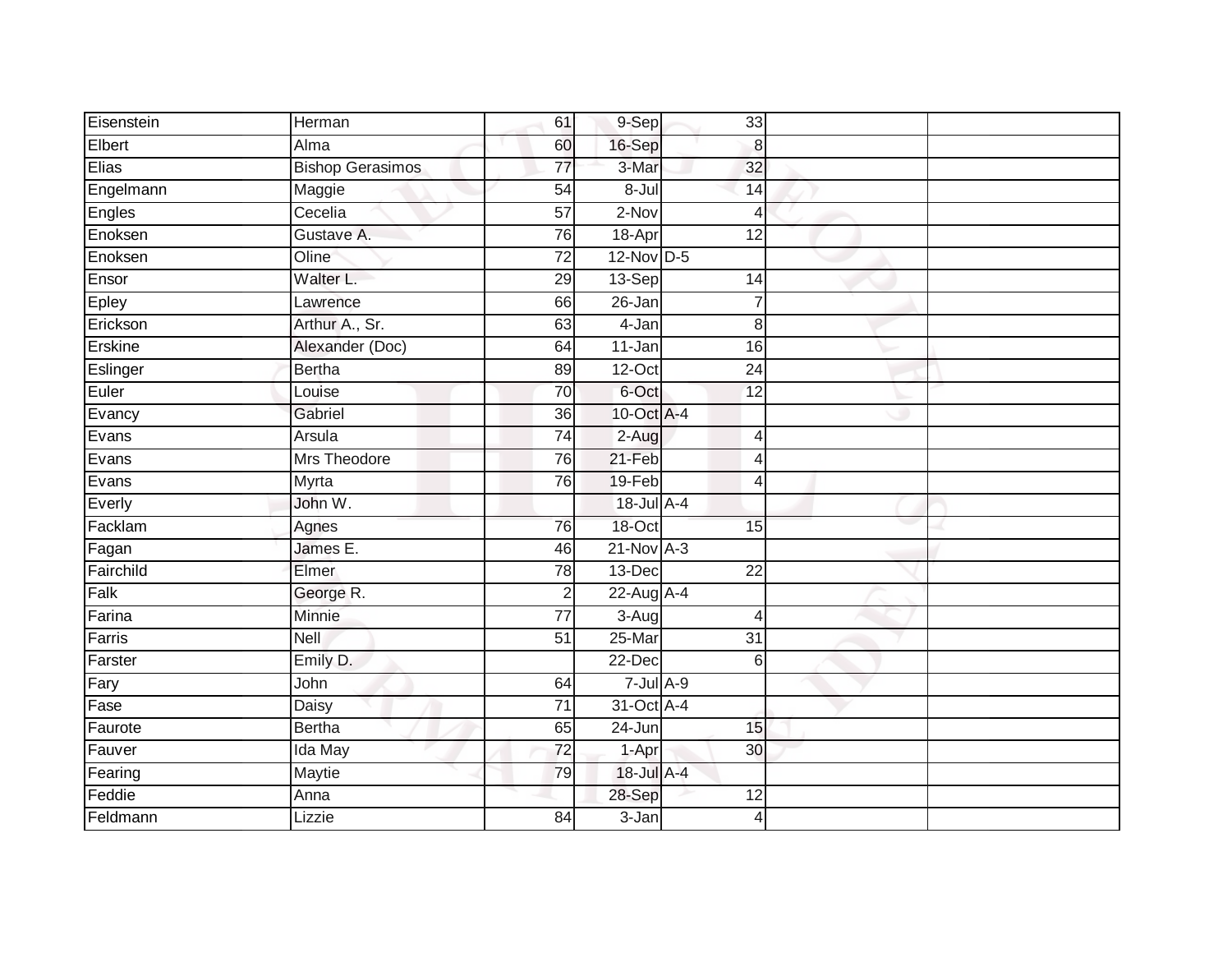| Eisenstein | Herman                  | 61              | 9-Sep           | 33              |  |
|------------|-------------------------|-----------------|-----------------|-----------------|--|
| Elbert     | Alma                    | 60              | 16-Sep          | $\,8\,$         |  |
| Elias      | <b>Bishop Gerasimos</b> | 77              | 3-Mar           | 32              |  |
| Engelmann  | Maggie                  | 54              | 8-Jul           | 14              |  |
| Engles     | Cecelia                 | $\overline{57}$ | $2-Nov$         | $\overline{4}$  |  |
| Enoksen    | Gustave A.              | 76              | 18-Apr          | 12              |  |
| Enoksen    | Oline                   | $\overline{72}$ | $12-Nov$ D-5    |                 |  |
| Ensor      | Walter L.               | 29              | 13-Sep          | 14              |  |
| Epley      | Lawrence                | 66              | 26-Jan          | $\overline{7}$  |  |
| Erickson   | Arthur A., Sr.          | 63              | $4-Jan$         | 8               |  |
| Erskine    | Alexander (Doc)         | 64              | 11-Jan          | 16              |  |
| Eslinger   | <b>Bertha</b>           | 89              | $12-Oct$        | 24              |  |
| Euler      | Louise                  | 70              | 6-Oct           | 12              |  |
| Evancy     | Gabriel                 | 36              | 10-Oct A-4      |                 |  |
| Evans      | Arsula                  | $\overline{74}$ | $2-Aug$         | $\overline{4}$  |  |
| Evans      | Mrs Theodore            | 76              | 21-Feb          | $\overline{4}$  |  |
| Evans      | Myrta                   | 76              | 19-Feb          | $\overline{4}$  |  |
| Everly     | John W.                 |                 | 18-Jul A-4      |                 |  |
| Facklam    | Agnes                   | 76              | 18-Oct          | 15              |  |
| Fagan      | James E.                | 46              | $21$ -Nov $A-3$ |                 |  |
| Fairchild  | Elmer                   | 78              | $13$ -Dec       | $\overline{22}$ |  |
| Falk       | George R.               | $\overline{2}$  | 22-Aug A-4      |                 |  |
| Farina     | Minnie                  | 77              | $3-Aug$         | $\overline{4}$  |  |
| Farris     | Nell                    | 51              | 25-Mar          | 31              |  |
| Farster    | Emily D.                |                 | 22-Dec          | 6               |  |
| Fary       | John                    | 64              | $7 -$ Jul A-9   |                 |  |
| Fase       | Daisy                   | $\overline{71}$ | 31-Oct A-4      |                 |  |
| Faurote    | <b>Bertha</b>           | 65              | 24-Jun          | 15              |  |
| Fauver     | Ida May                 | 72              | 1-Apr           | 30              |  |
| Fearing    | Maytie                  | 79              | 18-Jul A-4      |                 |  |
| Feddie     | Anna                    |                 | 28-Sep          | 12              |  |
| Feldmann   | Lizzie                  | $\overline{84}$ | $3 - Jan$       | 4               |  |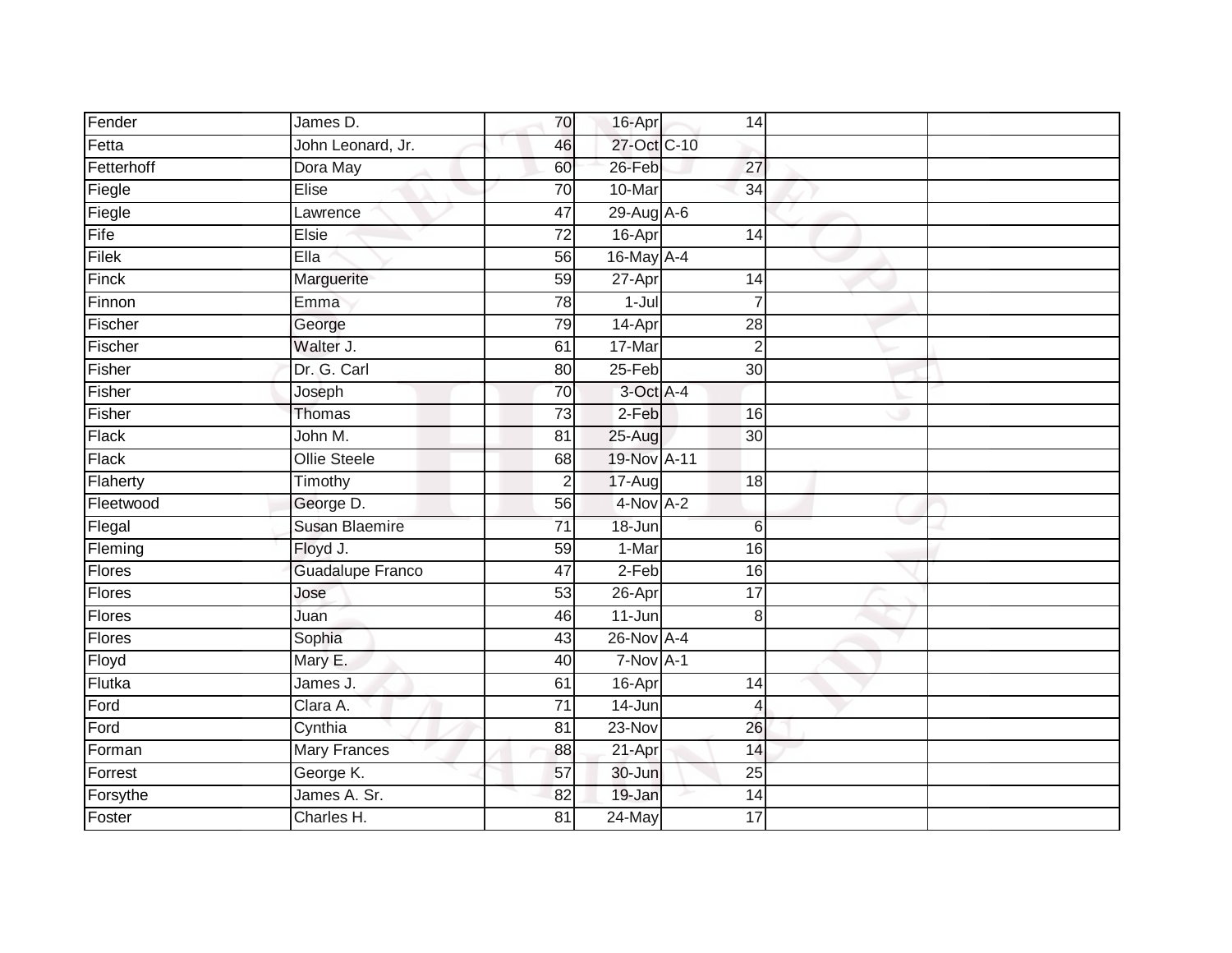| Fender     | James D.                | 70                      | 16-Apr           | 14              |  |
|------------|-------------------------|-------------------------|------------------|-----------------|--|
| Fetta      | John Leonard, Jr.       | 46                      | 27-Oct C-10      |                 |  |
| Fetterhoff | Dora May                | 60                      | 26-Feb           | 27              |  |
| Fiegle     | Elise                   | 70                      | 10-Mar           | $\overline{34}$ |  |
| Fiegle     | Lawrence                | $\overline{47}$         | $29$ -Aug $A$ -6 |                 |  |
| Fife       | Elsie                   | $\overline{72}$         | 16-Apr           | $\overline{14}$ |  |
| Filek      | Ella                    | 56                      | 16-May A-4       |                 |  |
| Finck      | Marguerite              | 59                      | 27-Apr           | 14              |  |
| Finnon     | Emma                    | 78                      | $1-Jul$          | $\overline{7}$  |  |
| Fischer    | George                  | 79                      | 14-Apr           | $\overline{28}$ |  |
| Fischer    | Walter J.               | 61                      | 17-Mar           | $\overline{2}$  |  |
| Fisher     | Dr. G. Carl             | 80                      | $25-Feb$         | $\overline{30}$ |  |
| Fisher     | Joseph                  | 70                      | 3-Oct A-4        |                 |  |
| Fisher     | Thomas                  | 73                      | $2-Feb$          | 16              |  |
| Flack      | John M.                 | $\overline{81}$         | 25-Aug           | 30              |  |
| Flack      | <b>Ollie Steele</b>     | 68                      | 19-Nov A-11      |                 |  |
| Flaherty   | Timothy                 | $\overline{\mathbf{c}}$ | 17-Aug           | 18              |  |
| Fleetwood  | George D.               | 56                      | 4-Nov A-2        |                 |  |
| Flegal     | <b>Susan Blaemire</b>   | $\overline{71}$         | 18-Jun           | $6\phantom{1}6$ |  |
| Fleming    | Floyd J.                | 59                      | $1-Mar$          | 16              |  |
| Flores     | <b>Guadalupe Franco</b> | $\overline{47}$         | 2-Feb            | 16              |  |
| Flores     | Jose                    | 53                      | $26 - Apr$       | $\overline{17}$ |  |
| Flores     | Juan                    | 46                      | $11 - Jun$       | 8               |  |
| Flores     | Sophia                  | 43                      | 26-Nov A-4       |                 |  |
| Floyd      | Mary E.                 | 40                      | $7-Nov$ A-1      |                 |  |
| Flutka     | James J.                | 61                      | 16-Apr           | $\overline{14}$ |  |
| Ford       | Clara A.                | $\overline{71}$         | $14 - Jun$       | 4               |  |
| Ford       | Cynthia                 | 81                      | 23-Nov           | 26              |  |
| Forman     | <b>Mary Frances</b>     | 88                      | 21-Apr           | 14              |  |
| Forrest    | George K.               | 57                      | 30-Jun           | 25              |  |
| Forsythe   | James A. Sr.            | 82                      | 19-Jan           | 14              |  |
| Foster     | Charles H.              | 81                      | $24$ -May        | $\overline{17}$ |  |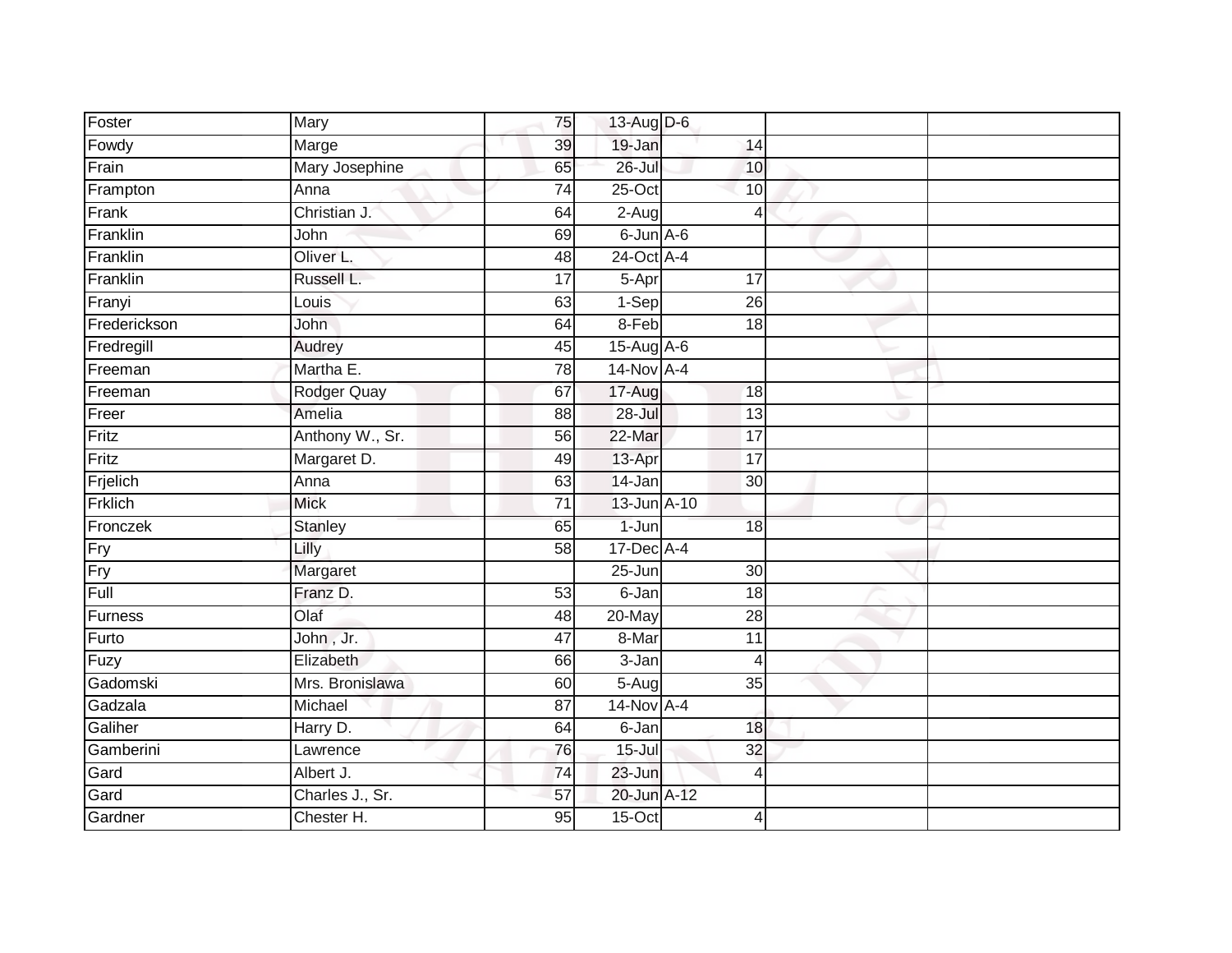| Foster            | Mary            | 75              | 13-Aug D-6      |    |  |
|-------------------|-----------------|-----------------|-----------------|----|--|
| Fowdy             | Marge           | 39              | 19-Jan          | 14 |  |
| Frain             | Mary Josephine  | 65              | $26 -$ Jul      | 10 |  |
| Frampton          | Anna            | 74              | 25-Oct          | 10 |  |
| Frank             | Christian J.    | 64              | 2-Aug           | 4  |  |
| Franklin          | John            | 69              | $6$ -Jun $A$ -6 |    |  |
| Franklin          | Oliver L.       | 48              | 24-Oct A-4      |    |  |
| Franklin          | Russell L.      | $\overline{17}$ | 5-Apr           | 17 |  |
| Franyi            | Louis           | 63              | 1-Sep           | 26 |  |
| Frederickson      | <b>John</b>     | 64              | 8-Feb           | 18 |  |
| Fredregill        | Audrey          | 45              | 15-Aug A-6      |    |  |
| Freeman           | Martha E.       | 78              | 14-Nov A-4      |    |  |
| Freeman           | Rodger Quay     | 67              | 17-Aug          | 18 |  |
| Freer             | Amelia          | 88              | $28 -$ Jul      | 13 |  |
| Fritz             | Anthony W., Sr. | 56              | 22-Mar          | 17 |  |
| Fritz             | Margaret D.     | 49              | 13-Apr          | 17 |  |
| Frjelich          | Anna            | 63              | $14$ -Jan       | 30 |  |
| Frklich           | <b>Mick</b>     | $\overline{71}$ | 13-Jun A-10     |    |  |
| Fronczek          | Stanley         | 65              | $1-Jun$         | 18 |  |
| Fry               | Lilly           | 58              | $17$ -Dec A-4   |    |  |
| Fry               | Margaret        |                 | 25-Jun          | 30 |  |
| $\overline{$ Full | Franz D.        | 53              | $6 - Jan$       | 18 |  |
| Furness           | Olaf            | 48              | 20-May          | 28 |  |
| Furto             | John, Jr.       | 47              | 8-Mar           | 11 |  |
| Fuzy              | Elizabeth       | 66              | $3 - Jan$       | 4  |  |
| Gadomski          | Mrs. Bronislawa | 60              | 5-Aug           | 35 |  |
| Gadzala           | Michael         | 87              | $14$ -Nov A-4   |    |  |
| Galiher           | Harry D.        | 64              | 6-Jan           | 18 |  |
| Gamberini         | Lawrence        | 76              | $15 -$ Jul      | 32 |  |
| Gard              | Albert J.       | 74              | 23-Jun          | 4  |  |
| Gard              | Charles J., Sr. | 57              | 20-Jun A-12     |    |  |
| Gardner           | Chester H.      | 95              | $15$ -Oct       | 4  |  |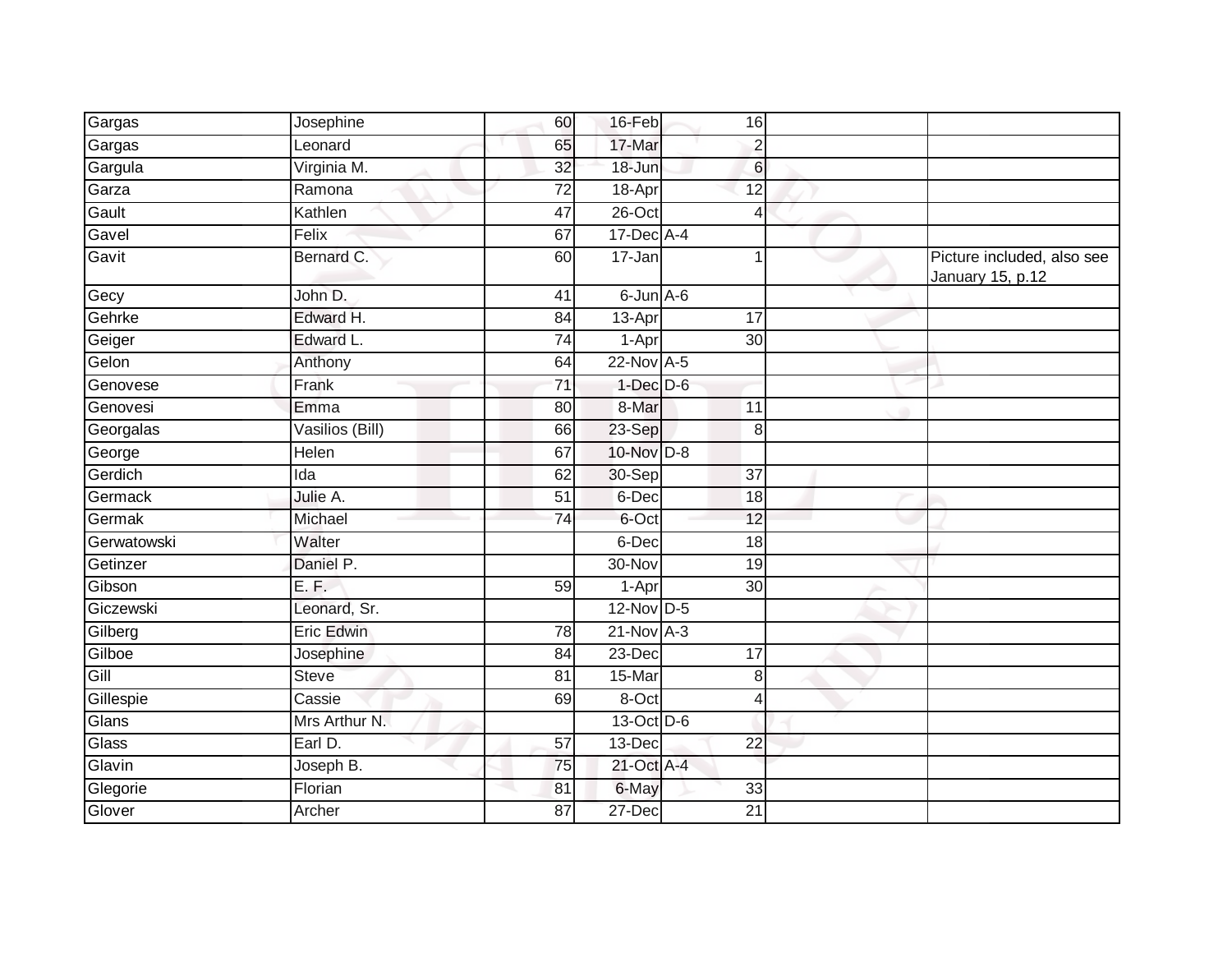| Gargas      | Josephine         | 60              | 16-Feb          | 16              |                                                |
|-------------|-------------------|-----------------|-----------------|-----------------|------------------------------------------------|
| Gargas      | Leonard           | 65              | 17-Mar          | $\overline{2}$  |                                                |
| Gargula     | Virginia M.       | 32              | 18-Jun          | $6 \,$          |                                                |
| Garza       | Ramona            | 72              | 18-Apr          | $\overline{12}$ |                                                |
| Gault       | Kathlen           | $\overline{47}$ | $26$ -Oct       | $\overline{4}$  |                                                |
| Gavel       | Felix             | 67              | 17-Dec A-4      |                 |                                                |
| Gavit       | Bernard C.        | 60              | 17-Jan          |                 | Picture included, also see<br>January 15, p.12 |
| Gecy        | John D.           | 41              | $6$ -Jun $A$ -6 |                 |                                                |
| Gehrke      | Edward H.         | 84              | 13-Apr          | 17              |                                                |
| Geiger      | Edward L.         | 74              | 1-Apr           | 30 <sup>°</sup> |                                                |
| Gelon       | Anthony           | 64              | 22-Nov A-5      |                 |                                                |
| Genovese    | Frank             | $\overline{71}$ | $1-Dec$ $D-6$   |                 |                                                |
| Genovesi    | Emma              | $\overline{80}$ | 8-Mar           | 11              |                                                |
| Georgalas   | Vasilios (Bill)   | 66              | 23-Sep          | 8               |                                                |
| George      | Helen             | 67              | 10-Nov D-8      |                 |                                                |
| Gerdich     | Ida               | 62              | 30-Sep          | 37              |                                                |
| Germack     | Julie A.          | 51              | 6-Dec           | $\overline{18}$ |                                                |
| Germak      | Michael           | 74              | 6-Oct           | 12              |                                                |
| Gerwatowski | Walter            |                 | 6-Dec           | 18              |                                                |
| Getinzer    | Daniel P.         |                 | 30-Nov          | $\overline{19}$ |                                                |
| Gibson      | E.F.              | 59              | 1-Apr           | 30              |                                                |
| Giczewski   | Leonard, Sr.      |                 | $12$ -Nov D-5   |                 |                                                |
| Gilberg     | <b>Eric Edwin</b> | $\overline{78}$ | $21-Nov$ A-3    |                 |                                                |
| Gilboe      | Josephine         | 84              | 23-Dec          | $\overline{17}$ |                                                |
| Gill        | <b>Steve</b>      | 81              | 15-Mar          | 8               |                                                |
| Gillespie   | Cassie            | 69              | 8-Oct           | $\overline{4}$  |                                                |
| Glans       | Mrs Arthur N.     |                 | 13-Oct D-6      |                 |                                                |
| Glass       | Earl D.           | 57              | 13-Dec          | 22              |                                                |
| Glavin      | Joseph B.         | 75              | 21-Oct A-4      |                 |                                                |
| Glegorie    | Florian           | 81              | 6-May           | 33              |                                                |
| Glover      | Archer            | 87              | 27-Dec          | $\overline{21}$ |                                                |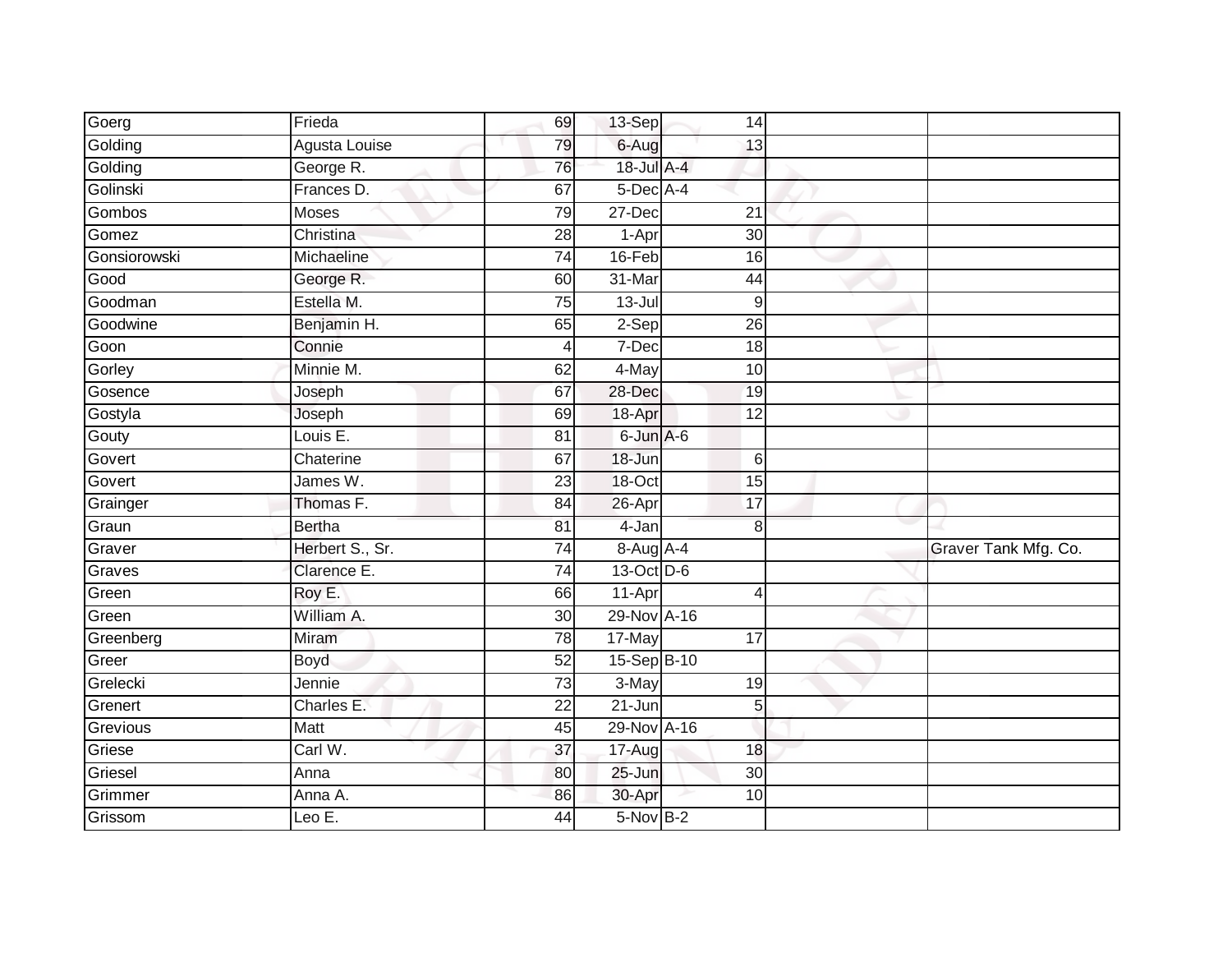| Goerg        | Frieda          | 69              | 13-Sep      | 14              |                      |
|--------------|-----------------|-----------------|-------------|-----------------|----------------------|
| Golding      | Agusta Louise   | 79              | 6-Aug       | 13              |                      |
| Golding      | George R.       | 76              | 18-Jul A-4  |                 |                      |
| Golinski     | Frances D.      | 67              | 5-Dec A-4   |                 |                      |
| Gombos       | <b>Moses</b>    | 79              | $27 - Dec$  | $\overline{21}$ |                      |
| Gomez        | Christina       | 28              | 1-Apr       | 30              |                      |
| Gonsiorowski | Michaeline      | 74              | 16-Feb      | 16              |                      |
| Good         | George R.       | 60              | 31-Mar      | 44              |                      |
| Goodman      | Estella M.      | 75              | $13 -$ Jul  | $9\,$           |                      |
| Goodwine     | Benjamin H.     | 65              | $2-Sep$     | 26              |                      |
| Goon         | Connie          | 4               | 7-Dec       | 18              |                      |
| Gorley       | Minnie M.       | 62              | 4-May       | 10              |                      |
| Gosence      | Joseph          | 67              | 28-Dec      | 19              |                      |
| Gostyla      | Joseph          | 69              | 18-Apr      | 12              |                      |
| Gouty        | Louis E.        | 81              | 6-Jun A-6   |                 |                      |
| Govert       | Chaterine       | 67              | 18-Jun      | 6               |                      |
| Govert       | James W.        | 23              | 18-Oct      | $\overline{15}$ |                      |
| Grainger     | Thomas F.       | 84              | 26-Apr      | 17              |                      |
| Graun        | <b>Bertha</b>   | 81              | 4-Jan       | 8               |                      |
| Graver       | Herbert S., Sr. | 74              | 8-Aug A-4   |                 | Graver Tank Mfg. Co. |
| Graves       | Clarence E.     | 74              | 13-Oct D-6  |                 |                      |
| Green        | Roy E.          | 66              | 11-Apr      | 4               |                      |
| Green        | William A.      | 30              | 29-Nov A-16 |                 |                      |
| Greenberg    | Miram           | 78              | 17-May      | 17              |                      |
| Greer        | Boyd            | 52              | 15-Sep B-10 |                 |                      |
| Grelecki     | Jennie          | 73              | 3-May       | 19              |                      |
| Grenert      | Charles E.      | $\overline{22}$ | $21 - Jun$  | 5               |                      |
| Grevious     | <b>Matt</b>     | 45              | 29-Nov A-16 |                 |                      |
| Griese       | Carl W.         | 37              | 17-Aug      | 18              |                      |
| Griesel      | Anna            | 80              | 25-Jun      | 30              |                      |
| Grimmer      | Anna A.         | 86              | 30-Apr      | 10              |                      |
| Grissom      | Leo E.          | 44              | 5-Nov B-2   |                 |                      |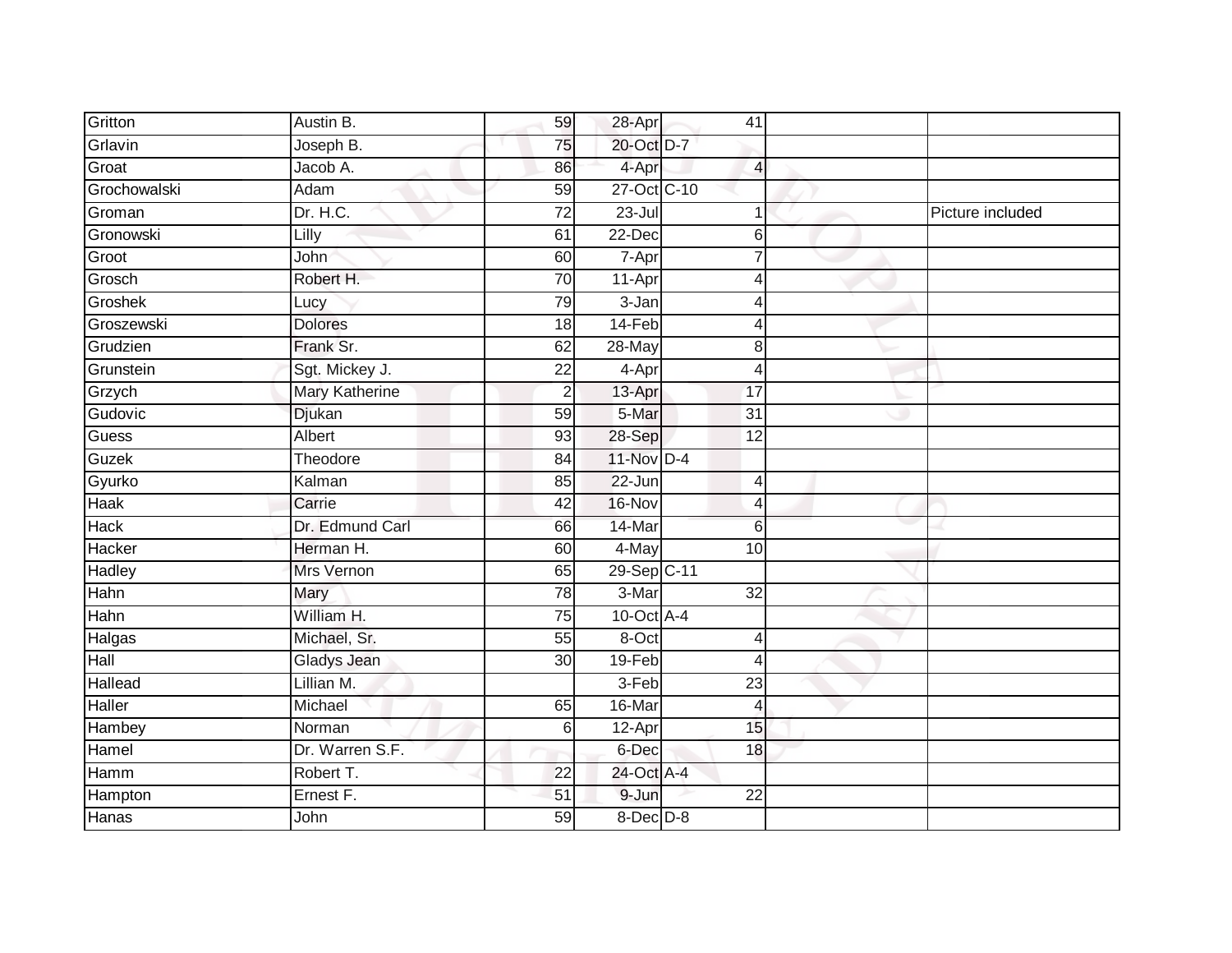| Austin B.          | 59              |            | 41                      |                                                                                                                                                          |                  |
|--------------------|-----------------|------------|-------------------------|----------------------------------------------------------------------------------------------------------------------------------------------------------|------------------|
| Joseph B.          | 75              |            |                         |                                                                                                                                                          |                  |
| Jacob A.           | 86              | 4-Apr      | $\overline{\mathbf{4}}$ |                                                                                                                                                          |                  |
| Adam               | 59              |            |                         |                                                                                                                                                          |                  |
| Dr. H.C.           | $\overline{72}$ | $23 -$ Jul | 1                       |                                                                                                                                                          | Picture included |
| Lilly              | 61              | 22-Dec     | 6                       |                                                                                                                                                          |                  |
| John               | 60              | 7-Apr      | 7                       |                                                                                                                                                          |                  |
| Robert H.          | 70              | 11-Apr     | $\overline{4}$          |                                                                                                                                                          |                  |
| Lucy               | 79              | $3 - Jan$  | $\overline{4}$          |                                                                                                                                                          |                  |
| <b>Dolores</b>     | $\overline{18}$ |            | $\overline{4}$          |                                                                                                                                                          |                  |
| Frank Sr.          | 62              | 28-May     | 8                       |                                                                                                                                                          |                  |
| Sgt. Mickey J.     | $\overline{22}$ | 4-Apr      | $\overline{4}$          |                                                                                                                                                          |                  |
| Mary Katherine     | $\overline{2}$  |            | 17                      |                                                                                                                                                          |                  |
| Djukan             | 59              | 5-Mar      | $\overline{31}$         |                                                                                                                                                          |                  |
| Albert             | 93              |            | $\overline{12}$         |                                                                                                                                                          |                  |
| Theodore           | 84              |            |                         |                                                                                                                                                          |                  |
| Kalman             | 85              | $22 - Jun$ | $\overline{4}$          |                                                                                                                                                          |                  |
| Carrie             | 42              | 16-Nov     | $\overline{4}$          |                                                                                                                                                          |                  |
| Dr. Edmund Carl    | 66              | 14-Mar     | 6                       |                                                                                                                                                          |                  |
| Herman H.          | 60              | 4-May      | 10                      |                                                                                                                                                          |                  |
| Mrs Vernon         | 65              |            |                         |                                                                                                                                                          |                  |
| Mary               | 78              | 3-Mar      | $\overline{32}$         |                                                                                                                                                          |                  |
| William H.         | 75              |            |                         |                                                                                                                                                          |                  |
| Michael, Sr.       | 55              | 8-Oct      | $\overline{4}$          |                                                                                                                                                          |                  |
| <b>Gladys Jean</b> | $\overline{30}$ | $19-Feb$   | $\overline{4}$          |                                                                                                                                                          |                  |
| Lillian M.         |                 | $3-Feb$    | 23                      |                                                                                                                                                          |                  |
| Michael            | 65              | 16-Mar     | $\overline{4}$          |                                                                                                                                                          |                  |
| Norman             | 6               | 12-Apr     | 15                      |                                                                                                                                                          |                  |
| Dr. Warren S.F.    |                 |            | 18                      |                                                                                                                                                          |                  |
| Robert T.          | $\overline{22}$ |            |                         |                                                                                                                                                          |                  |
| Ernest F.          | 51              | 9-Jun      | $\overline{22}$         |                                                                                                                                                          |                  |
| John               | $\overline{59}$ |            |                         |                                                                                                                                                          |                  |
|                    |                 |            |                         | 28-Apr<br>20-Oct D-7<br>27-Oct C-10<br>14-Feb<br>13-Apr<br>28-Sep<br>$11-Nov$ D-4<br>29-Sep C-11<br>$10$ -Oct $A$ -4<br>6-Dec<br>24-Oct A-4<br>8-Dec D-8 |                  |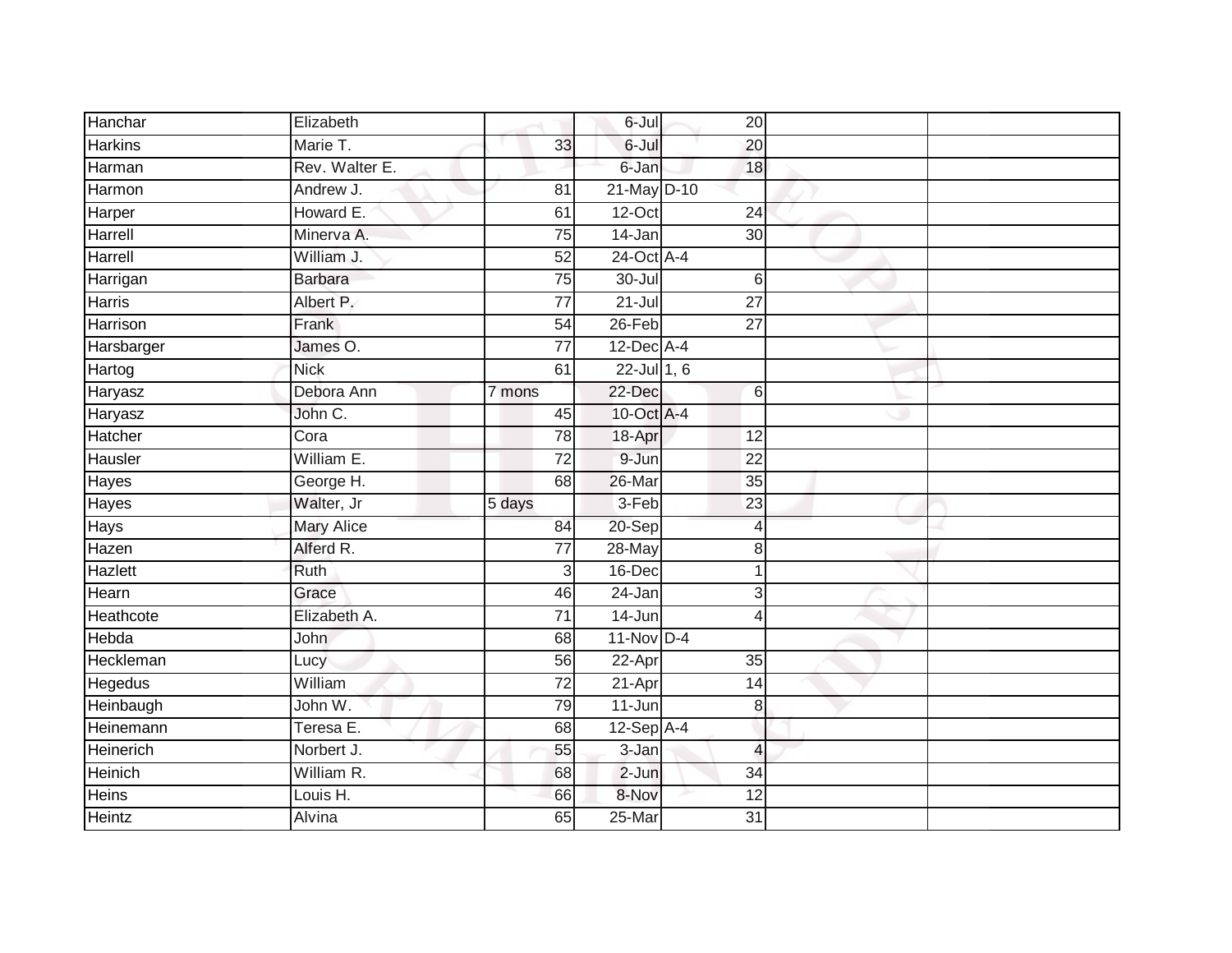| Hanchar          | Elizabeth         |                 | 6-Jul            | 20              |  |
|------------------|-------------------|-----------------|------------------|-----------------|--|
| <b>Harkins</b>   | Marie T.          | 33              | 6-Jul            | $\overline{20}$ |  |
| Harman           | Rev. Walter E.    |                 | 6-Jan            | $\overline{18}$ |  |
| Harmon           | Andrew J.         | 81              | 21-May D-10      |                 |  |
| Harper           | Howard E.         | 61              | $12-Oct$         | $\overline{24}$ |  |
| Harrell          | Minerva A.        | 75              | 14-Jan           | $\overline{30}$ |  |
| Harrell          | William J.        | 52              | 24-Oct A-4       |                 |  |
| Harrigan         | <b>Barbara</b>    | 75              | $30 -$ Jul       | 6               |  |
| <b>Harris</b>    | Albert P.         | $\overline{77}$ | $21 -$ Jul       | $\overline{27}$ |  |
| Harrison         | Frank             | $\overline{54}$ | $26$ -Feb        | $\overline{27}$ |  |
| Harsbarger       | James O.          | $\overline{77}$ | $12$ -Dec $A$ -4 |                 |  |
| Hartog           | <b>Nick</b>       | 61              | 22-Jul 1, 6      |                 |  |
| Haryasz          | Debora Ann        | 7 mons          | 22-Dec           | $6\phantom{.}$  |  |
| Haryasz          | John C.           | 45              | 10-Oct A-4       |                 |  |
| Hatcher          | Cora              | 78              | 18-Apr           | 12              |  |
| Hausler          | William E.        | $\overline{72}$ | 9-Jun            | $\overline{22}$ |  |
| <b>Hayes</b>     | George H.         | 68              | 26-Mar           | 35              |  |
| <b>Hayes</b>     | Walter, Jr        | 5 days          | $3-Feb$          | $\overline{23}$ |  |
| <b>Hays</b>      | <b>Mary Alice</b> | 84              | 20-Sep           | 4               |  |
| Hazen            | Alferd R.         | $\overline{77}$ | $28 - May$       | 8               |  |
| Hazlett          | Ruth              | $\overline{3}$  | 16-Dec           |                 |  |
| <b>Hearn</b>     | Grace             | 46              | $24 - Jan$       | 3               |  |
| Heathcote        | Elizabeth A.      | $\overline{71}$ | 14-Jun           | Δ               |  |
| Hebda            | <b>John</b>       | 68              | $11-Nov$ D-4     |                 |  |
| Heckleman        | Lucy              | 56              | 22-Apr           | $\overline{35}$ |  |
| Hegedus          | William           | $\overline{72}$ | $21-Apr$         | $\overline{14}$ |  |
| Heinbaugh        | John W.           | 79              | $11 - Jun$       | 8               |  |
| Heinemann        | Teresa E.         | 68              | 12-Sep A-4       |                 |  |
| <b>Heinerich</b> | Norbert J.        | 55              | $3 - Jan$        | $\overline{4}$  |  |
| Heinich          | William R.        | 68              | $2-Jun$          | 34              |  |
| Heins            | Louis H.          | 66              | 8-Nov            | 12              |  |
| Heintz           | Alvina            | 65              | $25$ -Mar        | $\overline{31}$ |  |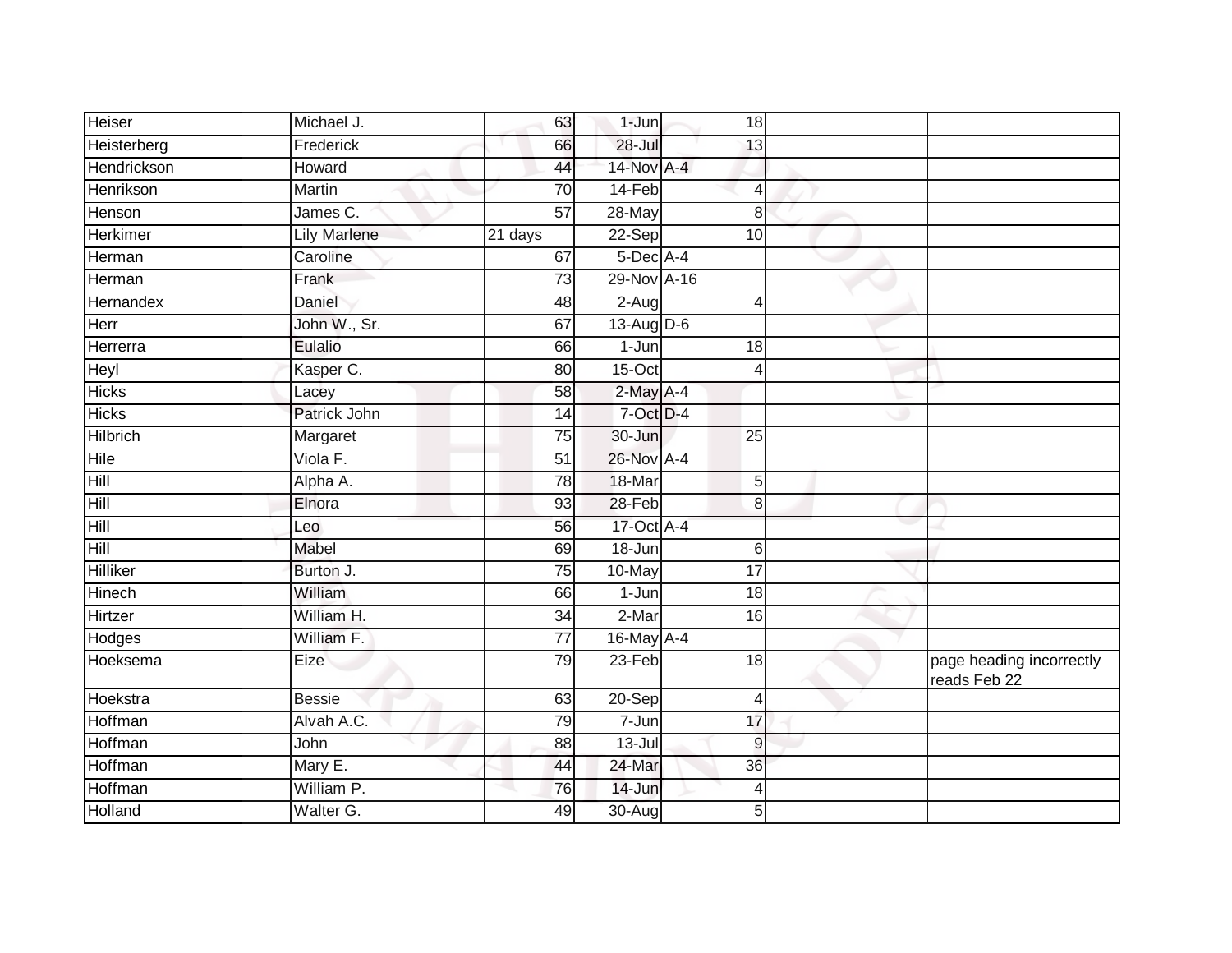| Michael J.          | 63              |            |                |                                                                                                                                                                                                                                                                                                        |                                               |
|---------------------|-----------------|------------|----------------|--------------------------------------------------------------------------------------------------------------------------------------------------------------------------------------------------------------------------------------------------------------------------------------------------------|-----------------------------------------------|
| Frederick           | 66              | $28 -$ Jul |                |                                                                                                                                                                                                                                                                                                        |                                               |
| Howard              | 44              |            |                |                                                                                                                                                                                                                                                                                                        |                                               |
| Martin              | 70              |            | 4              |                                                                                                                                                                                                                                                                                                        |                                               |
| James C.            | $\overline{57}$ | 28-May     |                |                                                                                                                                                                                                                                                                                                        |                                               |
| <b>Lily Marlene</b> | 21 days         |            |                |                                                                                                                                                                                                                                                                                                        |                                               |
| Caroline            | 67              |            |                |                                                                                                                                                                                                                                                                                                        |                                               |
| Frank               | 73              |            |                |                                                                                                                                                                                                                                                                                                        |                                               |
| Daniel              | 48              |            | 4              |                                                                                                                                                                                                                                                                                                        |                                               |
| John W., Sr.        | 67              |            |                |                                                                                                                                                                                                                                                                                                        |                                               |
| Eulalio             | 66              |            |                |                                                                                                                                                                                                                                                                                                        |                                               |
| Kasper C.           | 80              |            | $\overline{4}$ |                                                                                                                                                                                                                                                                                                        |                                               |
| Lacey               | 58              |            |                |                                                                                                                                                                                                                                                                                                        |                                               |
| Patrick John        | 14              |            |                |                                                                                                                                                                                                                                                                                                        |                                               |
| Margaret            | $\overline{75}$ |            |                |                                                                                                                                                                                                                                                                                                        |                                               |
| Viola F.            | 51              |            |                |                                                                                                                                                                                                                                                                                                        |                                               |
| Alpha A.            | 78              | 18-Mar     |                |                                                                                                                                                                                                                                                                                                        |                                               |
| Elnora              | 93              |            |                |                                                                                                                                                                                                                                                                                                        |                                               |
| Leo                 | 56              |            |                |                                                                                                                                                                                                                                                                                                        |                                               |
| <b>Mabel</b>        | 69              | $18 - Jun$ |                |                                                                                                                                                                                                                                                                                                        |                                               |
| Burton J.           | 75              | 10-May     | 17             |                                                                                                                                                                                                                                                                                                        |                                               |
| William             | 66              | $1-Jun$    |                |                                                                                                                                                                                                                                                                                                        |                                               |
| William H.          | 34              | 2-Mar      |                |                                                                                                                                                                                                                                                                                                        |                                               |
| William F.          | $\overline{77}$ |            |                |                                                                                                                                                                                                                                                                                                        |                                               |
| Eize                | 79              |            |                |                                                                                                                                                                                                                                                                                                        | page heading incorrectly<br>reads Feb 22      |
| <b>Bessie</b>       | 63              |            | 4              |                                                                                                                                                                                                                                                                                                        |                                               |
| Alvah A.C.          | 79              | $7 - Jun$  |                |                                                                                                                                                                                                                                                                                                        |                                               |
| John                | 88              | $13 -$ Jul |                |                                                                                                                                                                                                                                                                                                        |                                               |
| Mary E.             | 44              | 24-Mar     |                |                                                                                                                                                                                                                                                                                                        |                                               |
| William P.          | 76              | 14-Jun     | 4              |                                                                                                                                                                                                                                                                                                        |                                               |
| Walter G.           | 49              |            | 5              |                                                                                                                                                                                                                                                                                                        |                                               |
|                     |                 |            |                | 1-Jun<br>13<br>14-Nov A-4<br>14-Feb<br>8<br>22-Sep<br>5-Dec A-4<br>29-Nov A-16<br>2-Aug<br>$13-Aug$ D-6<br>1-Jun<br>15-Oct<br>$2$ -May A-4<br>7-Oct D-4<br>30-Jun<br>$\overline{25}$<br>26-Nov A-4<br>5<br>28-Feb<br>8<br>17-Oct A-4<br>6<br>16-May A-4<br>23-Feb<br>20-Sep<br>17<br>9<br>36<br>30-Aug | 18<br>10<br>18<br>$\overline{18}$<br>16<br>18 |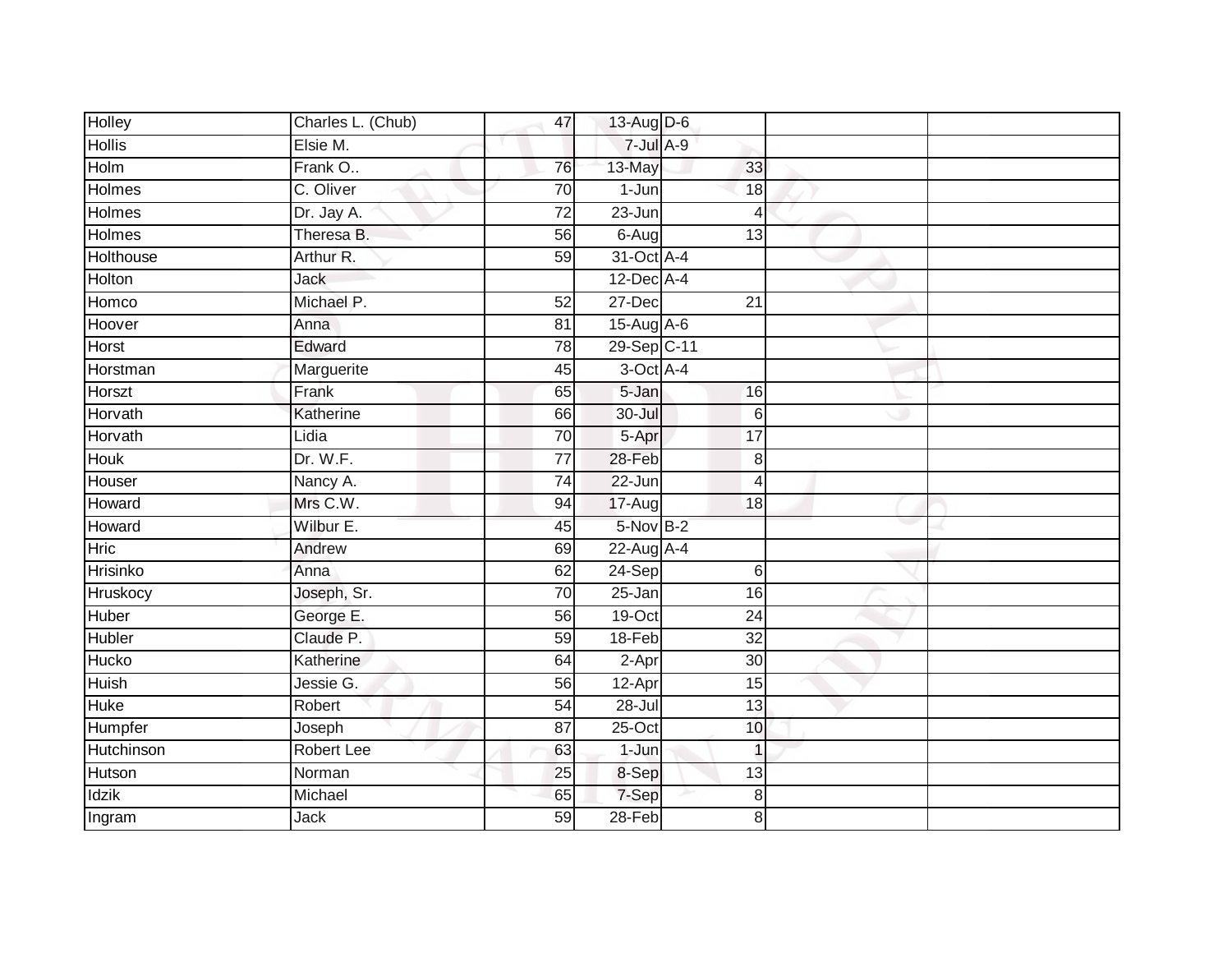| Holley        | Charles L. (Chub) | 47              | 13-Aug D-6       |    |                 |  |
|---------------|-------------------|-----------------|------------------|----|-----------------|--|
| <b>Hollis</b> | Elsie M.          |                 | $7$ -Jul $A-9$   |    |                 |  |
| Holm          | Frank O           | 76              | 13-May           |    | 33              |  |
| Holmes        | C. Oliver         | 70              | $1-Jun$          |    | 18              |  |
| Holmes        | Dr. Jay A.        | $\overline{72}$ | $23 - Jun$       |    | $\overline{4}$  |  |
| Holmes        | Theresa B.        | 56              | 6-Aug            |    | $\overline{13}$ |  |
| Holthouse     | Arthur R.         | $\overline{59}$ | 31-Oct A-4       |    |                 |  |
| Holton        | Jack              |                 | $12$ -Dec $A$ -4 |    |                 |  |
| Homco         | Michael P.        | 52              | 27-Dec           | 21 |                 |  |
| Hoover        | Anna              | 81              | 15-Aug A-6       |    |                 |  |
| Horst         | Edward            | 78              | 29-Sep C-11      |    |                 |  |
| Horstman      | Marguerite        | 45              | 3-Oct A-4        |    |                 |  |
| Horszt        | Frank             | 65              | 5-Jan            |    | 16              |  |
| Horvath       | Katherine         | 66              | 30-Jul           |    | $6\phantom{1}6$ |  |
| Horvath       | Lidia             | 70              | 5-Apr            |    | $\overline{17}$ |  |
| <b>Houk</b>   | Dr. W.F.          | 77              | 28-Feb           |    | 8               |  |
| Houser        | Nancy A.          | 74              | 22-Jun           |    | $\overline{4}$  |  |
| Howard        | Mrs C.W.          | 94              | 17-Aug           |    | 18              |  |
| Howard        | Wilbur E.         | 45              | 5-Nov B-2        |    |                 |  |
| <b>Hric</b>   | Andrew            | 69              | 22-Aug A-4       |    |                 |  |
| Hrisinko      | Anna              | 62              | $24-Sep$         |    | 6               |  |
| Hruskocy      | Joseph, Sr.       | $\overline{70}$ | $25 - Jan$       |    | 16              |  |
| Huber         | George E.         | 56              | $19$ -Oct        |    | 24              |  |
| Hubler        | Claude P.         | 59              | 18-Feb           |    | $\overline{32}$ |  |
| Hucko         | Katherine         | 64              | 2-Apr            |    | 30              |  |
| Huish         | Jessie G.         | 56              | 12-Apr           |    | 15              |  |
| Huke          | Robert            | $\overline{54}$ | $28 -$ Jul       |    | 13              |  |
| Humpfer       | Joseph            | 87              | 25-Oct           |    | 10              |  |
| Hutchinson    | Robert Lee        | 63              | $1 - Jun$        |    | 1               |  |
| Hutson        | Norman            | 25              | 8-Sep            |    | 13              |  |
| Idzik         | Michael           | 65              | 7-Sep            |    | 8               |  |
| Ingram        | <b>Jack</b>       | 59              | $28-Feb$         |    | 8               |  |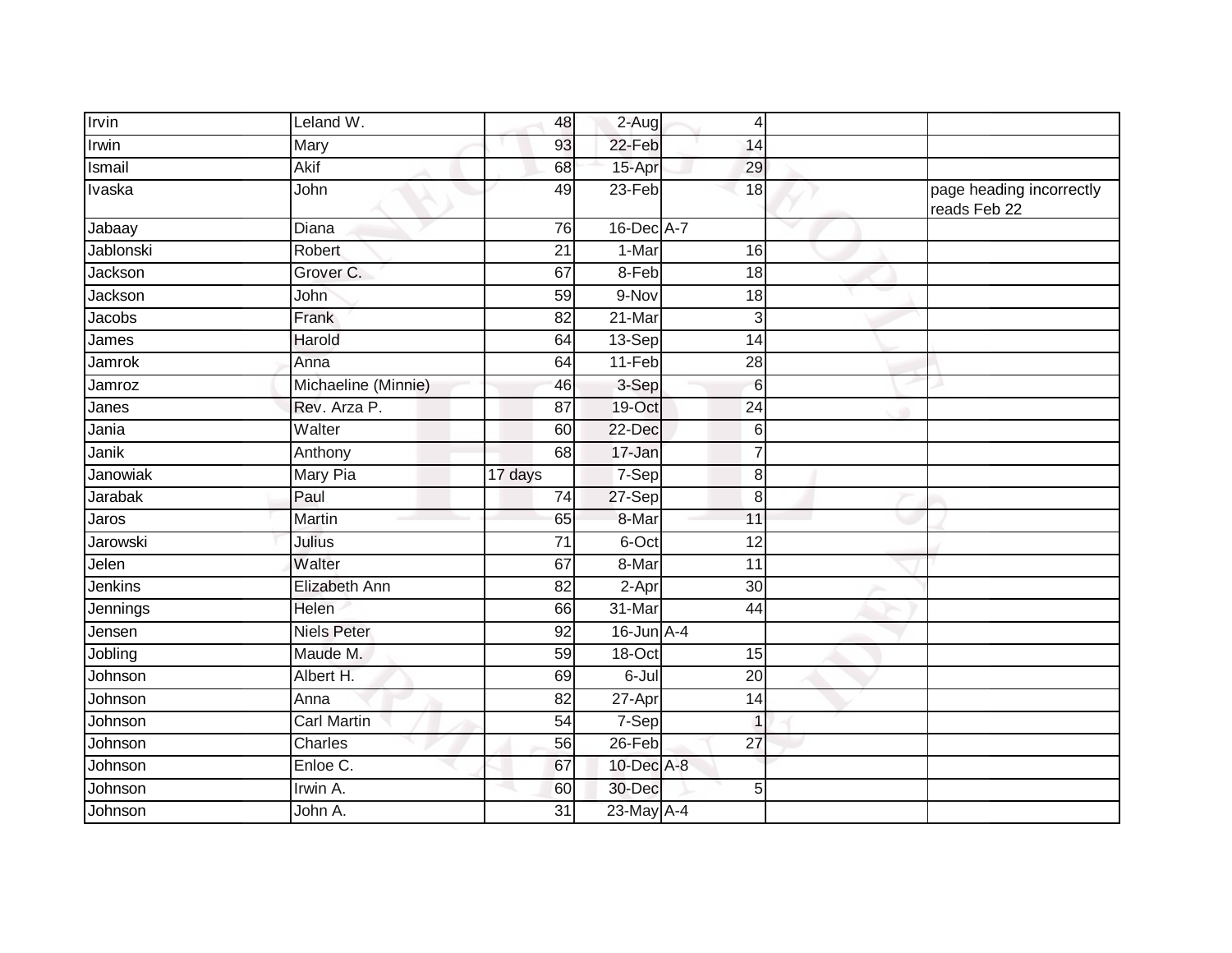| Irvin     | Leland W.           | 48              | 2-Aug            | $\overline{4}$  |                                          |
|-----------|---------------------|-----------------|------------------|-----------------|------------------------------------------|
| Irwin     | Mary                | 93              | 22-Feb           | 14              |                                          |
| Ismail    | Akif                | 68              | 15-Apr           | 29              |                                          |
| Ivaska    | John                | 49              | 23-Feb           | 18              | page heading incorrectly<br>reads Feb 22 |
| Jabaay    | Diana               | 76              | $16$ -Dec $A$ -7 |                 |                                          |
| Jablonski | <b>Robert</b>       | $\overline{21}$ | 1-Mar            | 16              |                                          |
| Jackson   | Grover C.           | 67              | 8-Feb            | 18              |                                          |
| Jackson   | John                | 59              | 9-Nov            | 18              |                                          |
| Jacobs    | Frank               | 82              | 21-Mar           | 3               |                                          |
| James     | Harold              | 64              | 13-Sep           | 14              |                                          |
| Jamrok    | Anna                | 64              | 11-Feb           | 28              |                                          |
| Jamroz    | Michaeline (Minnie) | 46              | 3-Sep            | 6               |                                          |
| Janes     | Rev. Arza P.        | $\overline{87}$ | 19-Oct           | $\overline{24}$ |                                          |
| Jania     | Walter              | 60              | 22-Dec           | $6\phantom{1}6$ |                                          |
| Janik     | Anthony             | 68              | 17-Jan           | $\overline{7}$  |                                          |
| Janowiak  | Mary Pia            | 17 days         | 7-Sep            | 8               |                                          |
| Jarabak   | Paul                | $\overline{74}$ | 27-Sep           | 8               |                                          |
| Jaros     | Martin              | 65              | 8-Mar            | 11              |                                          |
| Jarowski  | Julius              | 71              | 6-Oct            | 12              |                                          |
| Jelen     | Walter              | 67              | 8-Mar            | $\overline{11}$ |                                          |
| Jenkins   | Elizabeth Ann       | 82              | 2-Apr            | 30              |                                          |
| Jennings  | Helen               | 66              | 31-Mar           | $\overline{44}$ |                                          |
| Jensen    | <b>Niels Peter</b>  | 92              | $16$ -Jun $A$ -4 |                 |                                          |
| Jobling   | Maude M.            | 59              | 18-Oct           | 15              |                                          |
| Johnson   | Albert H.           | 69              | 6-Jul            | $\overline{20}$ |                                          |
| Johnson   | Anna                | 82              | 27-Apr           | 14              |                                          |
| Johnson   | <b>Carl Martin</b>  | $\overline{54}$ | 7-Sep            | 1               |                                          |
| Johnson   | Charles             | 56              | $26$ -Feb        | $\overline{27}$ |                                          |
| Johnson   | Enloe C.            | 67              | 10-Dec A-8       |                 |                                          |
| Johnson   | Irwin A.            | 60              | 30-Dec           | 5               |                                          |
| Johnson   | John A.             | 31              | 23-May A-4       |                 |                                          |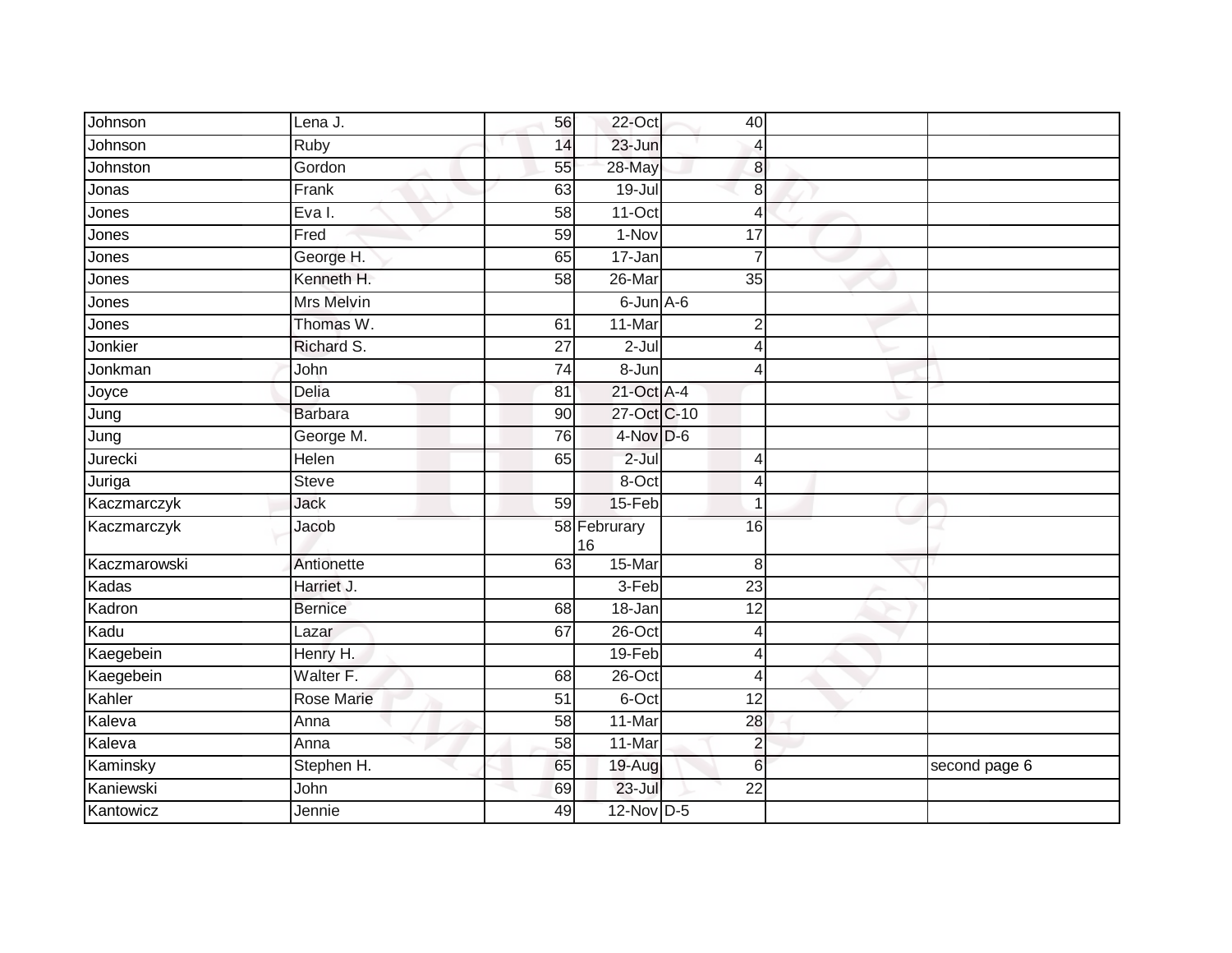| Johnson      | Lena J.           | 56              | 22-Oct             | 40              |               |
|--------------|-------------------|-----------------|--------------------|-----------------|---------------|
| Johnson      | Ruby              | 14              | 23-Jun             | $\overline{4}$  |               |
| Johnston     | Gordon            | 55              | 28-May             | 8               |               |
| Jonas        | Frank             | 63              | $19 -$ Jul         | 8               |               |
| Jones        | $Eva$ I.          | $\overline{58}$ | $11-Oct$           | 4               |               |
| Jones        | Fred              | 59              | 1-Nov              | 17              |               |
| Jones        | George H.         | 65              | 17-Jan             | $\overline{7}$  |               |
| Jones        | Kenneth H.        | 58              | 26-Mar             | 35              |               |
| Jones        | <b>Mrs Melvin</b> |                 | $6$ -Jun $A$ -6    |                 |               |
| Jones        | Thomas W.         | 61              | 11-Mar             | $\overline{2}$  |               |
| Jonkier      | Richard S.        | $\overline{27}$ | $2 -$ Jul          | $\overline{4}$  |               |
| Jonkman      | John              | 74              | 8-Jun              | 4               |               |
| Joyce        | Delia             | 81              | 21-Oct A-4         |                 |               |
| Jung         | <b>Barbara</b>    | 90              | 27-Oct C-10        |                 |               |
| Jung         | George M.         | 76              | 4-Nov D-6          |                 |               |
| Jurecki      | Helen             | 65              | $2 -$ Jul          | $\overline{4}$  |               |
| Juriga       | <b>Steve</b>      |                 | 8-Oct              | 4               |               |
| Kaczmarczyk  | Jack              | 59              | 15-Feb             |                 |               |
| Kaczmarczyk  | Jacob             |                 | 58 Februrary<br>16 | 16              |               |
| Kaczmarowski | Antionette        | 63              | 15-Mar             | 8               |               |
| Kadas        | Harriet J.        |                 | $3-Feb$            | 23              |               |
| Kadron       | <b>Bernice</b>    | 68              | 18-Jan             | $\overline{12}$ |               |
| Kadu         | Lazar             | 67              | $26$ -Oct          | $\overline{4}$  |               |
| Kaegebein    | Henry H.          |                 | 19-Feb             | 4               |               |
| Kaegebein    | Walter F.         | 68              | $26$ -Oct          | $\overline{4}$  |               |
| Kahler       | <b>Rose Marie</b> | 51              | 6-Oct              | 12              |               |
| Kaleva       | Anna              | 58              | 11-Mar             | 28              |               |
| Kaleva       | Anna              | 58              | 11-Mar             | $\overline{2}$  |               |
| Kaminsky     | Stephen H.        | 65              | 19-Aug             | $6\phantom{1}$  | second page 6 |
| Kaniewski    | John              | 69              | $23 -$ Jul         | $\overline{22}$ |               |
| Kantowicz    | Jennie            | 49              | 12-Nov D-5         |                 |               |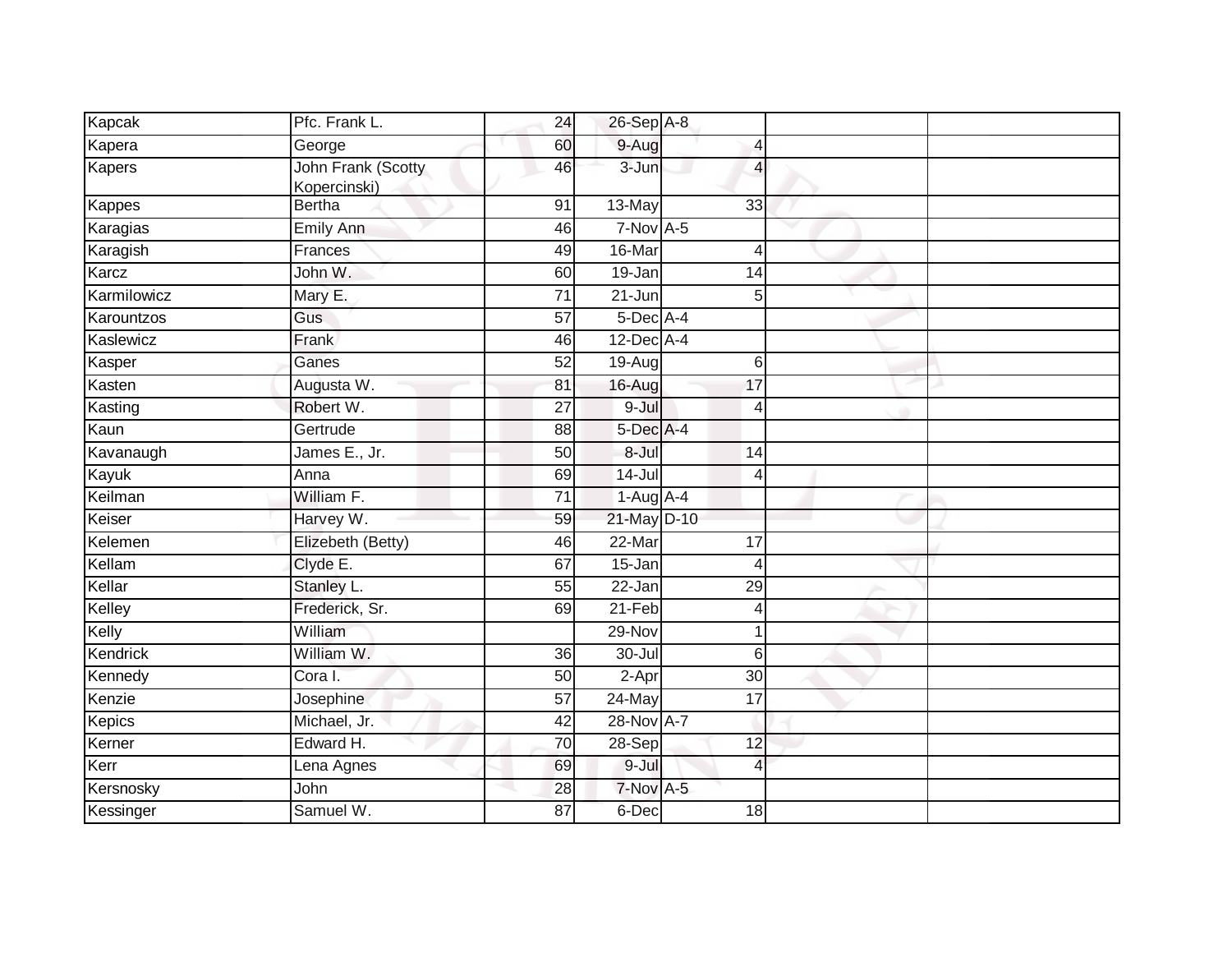| Kapcak        | Pfc. Frank L.                      | 24              | 26-Sep A-8      |                 |  |
|---------------|------------------------------------|-----------------|-----------------|-----------------|--|
| Kapera        | George                             | 60              | 9-Aug           | $\overline{4}$  |  |
| <b>Kapers</b> | John Frank (Scotty<br>Kopercinski) | 46              | $3 - Jun$       | 4               |  |
| Kappes        | <b>Bertha</b>                      | 91              | 13-May          | 33              |  |
| Karagias      | Emily Ann                          | 46              | $7-Nov$ A-5     |                 |  |
| Karagish      | Frances                            | 49              | 16-Mar          | $\overline{4}$  |  |
| Karcz         | John W.                            | 60              | 19-Jan          | 14              |  |
| Karmilowicz   | Mary E.                            | $\overline{71}$ | $21 - Jun$      | 5               |  |
| Karountzos    | Gus                                | 57              | $5$ -Dec $A$ -4 |                 |  |
| Kaslewicz     | Frank                              | 46              | 12-Dec A-4      |                 |  |
| Kasper        | Ganes                              | 52              | 19-Aug          | 6               |  |
| Kasten        | Augusta W.                         | 81              | 16-Aug          | 17              |  |
| Kasting       | Robert W.                          | $\overline{27}$ | 9-Jul           | $\overline{4}$  |  |
| Kaun          | Gertrude                           | 88              | 5-Dec A-4       |                 |  |
| Kavanaugh     | James E., Jr.                      | 50              | $8 -$ Jul       | 14              |  |
| Kayuk         | Anna                               | 69              | $14 -$ Jul      | $\overline{4}$  |  |
| Keilman       | William F.                         | 71              | $1-Aug$ A-4     |                 |  |
| Keiser        | Harvey W.                          | 59              | 21-May D-10     |                 |  |
| Kelemen       | Elizebeth (Betty)                  | 46              | 22-Mar          | 17              |  |
| Kellam        | Clyde E.                           | 67              | $15 - Jan$      | $\overline{4}$  |  |
| Kellar        | Stanley L.                         | 55              | 22-Jan          | 29              |  |
| Kelley        | Frederick, Sr.                     | 69              | $21-Feb$        | $\overline{4}$  |  |
| Kelly         | William                            |                 | 29-Nov          | 1               |  |
| Kendrick      | William W.                         | 36              | 30-Jul          | $6 \,$          |  |
| Kennedy       | Cora I.                            | 50              | 2-Apr           | $\overline{30}$ |  |
| Kenzie        | Josephine                          | 57              | 24-May          | 17              |  |
| Kepics        | Michael, Jr.                       | 42              | 28-Nov A-7      |                 |  |
| Kerner        | Edward H.                          | 70              | 28-Sep          | 12              |  |
| Kerr          | Lena Agnes                         | 69              | 9-Jul           | $\overline{4}$  |  |
| Kersnosky     | John                               | 28              | 7-Nov A-5       |                 |  |
| Kessinger     | Samuel W.                          | 87              | 6-Dec           | 18              |  |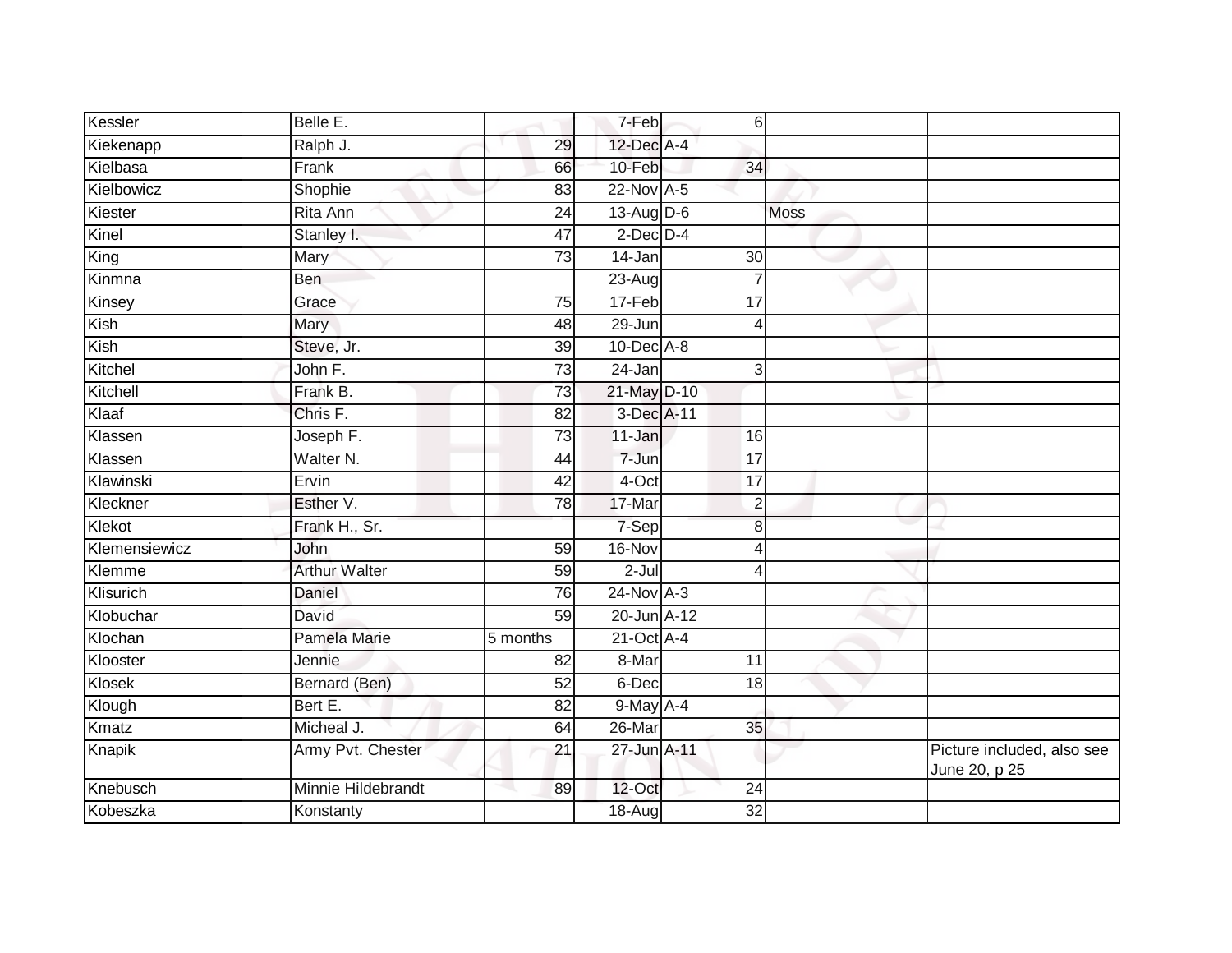| Kessler       | Belle E.             |                 | 7-Feb            |                 | 6           |                                             |
|---------------|----------------------|-----------------|------------------|-----------------|-------------|---------------------------------------------|
| Kiekenapp     | Ralph J.             | 29              | 12-Dec A-4       |                 |             |                                             |
| Kielbasa      | Frank                | 66              | 10-Feb           | 34              |             |                                             |
| Kielbowicz    | Shophie              | 83              | 22-Nov A-5       |                 |             |                                             |
| Kiester       | Rita Ann             | $\overline{24}$ | 13-Aug D-6       |                 | <b>Moss</b> |                                             |
| Kinel         | Stanley I.           | 47              | $2$ -Dec $D-4$   |                 |             |                                             |
| King          | Mary                 | 73              | 14-Jan           | 30              |             |                                             |
| Kinmna        | <b>Ben</b>           |                 | $23-Aug$         | $\overline{7}$  |             |                                             |
| Kinsey        | Grace                | 75              | 17-Feb           | $\overline{17}$ |             |                                             |
| Kish          | Mary                 | $\overline{48}$ | 29-Jun           | $\overline{4}$  |             |                                             |
| Kish          | Steve, Jr.           | 39              | $10$ -Dec $A-8$  |                 |             |                                             |
| Kitchel       | John F.              | 73              | 24-Jan           | 3               |             |                                             |
| Kitchell      | Frank B.             | 73              | 21-May D-10      |                 |             |                                             |
| Klaaf         | Chris F.             | 82              | 3-Dec A-11       |                 |             |                                             |
| Klassen       | Joseph F.            | 73              | 11-Jan           | 16              |             |                                             |
| Klassen       | Walter N.            | 44              | 7-Jun            | 17              |             |                                             |
| Klawinski     | Ervin                | $\overline{42}$ | $4$ -Oct         | $\overline{17}$ |             |                                             |
| Kleckner      | Esther V.            | 78              | 17-Mar           | $\overline{2}$  |             |                                             |
| Klekot        | Frank H., Sr.        |                 | 7-Sep            | 8               |             |                                             |
| Klemensiewicz | <b>John</b>          | 59              | 16-Nov           | $\overline{4}$  |             |                                             |
| Klemme        | <b>Arthur Walter</b> | 59              | $2-Jul$          | $\overline{4}$  |             |                                             |
| Klisurich     | Daniel               | 76              | 24-Nov A-3       |                 |             |                                             |
| Klobuchar     | David                | 59              | 20-Jun A-12      |                 |             |                                             |
| Klochan       | Pamela Marie         | 5 months        | $21$ -Oct $A$ -4 |                 |             |                                             |
| Klooster      | Jennie               | 82              | 8-Mar            | 11              |             |                                             |
| Klosek        | Bernard (Ben)        | 52              | 6-Dec            | 18              |             |                                             |
| Klough        | Bert E.              | 82              | $9$ -May A-4     |                 |             |                                             |
| Kmatz         | Micheal J.           | 64              | $26$ -Mar        | 35              |             |                                             |
| Knapik        | Army Pvt. Chester    | 21              | 27-Jun A-11      |                 |             | Picture included, also see<br>June 20, p 25 |
| Knebusch      | Minnie Hildebrandt   | 89              | 12-Oct           | 24              |             |                                             |
| Kobeszka      | Konstanty            |                 | $18-Aug$         | 32              |             |                                             |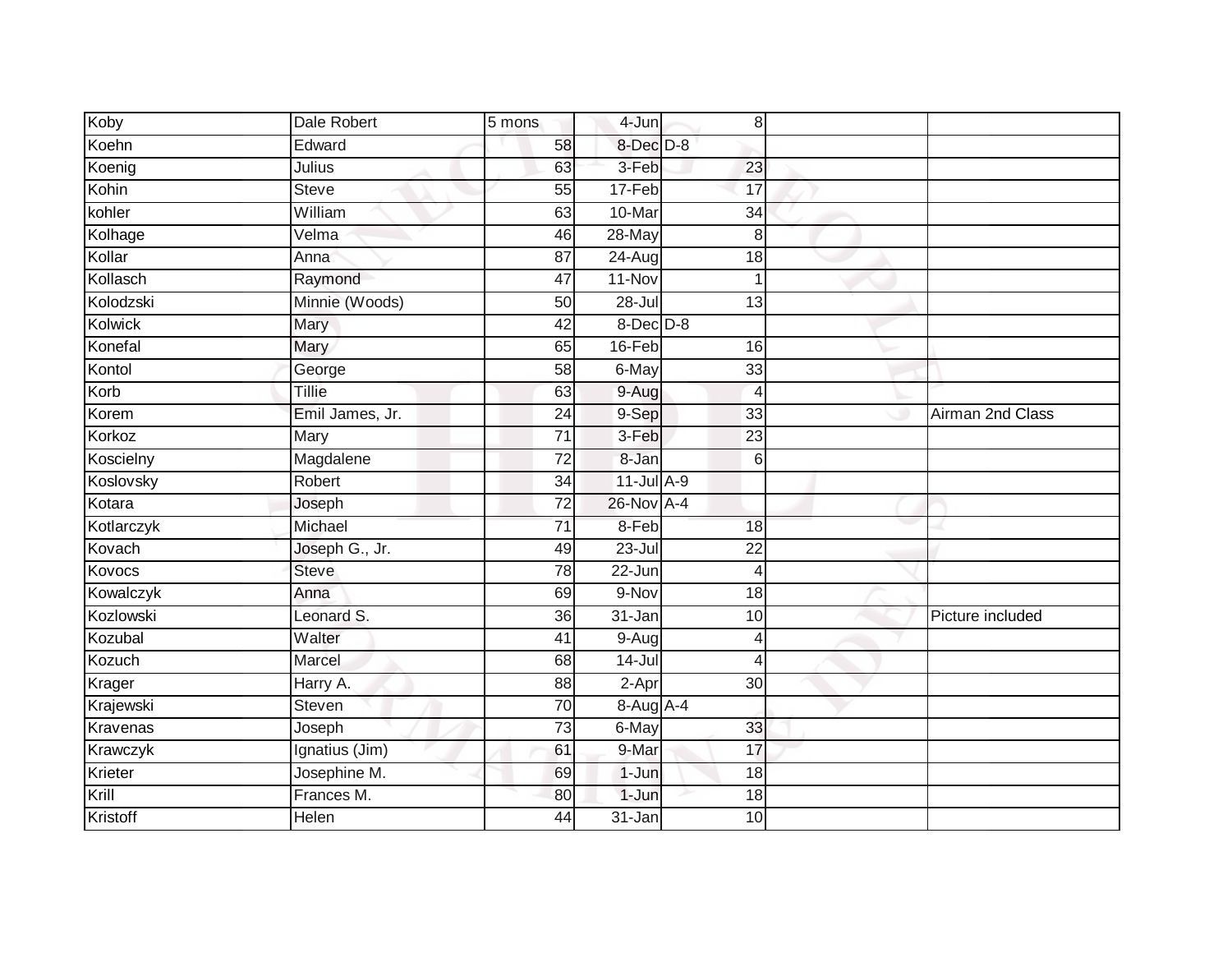| Koby       | Dale Robert     | $\overline{5}$ mons | 4-Jun          | 8               |                  |
|------------|-----------------|---------------------|----------------|-----------------|------------------|
| Koehn      | Edward          | 58                  | 8-Dec D-8      |                 |                  |
| Koenig     | Julius          | 63                  | 3-Feb          | 23              |                  |
| Kohin      | <b>Steve</b>    | 55                  | 17-Feb         | 17              |                  |
| kohler     | William         | 63                  | 10-Mar         | $\overline{34}$ |                  |
| Kolhage    | Velma           | 46                  | 28-May         | 8               |                  |
| Kollar     | Anna            | 87                  | $24 - Aug$     | 18              |                  |
| Kollasch   | Raymond         | 47                  | $11-Nov$       | $\overline{1}$  |                  |
| Kolodzski  | Minnie (Woods)  | 50                  | $28 -$ Jul     | 13              |                  |
| Kolwick    | Mary            | 42                  | $8$ -Dec $D-8$ |                 |                  |
| Konefal    | Mary            | 65                  | $16$ -Feb      | 16              |                  |
| Kontol     | George          | 58                  | 6-May          | 33              |                  |
| Korb       | Tillie          | 63                  | $9-Aug$        | 4               |                  |
| Korem      | Emil James, Jr. | 24                  | 9-Sep          | 33              | Airman 2nd Class |
| Korkoz     | Mary            | $\overline{71}$     | 3-Feb          | $\overline{23}$ |                  |
| Koscielny  | Magdalene       | 72                  | 8-Jan          | 6               |                  |
| Koslovsky  | Robert          | $\overline{34}$     | $11$ -Jul A-9  |                 |                  |
| Kotara     | Joseph          | 72                  | 26-Nov A-4     |                 |                  |
| Kotlarczyk | Michael         | $\overline{71}$     | 8-Feb          | 18              |                  |
| Kovach     | Joseph G., Jr.  | 49                  | $23 -$ Jul     | $\overline{22}$ |                  |
| Kovocs     | <b>Steve</b>    | 78                  | 22-Jun         | $\overline{4}$  |                  |
| Kowalczyk  | Anna            | 69                  | 9-Nov          | 18              |                  |
| Kozlowski  | Leonard S.      | 36                  | 31-Jan         | 10              | Picture included |
| Kozubal    | Walter          | 41                  | $9-Aug$        | 4               |                  |
| Kozuch     | Marcel          | 68                  | $14 -$ Jul     | $\overline{4}$  |                  |
| Krager     | Harry A.        | 88                  | 2-Apr          | $\overline{30}$ |                  |
| Krajewski  | Steven          | $\overline{70}$     | 8-Aug A-4      |                 |                  |
| Kravenas   | Joseph          | $\overline{73}$     | 6-May          | 33              |                  |
| Krawczyk   | Ignatius (Jim)  | 61                  | 9-Mar          | 17              |                  |
| Krieter    | Josephine M.    | 69                  | $1 - Jun$      | 18              |                  |
| Krill      | Frances M.      | 80                  | $1-Jun$        | 18              |                  |
| Kristoff   | <b>Helen</b>    | 44                  | $31 - Jan$     | 10              |                  |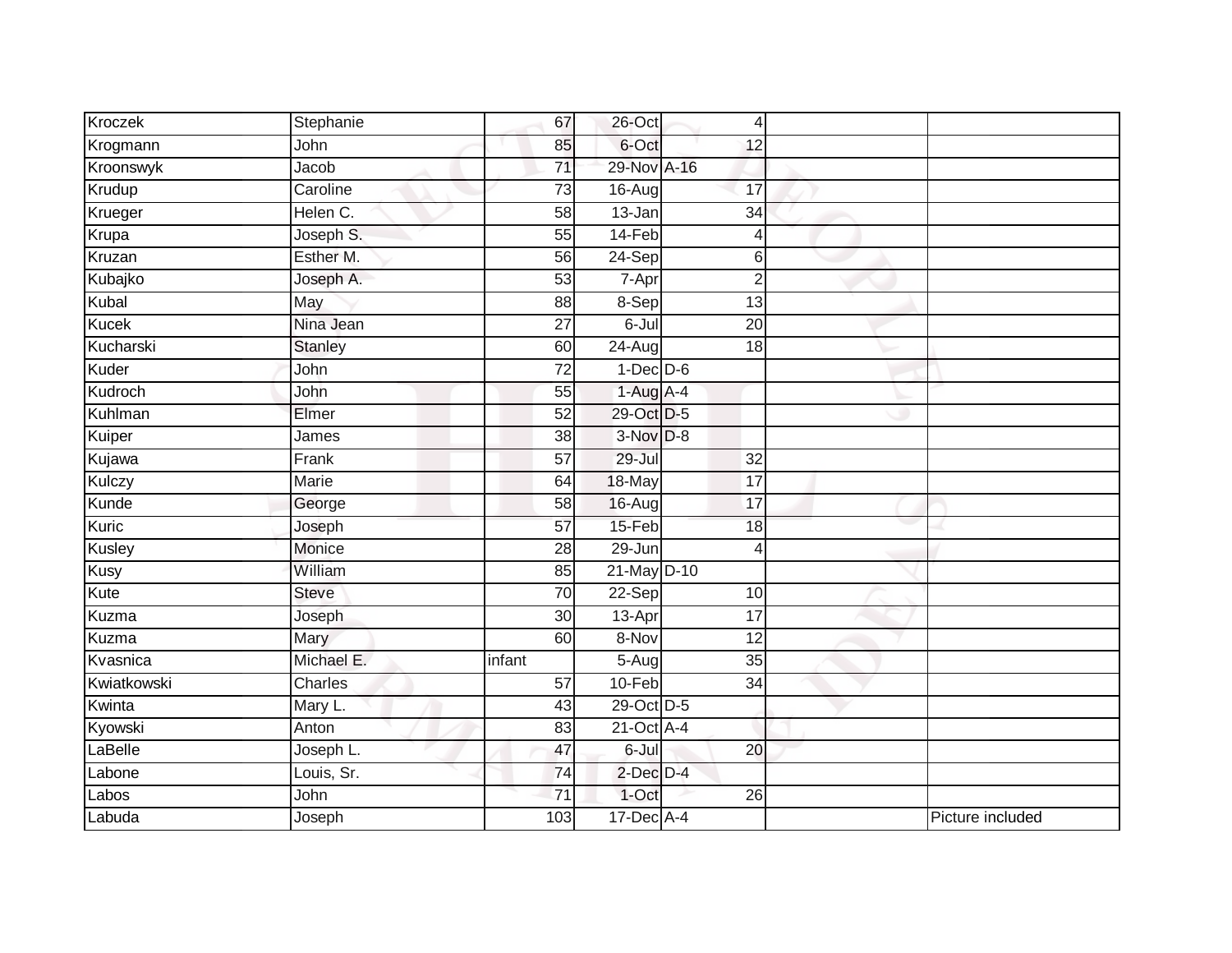| Kroczek      | Stephanie      | 67              | 26-Oct               | 4               |                  |
|--------------|----------------|-----------------|----------------------|-----------------|------------------|
| Krogmann     | John           | 85              | 6-Oct                | 12              |                  |
| Kroonswyk    | Jacob          | $\overline{71}$ | 29-Nov A-16          |                 |                  |
| Krudup       | Caroline       | 73              | $16 - Aug$           | 17              |                  |
| Krueger      | Helen C.       | $\overline{58}$ | $13 - Jan$           | $\overline{34}$ |                  |
| Krupa        | Joseph S.      | 55              | 14-Feb               | $\overline{4}$  |                  |
| Kruzan       | Esther M.      | 56              | $\overline{24}$ -Sep | 6               |                  |
| Kubajko      | Joseph A.      | 53              | 7-Apr                | $\overline{2}$  |                  |
| Kubal        | May            | 88              | 8-Sep                | 13              |                  |
| <b>Kucek</b> | Nina Jean      | $\overline{27}$ | $6 -$ Jul            | $\overline{20}$ |                  |
| Kucharski    | <b>Stanley</b> | 60              | 24-Aug               | $\overline{18}$ |                  |
| Kuder        | John           | $\overline{72}$ | $1-Dec$ $D-6$        |                 |                  |
| Kudroch      | John           | 55              | $1-Aug$ A-4          |                 |                  |
| Kuhlman      | Elmer          | $\overline{52}$ | 29-Oct D-5           |                 |                  |
| Kuiper       | James          | 38              | 3-Nov D-8            |                 |                  |
| Kujawa       | Frank          | 57              | 29-Jul               | 32              |                  |
| Kulczy       | Marie          | 64              | 18-May               | $\overline{17}$ |                  |
| Kunde        | George         | 58              | 16-Aug               | 17              |                  |
| Kuric        | Joseph         | 57              | 15-Feb               | 18              |                  |
| Kusley       | Monice         | 28              | 29-Jun               | $\overline{4}$  |                  |
| Kusy         | William        | 85              | 21-May D-10          |                 |                  |
| Kute         | <b>Steve</b>   | $\overline{70}$ | 22-Sep               | 10              |                  |
| Kuzma        | Joseph         | 30              | 13-Apr               | 17              |                  |
| Kuzma        | Mary           | 60              | 8-Nov                | $\overline{12}$ |                  |
| Kvasnica     | Michael E.     | infant          | 5-Aug                | 35              |                  |
| Kwiatkowski  | <b>Charles</b> | 57              | 10-Feb               | $\overline{34}$ |                  |
| Kwinta       | Mary L.        | 43              | 29-Oct D-5           |                 |                  |
| Kyowski      | Anton          | 83              | $21$ -Oct $A$ -4     |                 |                  |
| LaBelle      | Joseph L.      | 47              | $6 -$ Jul            | 20              |                  |
| Labone       | Louis, Sr.     | 74              | $2$ -Dec $D-4$       |                 |                  |
| Labos        | John           | 71              | 1-Oct                | 26              |                  |
| Labuda       | Joseph         | 103             | $17 - Dec$ A-4       |                 | Picture included |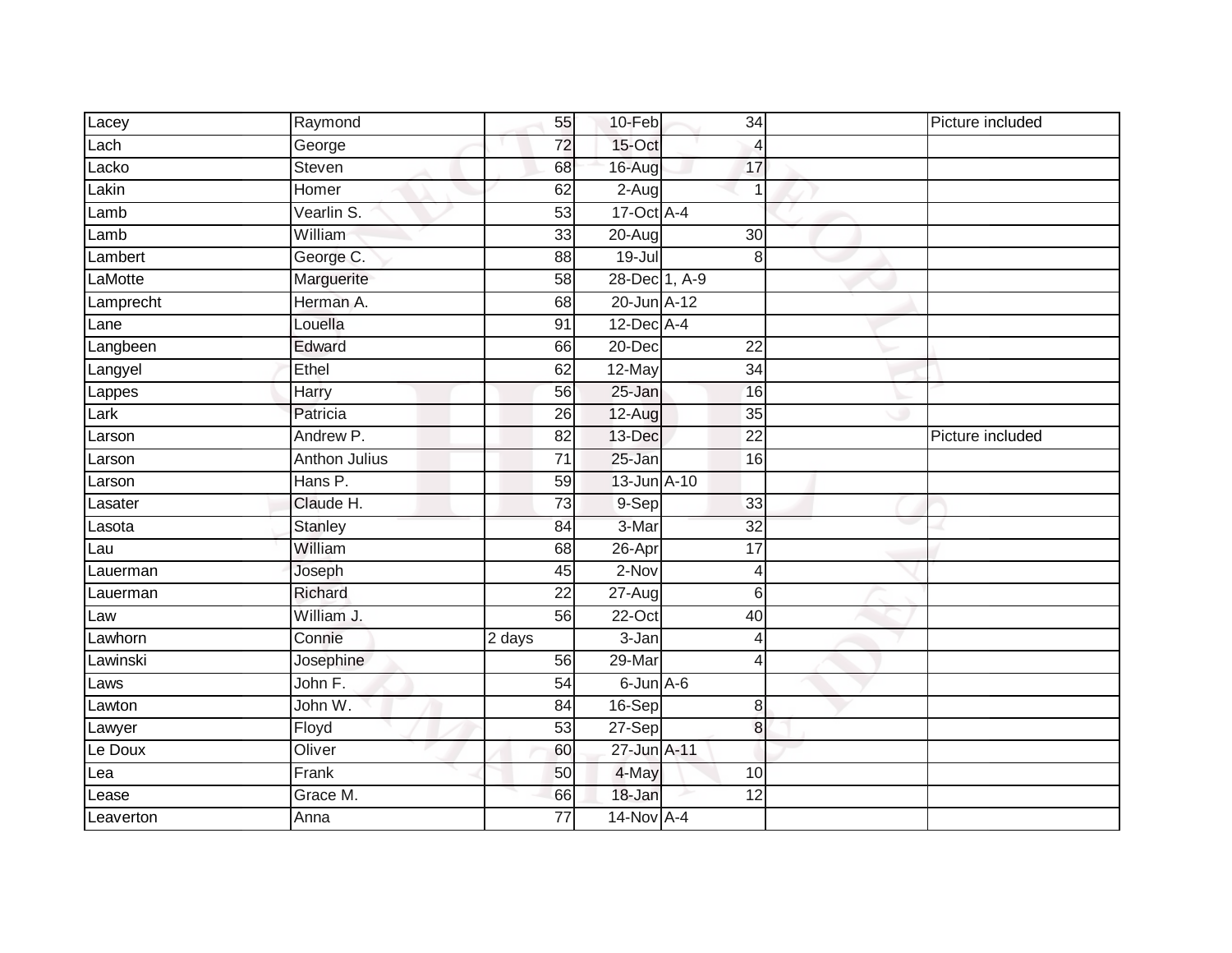| Lacey     | Raymond              | 55              | 10-Feb         | 34              | Picture included |
|-----------|----------------------|-----------------|----------------|-----------------|------------------|
| Lach      | George               | $\overline{72}$ | 15-Oct         | $\overline{4}$  |                  |
| Lacko     | Steven               | 68              | 16-Aug         | 17              |                  |
| Lakin     | Homer                | 62              | $2-Aug$        |                 |                  |
| Lamb      | Vearlin S.           | 53              | 17-Oct A-4     |                 |                  |
| Lamb      | William              | 33              | 20-Aug         | 30              |                  |
| Lambert   | George C.            | 88              | $19 -$ Jul     | 8               |                  |
| LaMotte   | Marguerite           | $\overline{58}$ | 28-Dec 1, A-9  |                 |                  |
| Lamprecht | Herman A.            | 68              | 20-Jun A-12    |                 |                  |
| Lane      | Louella              | 91              | 12-Dec A-4     |                 |                  |
| Langbeen  | Edward               | 66              | 20-Dec         | 22              |                  |
| Langyel   | Ethel                | 62              | 12-May         | $\overline{34}$ |                  |
| Lappes    | Harry                | 56              | $25 - Jan$     | 16              |                  |
| Lark      | Patricia             | 26              | 12-Aug         | 35              |                  |
| Larson    | Andrew P.            | $\overline{82}$ | 13-Dec         | $\overline{22}$ | Picture included |
| Larson    | <b>Anthon Julius</b> | 71              | $25 - Jan$     | 16              |                  |
| Larson    | Hans P.              | 59              | 13-Jun A-10    |                 |                  |
| Lasater   | Claude H.            | $\overline{73}$ | 9-Sep          | 33              |                  |
| Lasota    | <b>Stanley</b>       | 84              | 3-Mar          | $\overline{32}$ |                  |
| Lau       | William              | 68              | 26-Apr         | $\overline{17}$ |                  |
| Lauerman  | Joseph               | 45              | 2-Nov          | 4               |                  |
| Lauerman  | Richard              | $\overline{22}$ | 27-Aug         | 6               |                  |
| Law       | William J.           | 56              | $22-Oct$       | 40              |                  |
| Lawhorn   | Connie               | 2 days          | 3-Jan          | 4               |                  |
| Lawinski  | Josephine            | 56              | 29-Mar         | $\overline{A}$  |                  |
| Laws      | John F.              | 54              | $6$ -Jun $A-6$ |                 |                  |
| Lawton    | John W.              | $\overline{84}$ | 16-Sep         | 8               |                  |
| Lawyer    | Floyd                | 53              | 27-Sep         | 8               |                  |
| Le Doux   | Oliver               | 60              | 27-Jun A-11    |                 |                  |
| Lea       | Frank                | 50              | 4-May          | 10              |                  |
| Lease     | Grace M.             | 66              | 18-Jan         | 12              |                  |
| Leaverton | Anna                 | $\overline{77}$ | 14-Nov A-4     |                 |                  |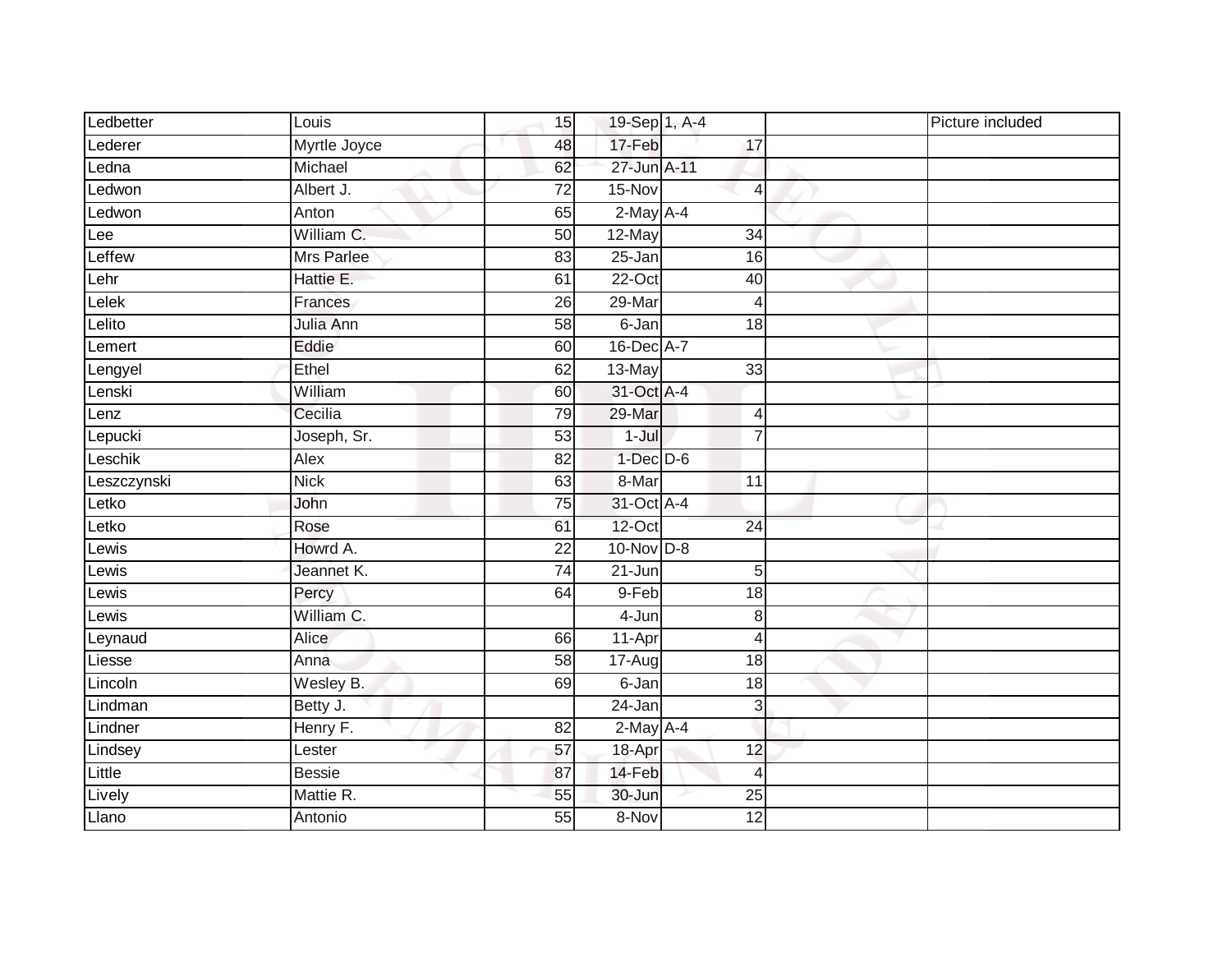| Ledbetter   | Louis             | 15              | 19-Sep 1, A-4   |                 | Picture included |
|-------------|-------------------|-----------------|-----------------|-----------------|------------------|
| Lederer     | Myrtle Joyce      | 48              | 17-Feb          | 17              |                  |
| Ledna       | Michael           | 62              | 27-Jun A-11     |                 |                  |
| Ledwon      | Albert J.         | $\overline{72}$ | 15-Nov          | 4               |                  |
| Ledwon      | Anton             | 65              | $2$ -May $A-4$  |                 |                  |
| Lee         | William C.        | 50              | 12-May          | $\overline{34}$ |                  |
| Leffew      | <b>Mrs Parlee</b> | 83              | 25-Jan          | 16              |                  |
| Lehr        | Hattie E.         | 61              | 22-Oct          | 40              |                  |
| Lelek       | Frances           | 26              | 29-Mar          | $\overline{4}$  |                  |
| Lelito      | Julia Ann         | $\overline{58}$ | $6 - Jan$       | $\overline{18}$ |                  |
| Lemert      | Eddie             | 60              | $16$ -Dec $A-7$ |                 |                  |
| Lengyel     | Ethel             | 62              | 13-May          | 33              |                  |
| Lenski      | William           | 60              | 31-Oct A-4      |                 |                  |
| Lenz        | Cecilia           | 79              | 29-Mar          | 4               |                  |
| Lepucki     | Joseph, Sr.       | $\overline{53}$ | $1 -$ Jul       |                 |                  |
| Leschik     | Alex              | $\overline{82}$ | $1-Dec$ $D-6$   |                 |                  |
| Leszczynski | <b>Nick</b>       | 63              | 8-Mar           | 11              |                  |
| Letko       | John              | 75              | 31-Oct A-4      |                 |                  |
| Letko       | Rose              | 61              | 12-Oct          | $\overline{24}$ |                  |
| Lewis       | Howrd A.          | $\overline{22}$ | $10$ -Nov $D-8$ |                 |                  |
| Lewis       | Jeannet K.        | 74              | 21-Jun          | 5               |                  |
| Lewis       | Percy             | 64              | 9-Feb           | 18              |                  |
| Lewis       | William C.        |                 | 4-Jun           | 8               |                  |
| Leynaud     | Alice             | 66              | 11-Apr          | 4               |                  |
| Liesse      | Anna              | 58              | 17-Aug          | 18              |                  |
| Lincoln     | Wesley B.         | 69              | 6-Jan           | $\overline{18}$ |                  |
| Lindman     | Betty J.          |                 | 24-Jan          | 3               |                  |
| Lindner     | Henry F.          | 82              | $2$ -May A-4    |                 |                  |
| Lindsey     | Lester            | 57              | 18-Apr          | 12              |                  |
| Little      | <b>Bessie</b>     | 87              | 14-Feb          | 4               |                  |
| Lively      | Mattie R.         | 55              | 30-Jun          | 25              |                  |
| Llano       | Antonio           | 55              | 8-Nov           | 12              |                  |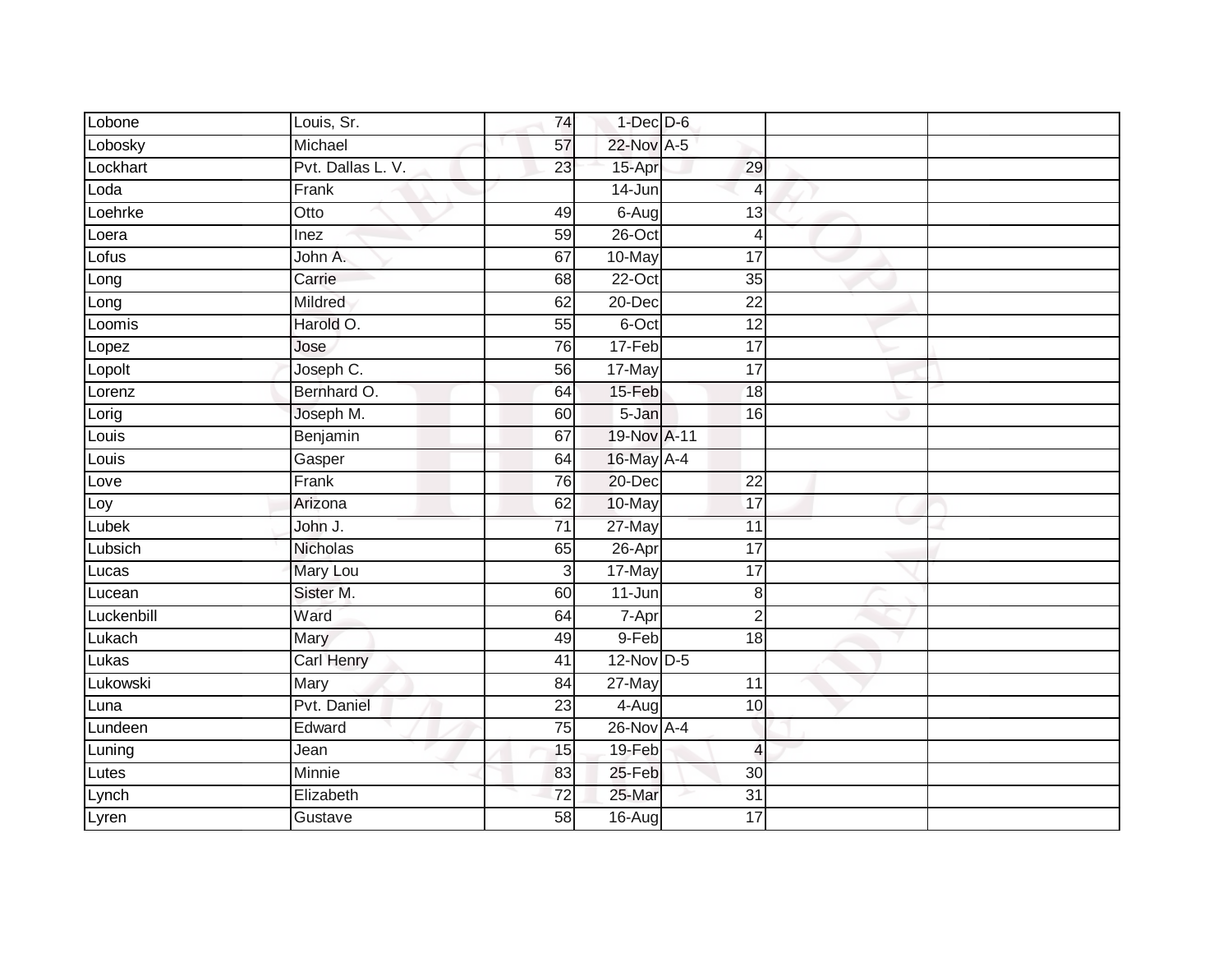| Lobone     | Louis, Sr.        | 74              | $1$ -Dec $D$ -6 |                 |  |
|------------|-------------------|-----------------|-----------------|-----------------|--|
| Lobosky    | Michael           | 57              | 22-Nov A-5      |                 |  |
| Lockhart   | Pvt. Dallas L. V. | $\overline{23}$ | 15-Apr          | 29              |  |
| Loda       | Frank             |                 | $14 - Jun$      | $\overline{4}$  |  |
| Loehrke    | Otto              | 49              | $6 - Aug$       | 13              |  |
| Loera      | Inez              | 59              | $26$ -Oct       | 4               |  |
| Lofus      | John A.           | 67              | 10-May          | 17              |  |
| Long       | Carrie            | 68              | $22-Oct$        | 35              |  |
| Long       | Mildred           | 62              | $20 - Dec$      | $\overline{22}$ |  |
| Loomis     | Harold O.         | 55              | 6-Oct           | $\overline{12}$ |  |
| Lopez      | Jose              | 76              | 17-Feb          | $\overline{17}$ |  |
| Lopolt     | Joseph C.         | 56              | 17-May          | $\overline{17}$ |  |
| Lorenz     | Bernhard O.       | 64              | 15-Feb          | 18              |  |
| Lorig      | Joseph M.         | 60              | 5-Jan           | 16              |  |
| Louis      | Benjamin          | 67              | 19-Nov A-11     |                 |  |
| Louis      | Gasper            | 64              | 16-May A-4      |                 |  |
| Love       | Frank             | 76              | $20 - Dec$      | $\overline{22}$ |  |
| Loy        | Arizona           | 62              | 10-May          | $\overline{17}$ |  |
| Lubek      | John J.           | $\overline{71}$ | 27-May          | 11              |  |
| Lubsich    | <b>Nicholas</b>   | 65              | $26 - Apr$      | $\overline{17}$ |  |
| Lucas      | Mary Lou          | 3               | 17-May          | 17              |  |
| Lucean     | Sister M.         | 60              | $11 - Jun$      | 8               |  |
| Luckenbill | Ward              | 64              | 7-Apr           | $\overline{2}$  |  |
| Lukach     | Mary              | 49              | $9-Feb$         | 18              |  |
| Lukas      | <b>Carl Henry</b> | 41              | 12-Nov D-5      |                 |  |
| Lukowski   | Mary              | 84              | 27-May          | 11              |  |
| Luna       | Pvt. Daniel       | $\overline{23}$ | $4-Aug$         | 10              |  |
| Lundeen    | Edward            | 75              | 26-Nov A-4      |                 |  |
| Luning     | Jean              | 15              | 19-Feb          | 4               |  |
| Lutes      | Minnie            | 83              | 25-Feb          | 30              |  |
| Lynch      | Elizabeth         | 72              | $25 - Mar$      | $\overline{31}$ |  |
| Lyren      | Gustave           | $\overline{58}$ | $16-Aug$        | $\overline{17}$ |  |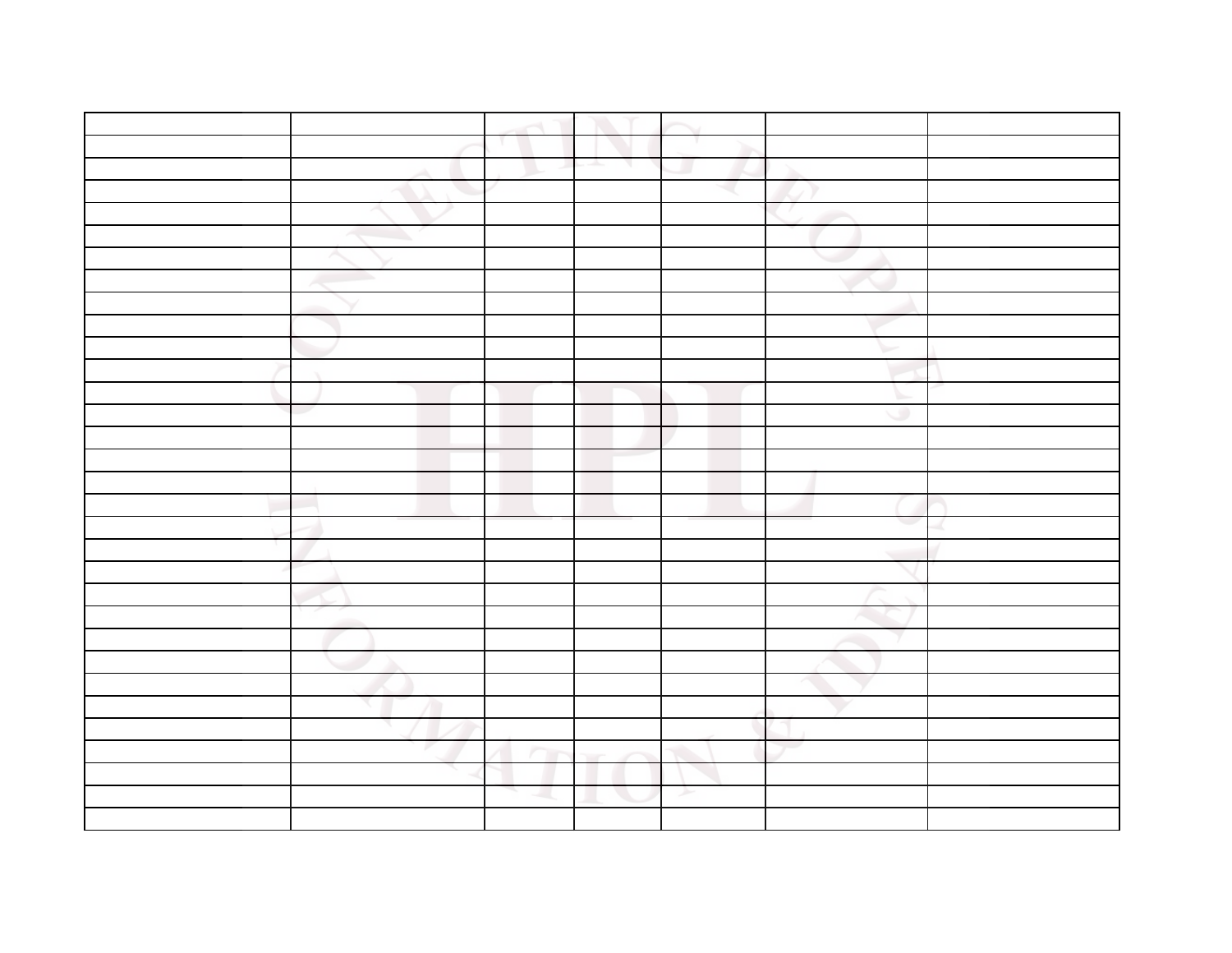| U<br>A              |    | A.<br>$\frac{1}{2}$ |               |                          |   |
|---------------------|----|---------------------|---------------|--------------------------|---|
| Ó                   |    |                     | $\mathbb{R}$  |                          |   |
| ୵                   |    |                     |               | x                        |   |
|                     |    |                     |               |                          |   |
|                     |    |                     |               |                          |   |
|                     |    |                     |               |                          |   |
|                     |    |                     |               |                          |   |
| N)                  |    |                     |               |                          |   |
|                     |    |                     |               | ◡                        |   |
|                     |    |                     |               |                          |   |
|                     |    |                     |               |                          |   |
|                     |    |                     |               | $\circ$                  |   |
|                     |    |                     |               |                          |   |
|                     |    |                     |               |                          |   |
|                     |    |                     |               |                          |   |
|                     |    |                     |               |                          |   |
|                     |    |                     |               | $\overline{\phantom{0}}$ | 4 |
|                     |    |                     |               | $\sim$                   |   |
|                     |    |                     |               |                          |   |
|                     |    |                     |               |                          |   |
|                     |    |                     |               |                          |   |
|                     |    |                     |               | Y                        |   |
|                     |    |                     |               |                          |   |
|                     |    |                     |               | V                        |   |
| Х. <sub>П</sub>     |    |                     |               | v                        |   |
| ш                   |    |                     |               |                          |   |
| $\mathbb{R}^n$<br>o | 78 |                     |               |                          |   |
|                     |    |                     |               |                          |   |
|                     | и, |                     | $\frac{1}{2}$ |                          |   |
|                     |    |                     |               |                          |   |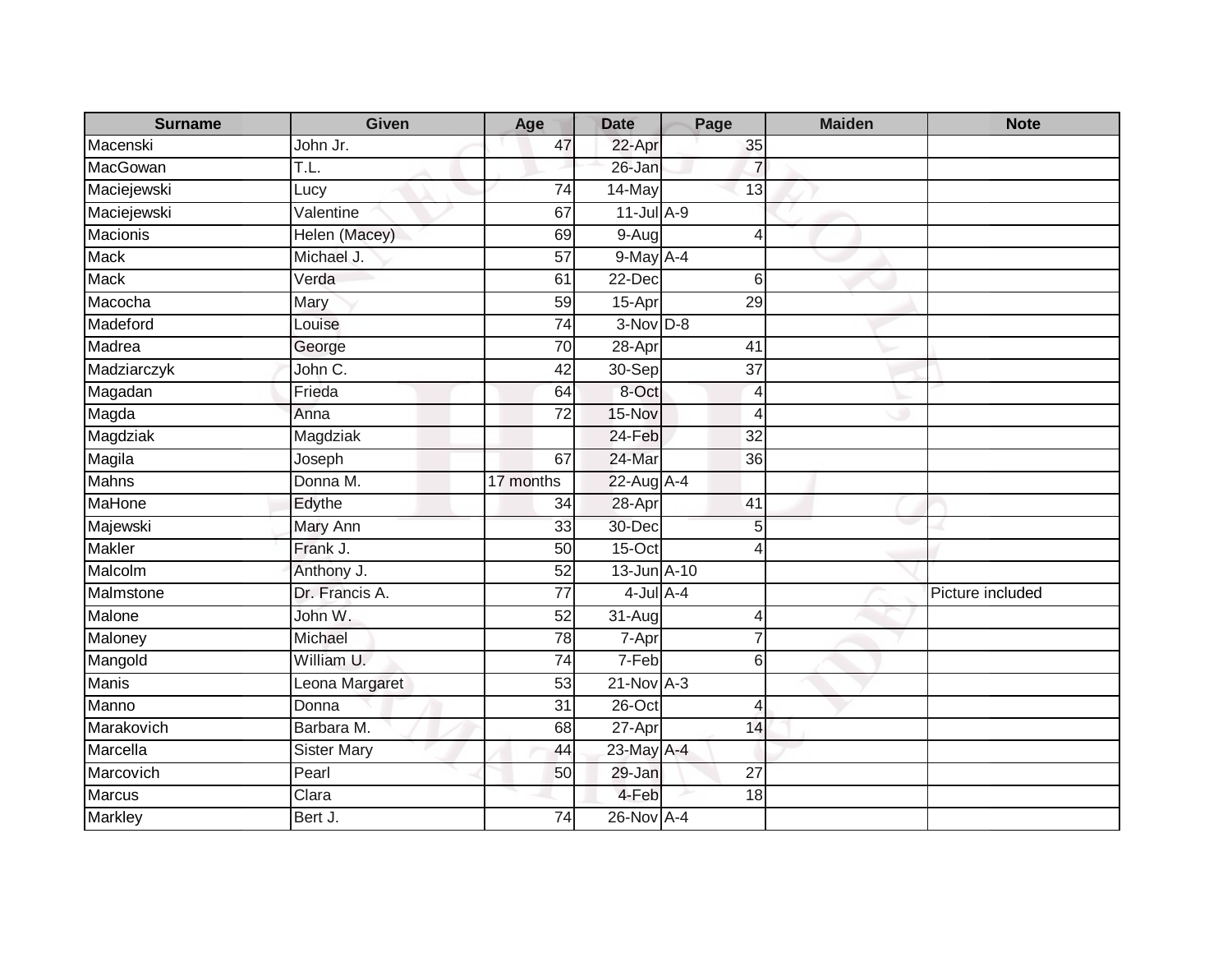| <b>Surname</b>  | Given              | Age             | <b>Date</b>          | Page                     | <b>Maiden</b> | <b>Note</b>      |
|-----------------|--------------------|-----------------|----------------------|--------------------------|---------------|------------------|
| Macenski        | John Jr.           | 47              | 22-Apr               | 35                       |               |                  |
| MacGowan        | T.L.               |                 | 26-Jan               | $\overline{7}$           |               |                  |
| Maciejewski     | Lucy               | 74              | 14-May               | 13                       |               |                  |
| Maciejewski     | Valentine          | 67              | $11$ -Jul $A-9$      |                          |               |                  |
| <b>Macionis</b> | Helen (Macey)      | 69              | 9-Aug                | $\overline{4}$           |               |                  |
| <b>Mack</b>     | Michael J.         | 57              | 9-May A-4            |                          |               |                  |
| <b>Mack</b>     | Verda              | 61              | 22-Dec               | 6                        |               |                  |
| Macocha         | Mary               | 59              | 15-Apr               | 29                       |               |                  |
| Madeford        | Louise             | 74              | $3-Nov$ $D-8$        |                          |               |                  |
| Madrea          | George             | $\overline{70}$ | 28-Apr               | 41                       |               |                  |
| Madziarczyk     | John C.            | 42              | 30-Sep               | $\overline{37}$          |               |                  |
| Magadan         | Frieda             | 64              | 8-Oct                | $\overline{4}$           |               |                  |
| Magda           | Anna               | 72              | 15-Nov               | $\overline{4}$           |               |                  |
| Magdziak        | Magdziak           |                 | 24-Feb               | $\overline{32}$          |               |                  |
| Magila          | Joseph             | 67              | 24-Mar               | 36                       |               |                  |
| <b>Mahns</b>    | Donna M.           | 17 months       | 22-Aug A-4           |                          |               |                  |
| <b>MaHone</b>   | Edythe             | 34              | 28-Apr               | 41                       |               |                  |
| Majewski        | Mary Ann           | 33              | 30-Dec               | 5                        |               |                  |
| <b>Makler</b>   | Frank J.           | 50              | $15$ -Oct            | $\overline{\mathcal{A}}$ |               |                  |
| Malcolm         | Anthony J.         | 52              | 13-Jun A-10          |                          |               |                  |
| Malmstone       | Dr. Francis A.     | $\overline{77}$ | $4$ -Jul $A-4$       |                          |               | Picture included |
| Malone          | John W.            | 52              | $\overline{31}$ -Aug | $\overline{4}$           |               |                  |
| Maloney         | Michael            | 78              | 7-Apr                | $\overline{7}$           |               |                  |
| Mangold         | William U.         | 74              | $7-Feb$              | 6                        |               |                  |
| <b>Manis</b>    | Leona Margaret     | 53              | $21-Nov$ A-3         |                          |               |                  |
| Manno           | Donna              | $\overline{31}$ | $26$ -Oct            | $\overline{4}$           |               |                  |
| Marakovich      | Barbara M.         | 68              | 27-Apr               | 14                       |               |                  |
| Marcella        | <b>Sister Mary</b> | 44              | 23-May A-4           |                          |               |                  |
| Marcovich       | Pearl              | 50              | 29-Jan               | 27                       |               |                  |
| Marcus          | Clara              |                 | 4-Feb                | 18                       |               |                  |
| <b>Markley</b>  | Bert J.            | $\overline{74}$ | 26-Nov A-4           |                          |               |                  |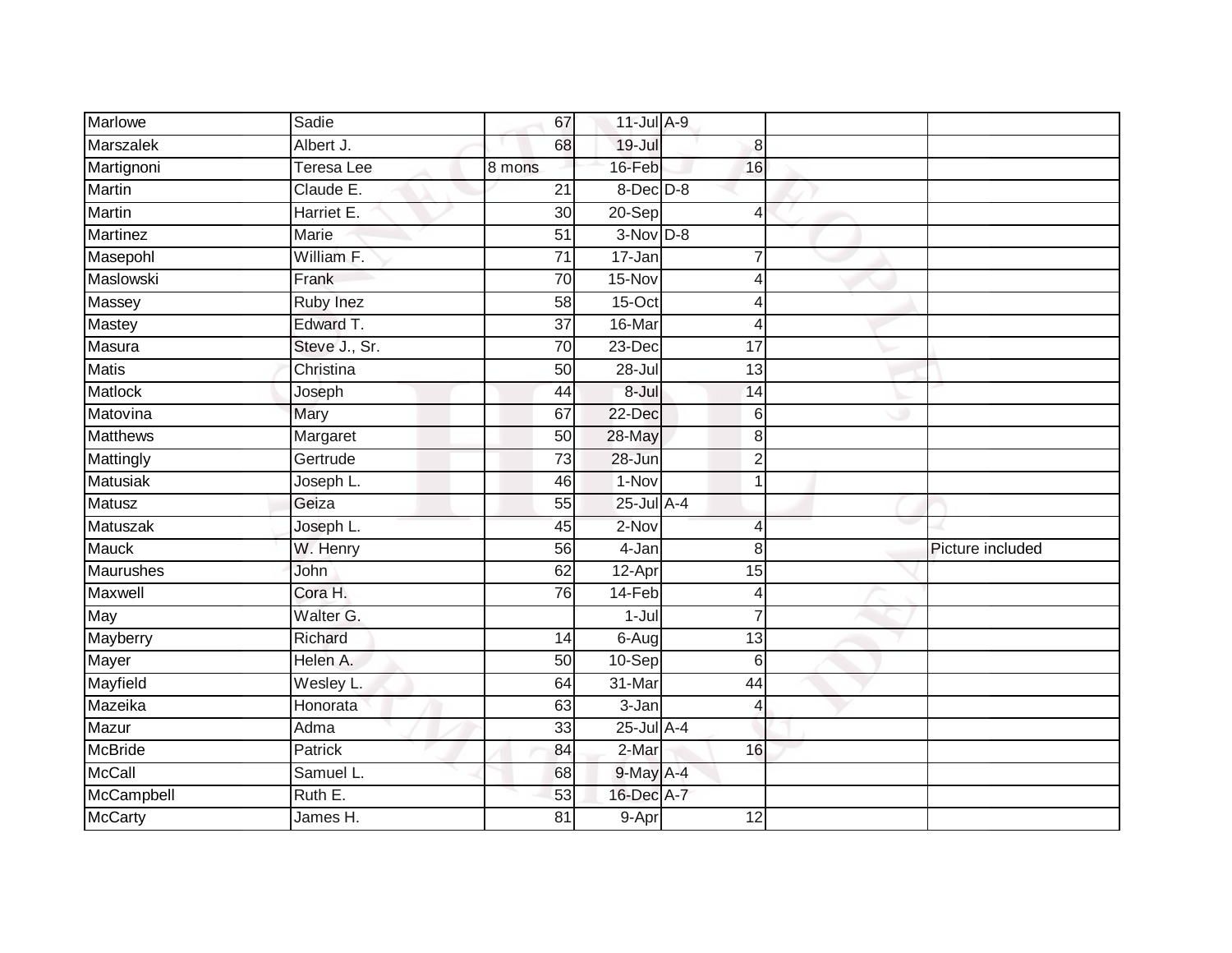| Marlowe          | Sadie         | 67              | $11$ -Jul $A-9$ |                 |                  |
|------------------|---------------|-----------------|-----------------|-----------------|------------------|
| <b>Marszalek</b> | Albert J.     | 68              | $19 -$ Jul      | 8               |                  |
| Martignoni       | Teresa Lee    | 8 mons          | 16-Feb          | 16              |                  |
| Martin           | Claude E.     | 21              | $8$ -Dec $D-8$  |                 |                  |
| <b>Martin</b>    | Harriet E.    | $\overline{30}$ | $20-Sep$        | 4               |                  |
| <b>Martinez</b>  | <b>Marie</b>  | $\overline{51}$ | $3-Nov$ $D-8$   |                 |                  |
| Masepohl         | William F.    | $\overline{71}$ | 17-Jan          | 7               |                  |
| Maslowski        | Frank         | 70              | 15-Nov          | 4               |                  |
| Massey           | Ruby Inez     | 58              | $15$ -Oct       | 4               |                  |
| Mastey           | Edward T.     | $\overline{37}$ | 16-Mar          | 4               |                  |
| Masura           | Steve J., Sr. | 70              | 23-Dec          | 17              |                  |
| <b>Matis</b>     | Christina     | 50              | $28 -$ Jul      | 13              |                  |
| Matlock          | Joseph        | 44              | $8 -$ Jul       | 14              |                  |
| Matovina         | Mary          | 67              | 22-Dec          | 6               |                  |
| <b>Matthews</b>  | Margaret      | 50              | 28-May          | 8               |                  |
| Mattingly        | Gertrude      | 73              | 28-Jun          | $\overline{2}$  |                  |
| <b>Matusiak</b>  | Joseph L.     | 46              | $1-Nov$         | 1               |                  |
| Matusz           | Geiza         | 55              | 25-Jul A-4      |                 |                  |
| Matuszak         | Joseph L.     | 45              | 2-Nov           | 4               |                  |
| <b>Mauck</b>     | W. Henry      | 56              | $4 - Jan$       | 8               | Picture included |
| Maurushes        | John          | 62              | 12-Apr          | 15              |                  |
| Maxwell          | Cora H.       | $\overline{76}$ | $14-Feb$        | $\overline{4}$  |                  |
| May              | Walter G.     |                 | $1 -$ Jul       | $\overline{7}$  |                  |
| Mayberry         | Richard       | $\overline{14}$ | 6-Aug           | 13              |                  |
| Mayer            | Helen A.      | 50              | $10-Sep$        | 6               |                  |
| Mayfield         | Wesley L.     | 64              | 31-Mar          | 44              |                  |
| Mazeika          | Honorata      | 63              | $3 - Jan$       | 4               |                  |
| Mazur            | Adma          | 33              | 25-Jul A-4      |                 |                  |
| <b>McBride</b>   | Patrick       | 84              | 2-Mar           | 16              |                  |
| <b>McCall</b>    | Samuel L.     | 68              | 9-May A-4       |                 |                  |
| McCampbell       | Ruth E.       | 53              | 16-Dec A-7      |                 |                  |
| <b>McCarty</b>   | James H.      | $\overline{81}$ | 9-Apr           | $\overline{12}$ |                  |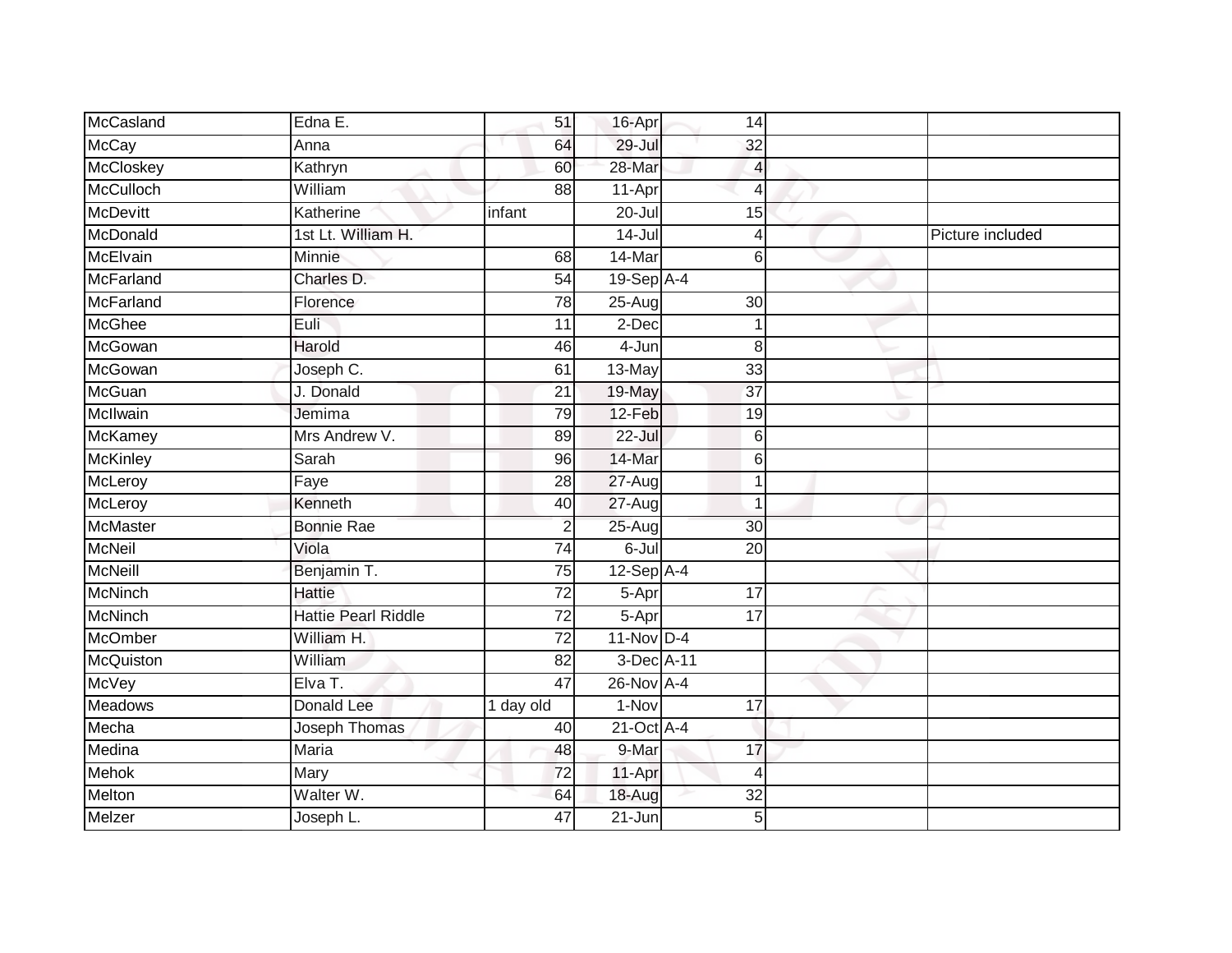| McCasland        | Edna E.                    | 51              | 16-Apr              | 14              |                  |
|------------------|----------------------------|-----------------|---------------------|-----------------|------------------|
| <b>McCay</b>     | Anna                       | 64              | 29-Jul              | 32              |                  |
| <b>McCloskey</b> | Kathryn                    | 60              | 28-Mar              | 4               |                  |
| <b>McCulloch</b> | William                    | 88              | 11-Apr              | $\overline{4}$  |                  |
| <b>McDevitt</b>  | Katherine                  | infant          | $20 -$ Jul          | 15              |                  |
| McDonald         | 1st Lt. William H.         |                 | $14 -$ Jul          | $\overline{4}$  | Picture included |
| <b>McElvain</b>  | Minnie                     | 68              | 14-Mar              | 6               |                  |
| McFarland        | Charles D.                 | 54              | 19-Sep A-4          |                 |                  |
| McFarland        | Florence                   | 78              | 25-Aug              | 30              |                  |
| <b>McGhee</b>    | Euli                       | 11              | 2-Dec               |                 |                  |
| McGowan          | Harold                     | 46              | 4-Jun               | 8               |                  |
| McGowan          | Joseph C.                  | 61              | 13-May              | 33              |                  |
| McGuan           | J. Donald                  | $\overline{21}$ | 19-May              | 37              |                  |
| McIlwain         | Jemima                     | 79              | 12-Feb              | 19              |                  |
| <b>McKamey</b>   | Mrs Andrew V.              | 89              | $22$ -Jul           | 6               |                  |
| <b>McKinley</b>  | Sarah                      | 96              | 14-Mar              | 6               |                  |
| McLeroy          | Faye                       | 28              | 27-Aug              | $\mathbf 1$     |                  |
| McLeroy          | Kenneth                    | 40              | 27-Aug              | $\overline{1}$  |                  |
| McMaster         | <b>Bonnie Rae</b>          | 2               | 25-Aug              | 30              |                  |
| <b>McNeil</b>    | Viola                      | 74              | $6 -$ Jul           | $\overline{20}$ |                  |
| <b>McNeill</b>   | Benjamin T.                | 75              | 12-Sep A-4          |                 |                  |
| <b>McNinch</b>   | Hattie                     | $\overline{72}$ | 5-Apr               | $\overline{17}$ |                  |
| <b>McNinch</b>   | <b>Hattie Pearl Riddle</b> | 72              | $\overline{5}$ -Apr | 17              |                  |
| <b>McOmber</b>   | William H.                 | $\overline{72}$ | $11-Nov$ D-4        |                 |                  |
| McQuiston        | William                    | 82              | 3-Dec A-11          |                 |                  |
| McVey            | Elva T.                    | 47              | $26$ -Nov A-4       |                 |                  |
| <b>Meadows</b>   | <b>Donald Lee</b>          | 1 day old       | 1-Nov               | $\overline{17}$ |                  |
| Mecha            | Joseph Thomas              | 40              | 21-Oct A-4          |                 |                  |
| Medina           | Maria                      | 48              | 9-Mar               | 17              |                  |
| <b>Mehok</b>     | Mary                       | 72              | 11-Apr              | $\overline{4}$  |                  |
| Melton           | Walter W.                  | 64              | 18-Aug              | $\overline{32}$ |                  |
| Melzer           | Joseph L.                  | 47              | 21-Jun              | 5               |                  |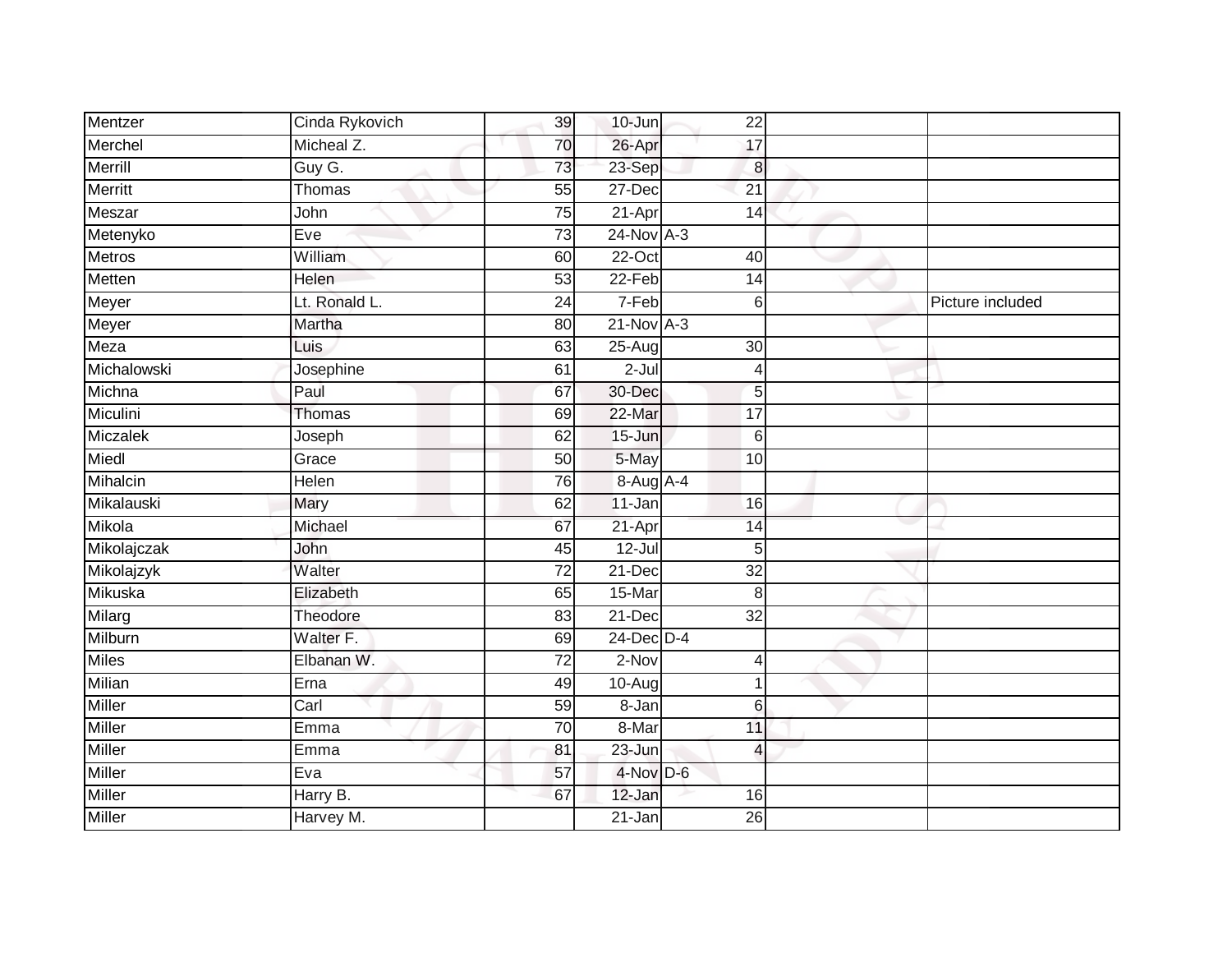| Mentzer        | Cinda Rykovich | 39              | $10 - Jun$      | 22               |                  |
|----------------|----------------|-----------------|-----------------|------------------|------------------|
| Merchel        | Micheal Z.     | 70              | 26-Apr          | 17               |                  |
| Merrill        | Guy G.         | 73              | 23-Sep          | $\boldsymbol{8}$ |                  |
| <b>Merritt</b> | Thomas         | 55              | 27-Dec          | $\overline{21}$  |                  |
| Meszar         | John           | $\overline{75}$ | $21-Apr$        | 14               |                  |
| Metenyko       | Eve            | $\overline{73}$ | $24$ -Nov $A-3$ |                  |                  |
| Metros         | William        | 60              | $22-Oct$        | 40               |                  |
| Metten         | Helen          | 53              | 22-Feb          | 14               |                  |
| Meyer          | Lt. Ronald L   | 24              | 7-Feb           | $6 \,$           | Picture included |
| Meyer          | Martha         | 80              | $21$ -Nov $A-3$ |                  |                  |
| Meza           | Luis           | 63              | $25 - Aug$      | 30               |                  |
| Michalowski    | Josephine      | 61              | $2 -$ Jul       | $\overline{4}$   |                  |
| Michna         | Paul           | 67              | 30-Dec          | 5                |                  |
| Miculini       | Thomas         | 69              | 22-Mar          | 17               |                  |
| Miczalek       | Joseph         | 62              | 15-Jun          | $6 \,$           |                  |
| Miedl          | Grace          | 50              | 5-May           | 10               |                  |
| Mihalcin       | <b>Helen</b>   | $\overline{76}$ | 8-Aug A-4       |                  |                  |
| Mikalauski     | Mary           | 62              | 11-Jan          | 16               |                  |
| Mikola         | Michael        | 67              | 21-Apr          | 14               |                  |
| Mikolajczak    | John           | 45              | $12 -$ Jul      | 5                |                  |
| Mikolajzyk     | Walter         | $\overline{72}$ | $21 - Dec$      | 32               |                  |
| Mikuska        | Elizabeth      | 65              | 15-Mar          | 8                |                  |
| Milarg         | Theodore       | 83              | $21 - Dec$      | $\overline{32}$  |                  |
| Milburn        | Walter F.      | 69              | $24$ -Dec $D-4$ |                  |                  |
| <b>Miles</b>   | Elbanan W.     | 72              | 2-Nov           | 4                |                  |
| Milian         | Erna           | 49              | $10 - Aug$      | 1                |                  |
| Miller         | Carl           | 59              | $8 - Jan$       | $6 \,$           |                  |
| Miller         | Emma           | 70              | 8-Mar           | 11               |                  |
| <b>Miller</b>  | Emma           | 81              | 23-Jun          | $\overline{4}$   |                  |
| Miller         | Eva            | 57              | 4-Nov D-6       |                  |                  |
| Miller         | Harry B.       | 67              | 12-Jan          | 16               |                  |
| <b>Miller</b>  | Harvey M.      |                 | 21-Jan          | $\overline{26}$  |                  |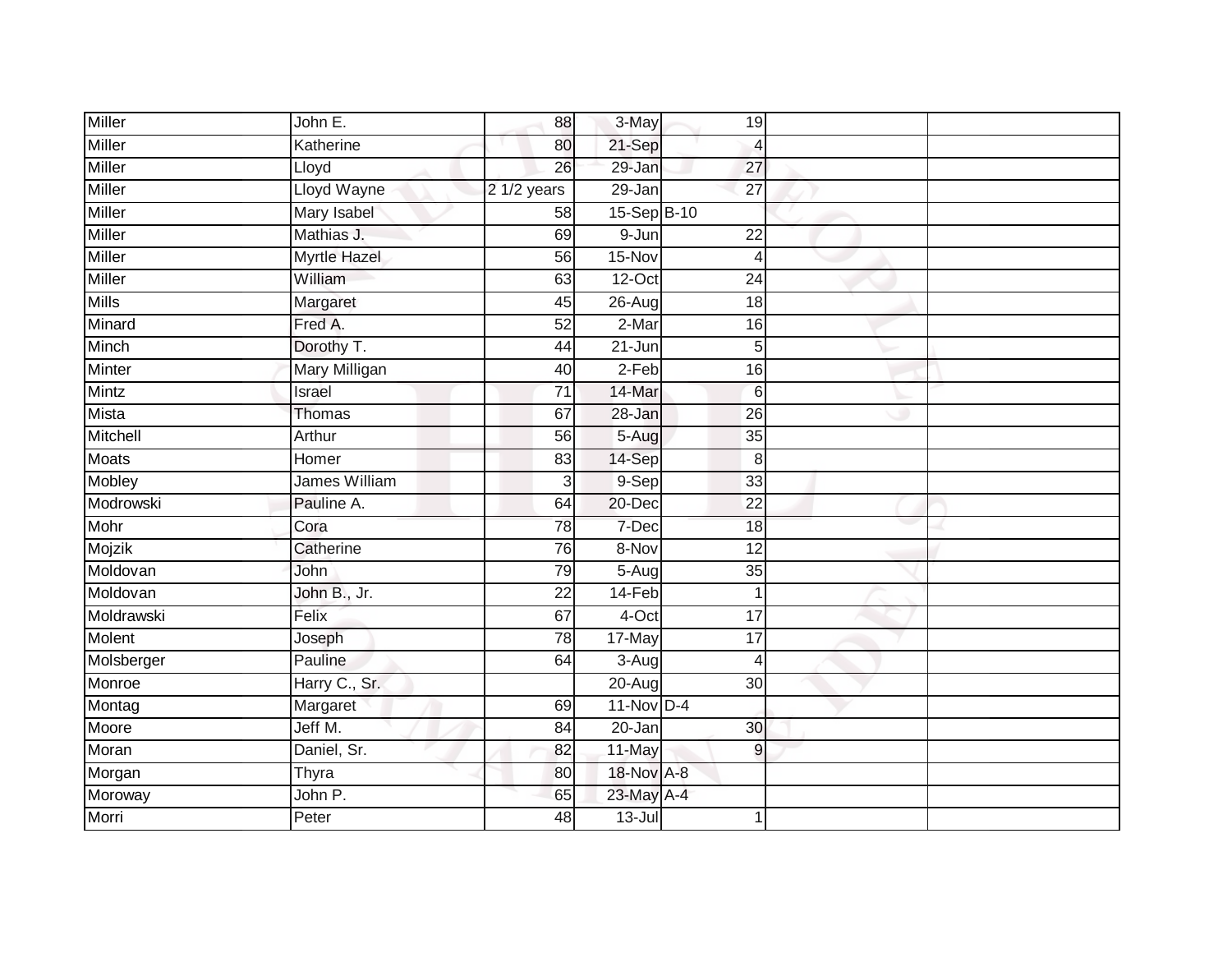| <b>Miller</b>   | John E.             | 88              | 3-May        | 19              |  |
|-----------------|---------------------|-----------------|--------------|-----------------|--|
| <b>Miller</b>   | Katherine           | 80              | 21-Sep       | 4               |  |
| <b>Miller</b>   | Lloyd               | 26              | 29-Jan       | 27              |  |
| Miller          | Lloyd Wayne         | 2 1/2 years     | 29-Jan       | $\overline{27}$ |  |
| <b>Miller</b>   | Mary Isabel         | 58              | 15-Sep B-10  |                 |  |
| <b>Miller</b>   | Mathias J.          | 69              | $9 - Jun$    | 22              |  |
| Miller          | <b>Myrtle Hazel</b> | 56              | 15-Nov       | 4               |  |
| Miller          | William             | 63              | 12-Oct       | 24              |  |
| <b>Mills</b>    | Margaret            | 45              | $26 - Aug$   | 18              |  |
| Minard          | Fred A.             | 52              | $2-Mar$      | 16              |  |
| Minch           | Dorothy T.          | 44              | $21$ -Jun    | 5               |  |
| Minter          | Mary Milligan       | 40              | $2-Feb$      | 16              |  |
| Mintz           | Israel              | $\overline{71}$ | 14-Mar       | $6\phantom{1}6$ |  |
| Mista           | Thomas              | 67              | 28-Jan       | 26              |  |
| <b>Mitchell</b> | Arthur              | $\overline{56}$ | 5-Aug        | $\overline{35}$ |  |
| <b>Moats</b>    | Homer               | 83              | 14-Sep       | 8               |  |
| Mobley          | James William       | $\overline{3}$  | 9-Sep        | 33              |  |
| Modrowski       | Pauline A.          | 64              | 20-Dec       | 22              |  |
| Mohr            | Cora                | 78              | 7-Dec        | 18              |  |
| Mojzik          | Catherine           | 76              | 8-Nov        | $\overline{12}$ |  |
| Moldovan        | John                | 79              | 5-Aug        | 35              |  |
| Moldovan        | John B., Jr.        | $\overline{22}$ | 14-Feb       | 1               |  |
| Moldrawski      | Felix               | 67              | 4-Oct        | 17              |  |
| Molent          | Joseph              | 78              | 17-May       | 17              |  |
| Molsberger      | Pauline             | 64              | $3-Aug$      | 4               |  |
| Monroe          | Harry C., Sr.       |                 | $20 - Aug$   | $\overline{30}$ |  |
| Montag          | Margaret            | 69              | $11-Nov$ D-4 |                 |  |
| Moore           | Jeff M.             | 84              | 20-Jan       | 30              |  |
| Moran           | Daniel, Sr.         | 82              | 11-May       | 9               |  |
| Morgan          | Thyra               | 80              | 18-Nov A-8   |                 |  |
| Moroway         | John P.             | 65              | 23-May A-4   |                 |  |
| Morri           | Peter               | 48              | $13 -$ Jul   | 1               |  |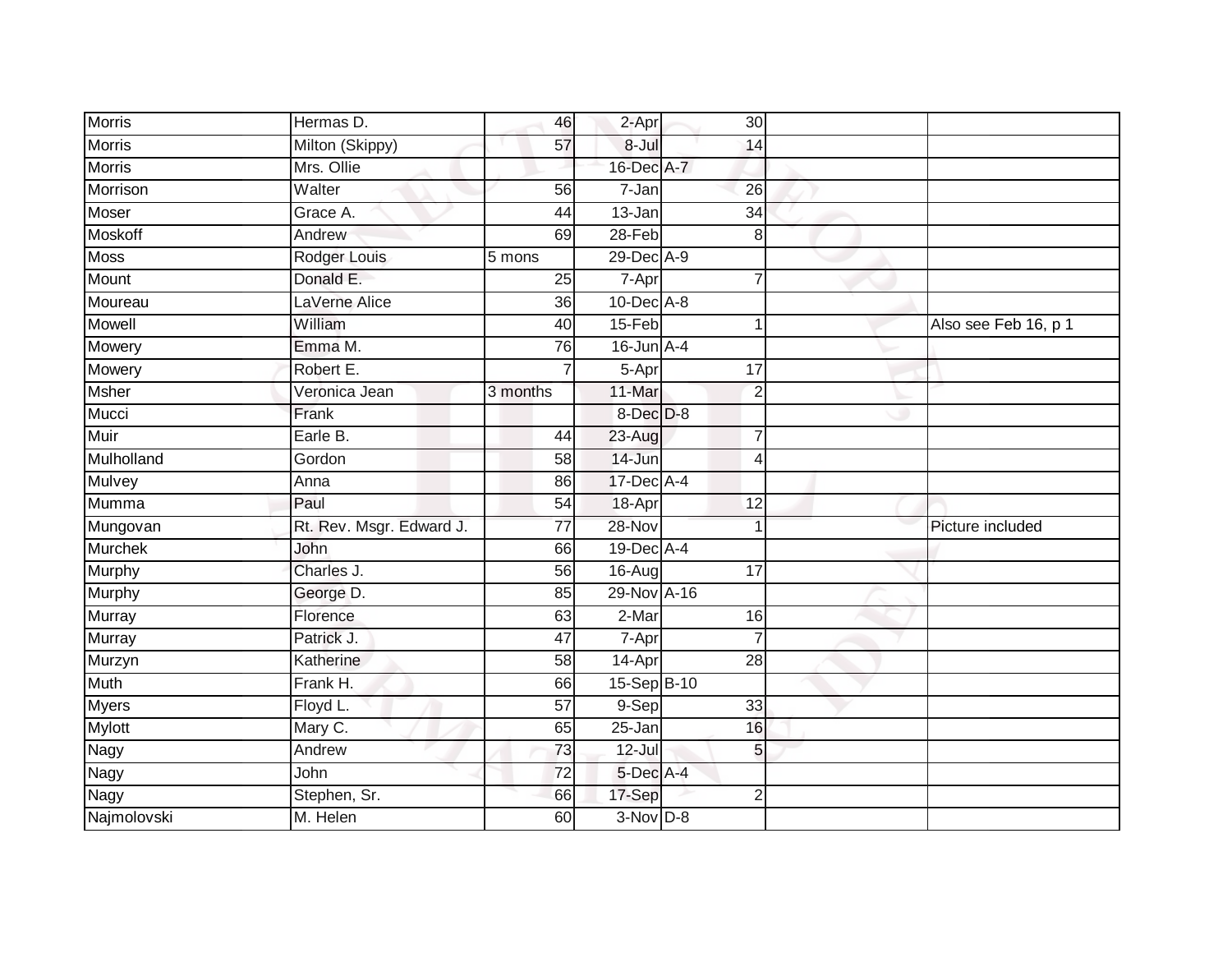| <b>Morris</b>  | Hermas D.                | 46              | 2-Apr            | 30              |                      |
|----------------|--------------------------|-----------------|------------------|-----------------|----------------------|
| <b>Morris</b>  | Milton (Skippy)          | 57              | 8-Jul            | 14              |                      |
| <b>Morris</b>  | Mrs. Ollie               |                 | 16-Dec A-7       |                 |                      |
| Morrison       | Walter                   | 56              | 7-Jan            | 26              |                      |
| Moser          | Grace A.                 | $\overline{44}$ | $13 - Jan$       | $\overline{34}$ |                      |
| Moskoff        | Andrew                   | 69              | $28-Feb$         | 8               |                      |
| <b>Moss</b>    | Rodger Louis             | 5 mons          | 29-Dec A-9       |                 |                      |
| Mount          | Donald E.                | 25              | 7-Apr            | $\overline{7}$  |                      |
| Moureau        | LaVerne Alice            | 36              | $10$ -Dec $A$ -8 |                 |                      |
| Mowell         | William                  | 40              | 15-Feb           |                 | Also see Feb 16, p 1 |
| Mowery         | Emma M.                  | 76              | $16$ -Jun $A-4$  |                 |                      |
| Mowery         | Robert E.                |                 | 5-Apr            | $\overline{17}$ |                      |
| <b>Msher</b>   | Veronica Jean            | 3 months        | 11-Mar           | $\overline{2}$  |                      |
| Mucci          | Frank                    |                 | 8-Dec D-8        |                 |                      |
| Muir           | Earle B.                 | 44              | 23-Aug           | 7               |                      |
| Mulholland     | Gordon                   | 58              | 14-Jun           | $\overline{4}$  |                      |
| <b>Mulvey</b>  | Anna                     | 86              | 17-Dec A-4       |                 |                      |
| Mumma          | Paul                     | 54              | 18-Apr           | $\overline{12}$ |                      |
| Mungovan       | Rt. Rev. Msgr. Edward J. | $\overline{77}$ | 28-Nov           |                 | Picture included     |
| <b>Murchek</b> | John                     | 66              | 19-Dec A-4       |                 |                      |
| Murphy         | Charles J.               | 56              | 16-Aug           | 17              |                      |
| Murphy         | George D.                | 85              | 29-Nov A-16      |                 |                      |
| Murray         | Florence                 | 63              | 2-Mar            | 16              |                      |
| <b>Murray</b>  | Patrick J.               | 47              | $7 - Apr$        | $\overline{7}$  |                      |
| Murzyn         | Katherine                | $\overline{58}$ | 14-Apr           | $\overline{28}$ |                      |
| <b>Muth</b>    | Frank H.                 | 66              | 15-Sep B-10      |                 |                      |
| <b>Myers</b>   | Floyd L.                 | $\overline{57}$ | $9-Sep$          | 33              |                      |
| Mylott         | Mary C.                  | 65              | 25-Jan           | 16              |                      |
| Nagy           | Andrew                   | 73              | 12-Jul           | 5               |                      |
| Nagy           | John                     | 72              | 5-Dec A-4        |                 |                      |
| Nagy           | Stephen, Sr.             | 66              | 17-Sep           | $\overline{2}$  |                      |
| Najmolovski    | M. Helen                 | 60              | $3-Nov$ $D-8$    |                 |                      |
|                |                          |                 |                  |                 |                      |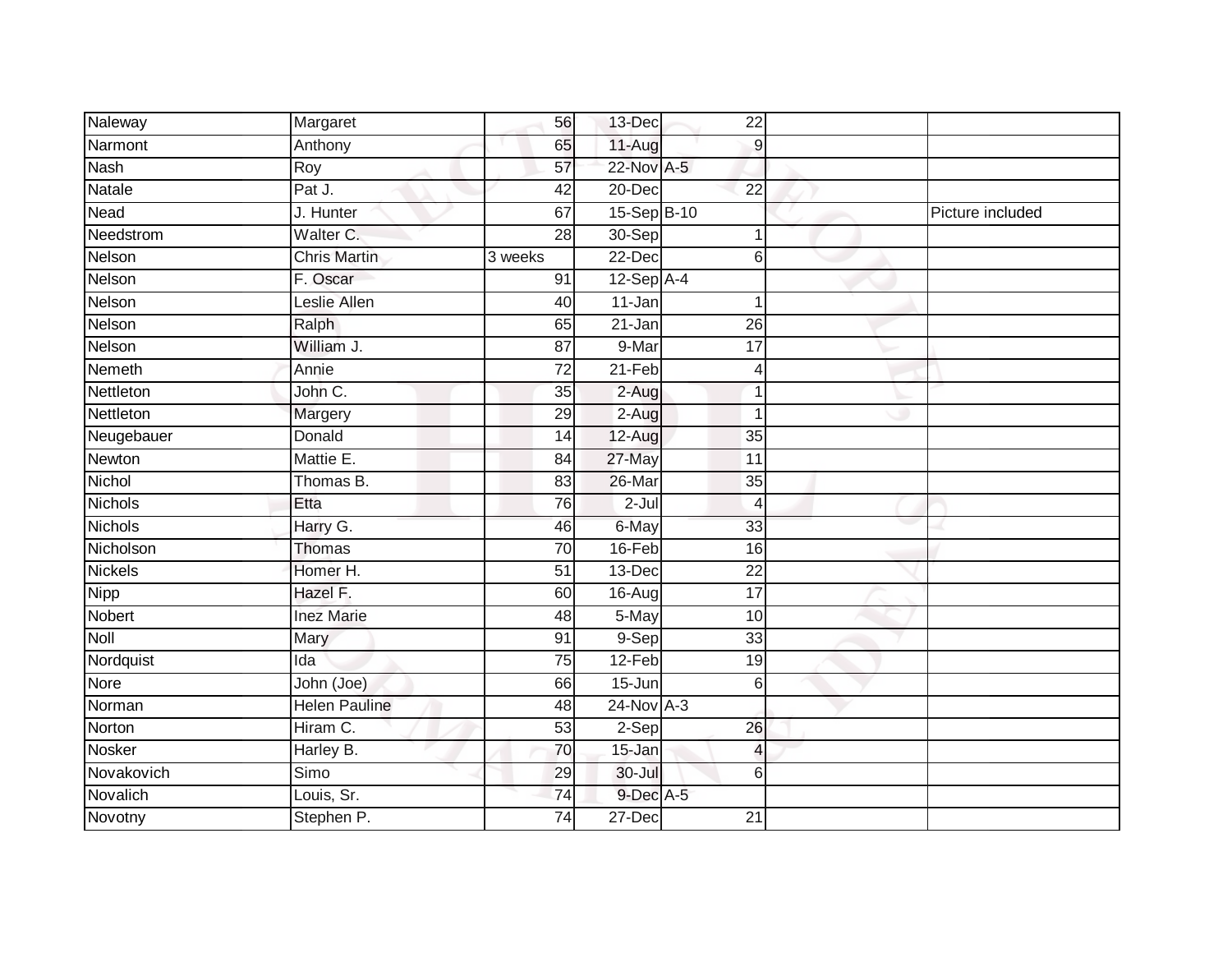| Naleway        | Margaret             | 56                   | 13-Dec          | 22               |                  |
|----------------|----------------------|----------------------|-----------------|------------------|------------------|
| Narmont        | Anthony              | 65                   | 11-Aug          | $\boldsymbol{9}$ |                  |
| <b>Nash</b>    | Roy                  | 57                   | 22-Nov A-5      |                  |                  |
| <b>Natale</b>  | Pat J.               | 42                   | 20-Dec          | 22               |                  |
| Nead           | J. Hunter            | 67                   | 15-Sep B-10     |                  | Picture included |
| Needstrom      | Walter C.            | 28                   | $30-Sep$        | 1                |                  |
| Nelson         | <b>Chris Martin</b>  | $\overline{3}$ weeks | 22-Dec          | 6                |                  |
| Nelson         | F. Oscar             | 91                   | 12-Sep A-4      |                  |                  |
| Nelson         | Leslie Allen         | 40                   | 11-Jan          | 1                |                  |
| Nelson         | Ralph                | 65                   | 21-Jan          | $\overline{26}$  |                  |
| Nelson         | William J.           | $\overline{87}$      | 9-Mar           | $\overline{17}$  |                  |
| Nemeth         | Annie                | $\overline{72}$      | $21-Feb$        | 4                |                  |
| Nettleton      | John C.              | 35                   | 2-Aug           | 1                |                  |
| Nettleton      | Margery              | 29                   | 2-Aug           | 1                |                  |
| Neugebauer     | Donald               | 14                   | 12-Aug          | 35               |                  |
| Newton         | Mattie E.            | 84                   | 27-May          | 11               |                  |
| Nichol         | Thomas B.            | 83                   | 26-Mar          | $\overline{35}$  |                  |
| Nichols        | Etta                 | 76                   | $2 -$ Jul       | $\overline{4}$   |                  |
| <b>Nichols</b> | Harry G.             | 46                   | 6-May           | 33               |                  |
| Nicholson      | <b>Thomas</b>        | 70                   | 16-Feb          | 16               |                  |
| <b>Nickels</b> | Homer H.             | 51                   | 13-Dec          | 22               |                  |
| <b>Nipp</b>    | Hazel F.             | 60                   | $16 - Aug$      | $\overline{17}$  |                  |
| <b>Nobert</b>  | <b>Inez Marie</b>    | 48                   | 5-May           | 10               |                  |
| Noll           | Mary                 | 91                   | 9-Sep           | 33               |                  |
| Nordquist      | Ida                  | $\overline{75}$      | 12-Feb          | 19               |                  |
| <b>Nore</b>    | John (Joe)           | 66                   | 15-Jun          | 6                |                  |
| Norman         | <b>Helen Pauline</b> | 48                   | $24$ -Nov $A-3$ |                  |                  |
| Norton         | Hiram C.             | 53                   | 2-Sep           | 26               |                  |
| Nosker         | Harley B.            | 70                   | 15-Jan          | 4                |                  |
| Novakovich     | Simo                 | 29                   | $30 -$ Jul      | 6                |                  |
| Novalich       | Louis, Sr.           | 74                   | $9$ -Dec A-5    |                  |                  |
| Novotny        | Stephen P.           | $\overline{74}$      | $27 - Dec$      | $\overline{21}$  |                  |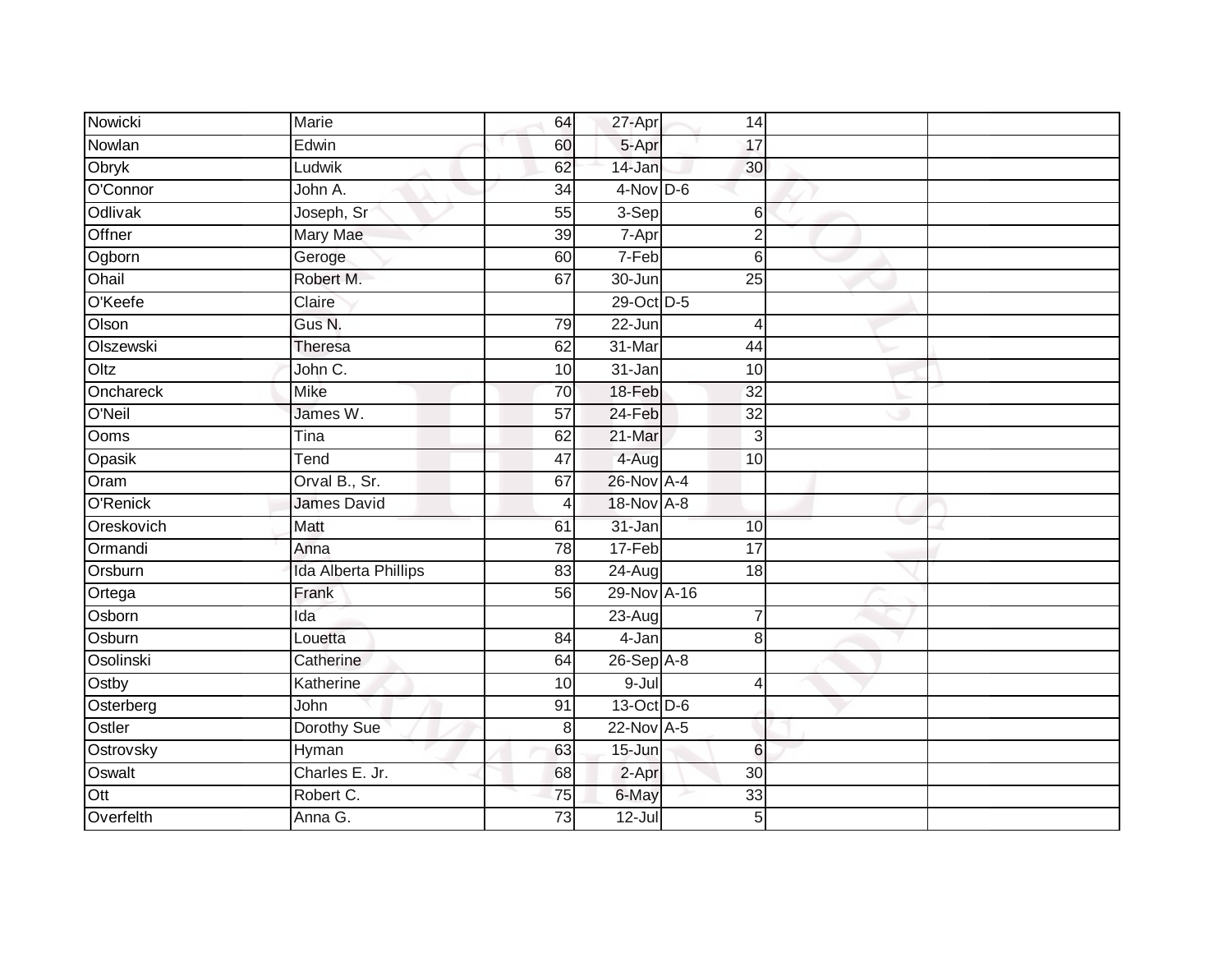| Nowicki     | Marie                | 64              | 27-Apr       | 14              |  |
|-------------|----------------------|-----------------|--------------|-----------------|--|
| Nowlan      | Edwin                | 60              | 5-Apr        | 17              |  |
| Obryk       | Ludwik               | 62              | 14-Jan       | 30              |  |
| O'Connor    | John A.              | 34              | $4-Nov$ D-6  |                 |  |
| Odlivak     | Joseph, Sr           | $\overline{55}$ | $3-Sep$      | 6               |  |
| Offner      | Mary Mae             | 39              | 7-Apr        | $\overline{2}$  |  |
| Ogborn      | Geroge               | 60              | 7-Feb        | 6               |  |
| Ohail       | Robert M.            | 67              | 30-Jun       | $\overline{25}$ |  |
| O'Keefe     | Claire               |                 | 29-Oct D-5   |                 |  |
| Olson       | Gus N.               | 79              | $22 - Jun$   | 4               |  |
| Olszewski   | Theresa              | 62              | 31-Mar       | 44              |  |
| Oltz        | John C.              | 10              | $31 - Jan$   | 10              |  |
| Onchareck   | <b>Mike</b>          | 70              | 18-Feb       | 32              |  |
| O'Neil      | James W.             | $\overline{57}$ | 24-Feb       | $\overline{32}$ |  |
| <b>Ooms</b> | Tina                 | 62              | 21-Mar       | $\mathbf{3}$    |  |
| Opasik      | Tend                 | 47              | 4-Aug        | 10              |  |
| Oram        | Orval B., Sr.        | 67              | 26-Nov A-4   |                 |  |
| O'Renick    | <b>James David</b>   | 4               | 18-Nov A-8   |                 |  |
| Oreskovich  | Matt                 | 61              | 31-Jan       | 10              |  |
| Ormandi     | Anna                 | 78              | 17-Feb       | $\overline{17}$ |  |
| Orsburn     | Ida Alberta Phillips | 83              | 24-Aug       | 18              |  |
| Ortega      | Frank                | 56              | 29-Nov A-16  |                 |  |
| Osborn      | Ida                  |                 | 23-Aug       | $\overline{7}$  |  |
| Osburn      | Louetta              | 84              | 4-Jan        | 8               |  |
| Osolinski   | Catherine            | 64              | $26-Sep$ A-8 |                 |  |
| Ostby       | Katherine            | 10              | $9 -$ Jul    | 4               |  |
| Osterberg   | John                 | $\overline{91}$ | 13-Oct D-6   |                 |  |
| Ostler      | Dorothy Sue          | 8               | 22-Nov A-5   |                 |  |
| Ostrovsky   | Hyman                | 63              | $15 - Jun$   | 6               |  |
| Oswalt      | Charles E. Jr.       | 68              | 2-Apr        | 30              |  |
| Ott         | Robert C.            | 75              | 6-May        | 33              |  |
| Overfelth   | Anna G.              | 73              | $12 -$ Jul   | 5               |  |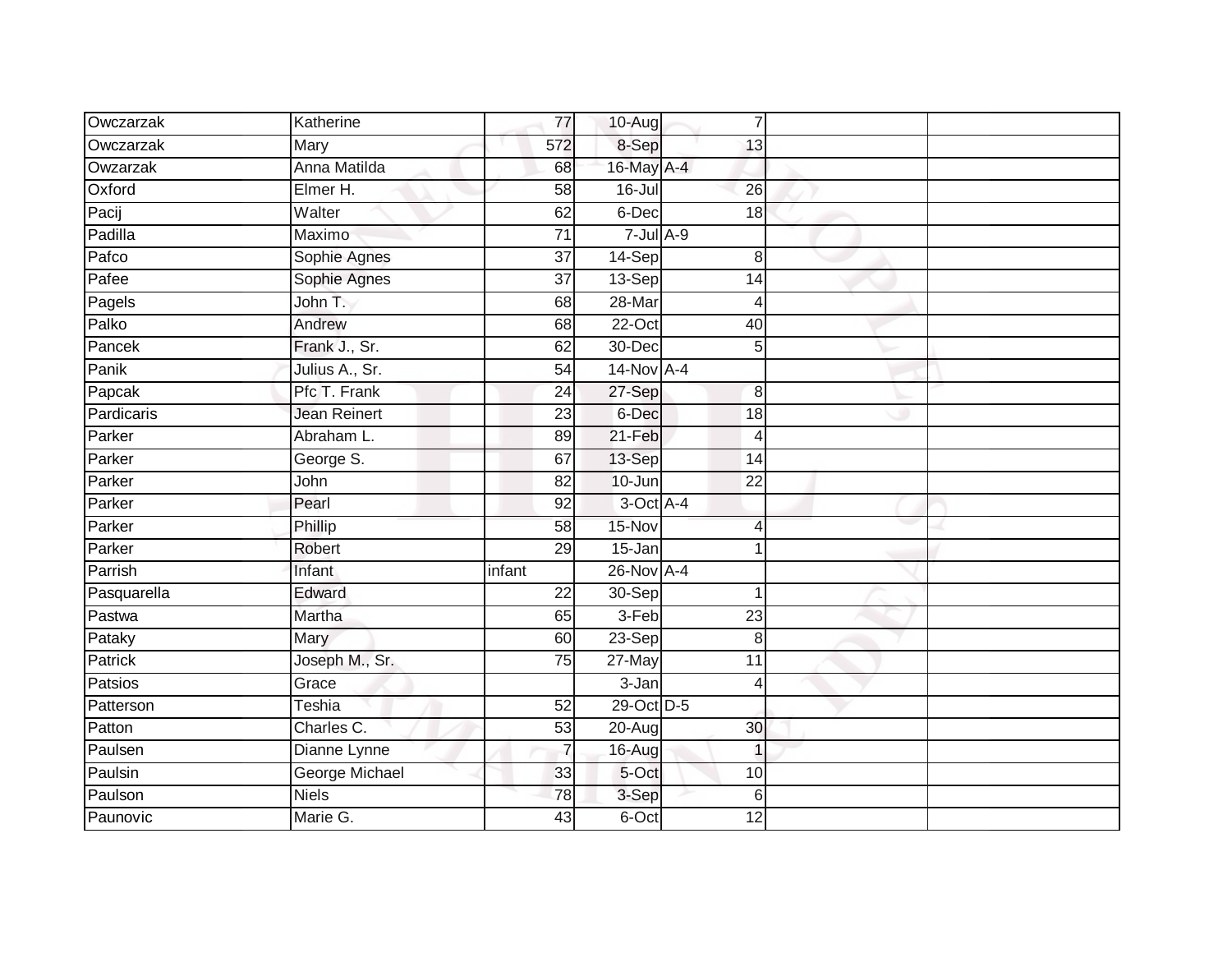| Owczarzak          | Katherine             | 77              | 10-Aug        | $\overline{7}$  |  |
|--------------------|-----------------------|-----------------|---------------|-----------------|--|
| Owczarzak          | Mary                  | 572             | 8-Sep         | 13              |  |
| Owzarzak           | Anna Matilda          | 68              | 16-May A-4    |                 |  |
| Oxford             | Elmer H.              | 58              | $16$ -Jul     | 26              |  |
| $\overline{Pacij}$ | Walter                | 62              | 6-Dec         | 18              |  |
| Padilla            | Maximo                | 71              | $7 -$ Jul A-9 |                 |  |
| Pafco              | Sophie Agnes          | 37              | 14-Sep        | 8               |  |
| Pafee              | Sophie Agnes          | 37              | 13-Sep        | 14              |  |
| Pagels             | John T.               | 68              | $28 - Mar$    | 4               |  |
| Palko              | Andrew                | 68              | $22-Oct$      | 40              |  |
| Pancek             | Frank J., Sr.         | 62              | 30-Dec        | 5               |  |
| Panik              | Julius A., Sr.        | $\overline{54}$ | 14-Nov A-4    |                 |  |
| Papcak             | Pfc T. Frank          | 24              | 27-Sep        | 8               |  |
| Pardicaris         | <b>Jean Reinert</b>   | 23              | 6-Dec         | 18              |  |
| Parker             | Abraham L.            | 89              | 21-Feb        | $\overline{4}$  |  |
| Parker             | George S.             | 67              | 13-Sep        | 14              |  |
| Parker             | John                  | $\overline{82}$ | $10 - Jun$    | $\overline{22}$ |  |
| Parker             | Pearl                 | 92              | 3-Oct A-4     |                 |  |
| Parker             | Phillip               | 58              | 15-Nov        | 4               |  |
| Parker             | <b>Robert</b>         | 29              | $15 - Jan$    |                 |  |
| Parrish            | Infant                | infant          | 26-Nov A-4    |                 |  |
| Pasquarella        | Edward                | $\overline{22}$ | 30-Sep        | -1              |  |
| Pastwa             | Martha                | 65              | $3-Feb$       | $\overline{23}$ |  |
| Pataky             | Mary                  | 60              | 23-Sep        | 8               |  |
| Patrick            | Joseph M., Sr.        | $\overline{75}$ | 27-May        | 11              |  |
| Patsios            | Grace                 |                 | 3-Jan         | 4               |  |
| Patterson          | <b>Teshia</b>         | 52              | 29-Oct D-5    |                 |  |
| Patton             | Charles C.            | 53              | 20-Aug        | 30              |  |
| Paulsen            | Dianne Lynne          | $\overline{7}$  | 16-Aug        | 1               |  |
| Paulsin            | <b>George Michael</b> | 33              | 5-Oct         | 10              |  |
| Paulson            | <b>Niels</b>          | 78              | 3-Sep         | 6               |  |
| Paunovic           | Marie G.              | 43              | 6-Oct         | $\overline{12}$ |  |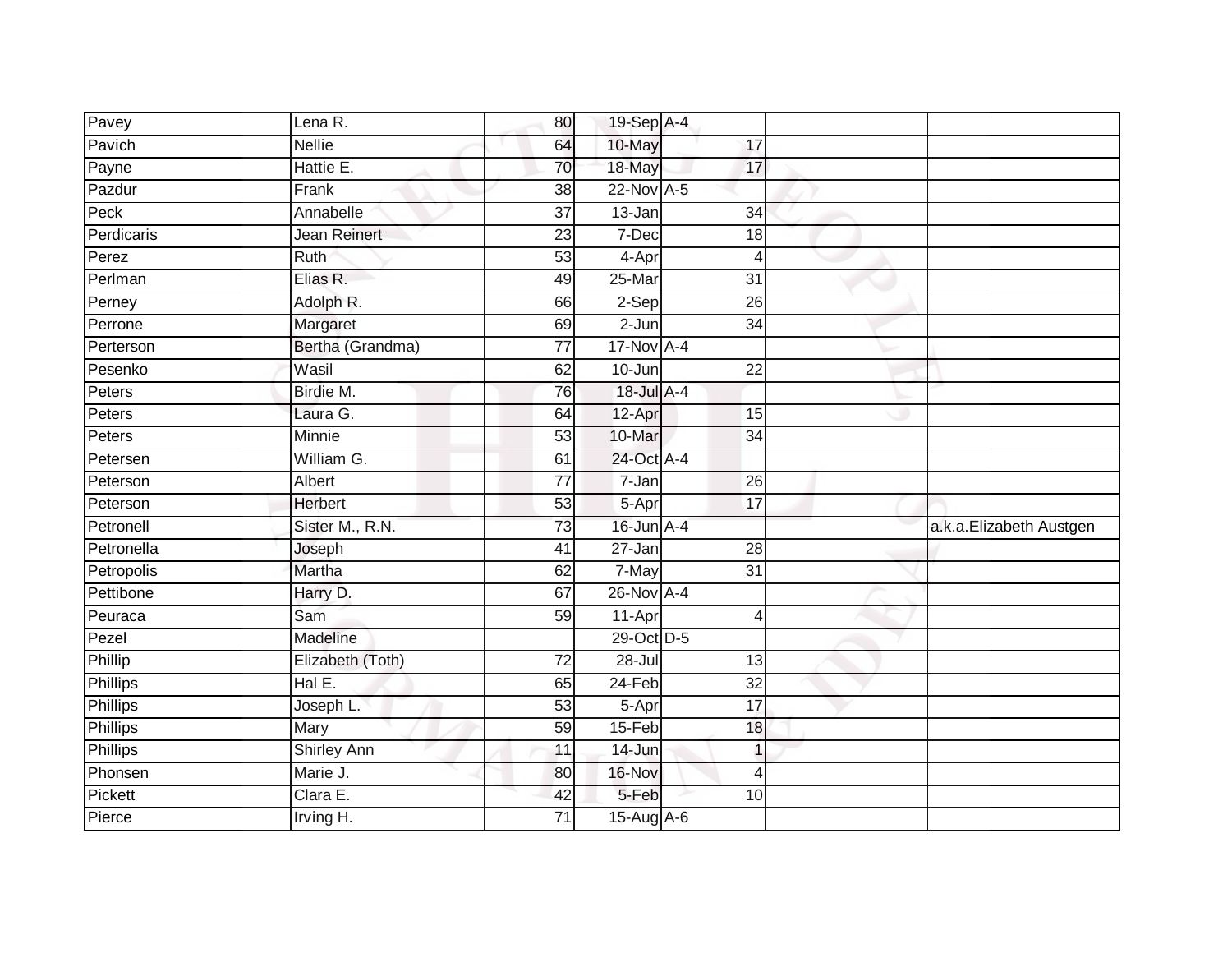| Pavey           | Lena R.            | 80              | 19-Sep A-4      |                 |                         |
|-----------------|--------------------|-----------------|-----------------|-----------------|-------------------------|
| Pavich          | <b>Nellie</b>      | 64              | 10-May          | 17              |                         |
| Payne           | Hattie E.          | $\overline{70}$ | 18-May          | 17              |                         |
| Pazdur          | Frank              | 38              | 22-Nov A-5      |                 |                         |
| Peck            | Annabelle          | $\overline{37}$ | $13 - Jan$      | $\overline{34}$ |                         |
| Perdicaris      | Jean Reinert       | 23              | 7-Dec           | 18              |                         |
| Perez           | Ruth               | $\overline{53}$ | 4-Apr           | 4               |                         |
| Perlman         | Elias R.           | 49              | 25-Mar          | 31              |                         |
| Perney          | Adolph R.          | 66              | 2-Sep           | 26              |                         |
| Perrone         | Margaret           | 69              | $2-Jun$         | $\overline{34}$ |                         |
| Perterson       | Bertha (Grandma)   | 77              | $17-Nov1 + 4$   |                 |                         |
| Pesenko         | Wasil              | 62              | 10-Jun          | $\overline{22}$ |                         |
| Peters          | Birdie M.          | 76              | 18-Jul A-4      |                 |                         |
| Peters          | Laura G.           | 64              | 12-Apr          | 15              |                         |
| Peters          | <b>Minnie</b>      | 53              | 10-Mar          | 34              |                         |
| Petersen        | William G.         | 61              | 24-Oct A-4      |                 |                         |
| Peterson        | Albert             | 77              | 7-Jan           | $\overline{26}$ |                         |
| Peterson        | <b>Herbert</b>     | 53              | 5-Apr           | 17              |                         |
| Petronell       | Sister M., R.N.    | 73              | 16-Jun A-4      |                 | a.k.a.Elizabeth Austgen |
| Petronella      | Joseph             | 41              | $27 - Jan$      | $\overline{28}$ |                         |
| Petropolis      | Martha             | 62              | 7-May           | 31              |                         |
| Pettibone       | Harry D.           | 67              | $26$ -Nov $A-4$ |                 |                         |
| Peuraca         | Sam                | 59              | 11-Apr          | $\overline{4}$  |                         |
| Pezel           | Madeline           |                 | 29-Oct D-5      |                 |                         |
| Phillip         | Elizabeth (Toth)   | $\overline{72}$ | $28 -$ Jul      | 13              |                         |
| <b>Phillips</b> | Hal E.             | 65              | $24-Feb$        | 32              |                         |
| <b>Phillips</b> | Joseph L.          | $\overline{53}$ | 5-Apr           | $\overline{17}$ |                         |
| Phillips        | Mary               | 59              | 15-Feb          | 18              |                         |
| Phillips        | <b>Shirley Ann</b> | 11              | 14-Jun          | 1               |                         |
| Phonsen         | Marie J.           | 80              | 16-Nov          | 4               |                         |
| Pickett         | Clara E.           | 42              | 5-Feb           | 10              |                         |
| Pierce          | Irving H.          | 71              | 15-Aug A-6      |                 |                         |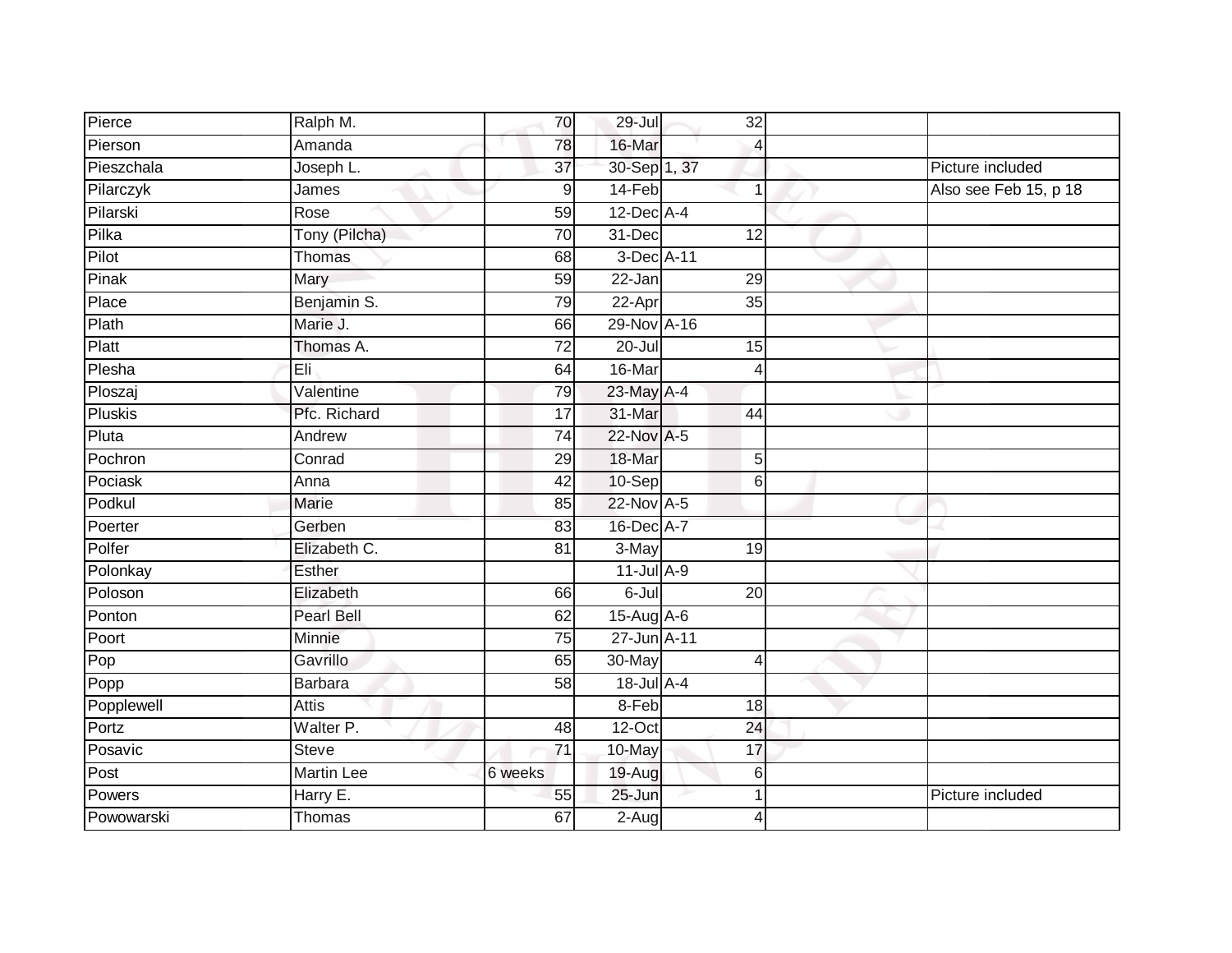| Pierce         | Ralph M.          | 70              | $29 -$ Jul       | $\overline{32}$ |                 |                       |
|----------------|-------------------|-----------------|------------------|-----------------|-----------------|-----------------------|
| Pierson        | Amanda            | 78              | 16-Mar           |                 | 4               |                       |
| Pieszchala     | Joseph L.         | $\overline{37}$ | 30-Sep 1, 37     |                 |                 | Picture included      |
| Pilarczyk      | James             | 9               | 14-Feb           |                 | 1               | Also see Feb 15, p 18 |
| Pilarski       | Rose              | 59              | $12$ -Dec $A$ -4 |                 |                 |                       |
| Pilka          | Tony (Pilcha)     | 70              | 31-Dec           | 12              |                 |                       |
| Pilot          | Thomas            | 68              | 3-Dec A-11       |                 |                 |                       |
| Pinak          | Mary              | 59              | 22-Jan           | 29              |                 |                       |
| Place          | Benjamin S.       | 79              | 22-Apr           | 35              |                 |                       |
| Plath          | Marie J.          | 66              | 29-Nov A-16      |                 |                 |                       |
| Platt          | Thomas A.         | $\overline{72}$ | $20 -$ Jul       | 15              |                 |                       |
| Plesha         | Eli               | 64              | 16-Mar           |                 | 4               |                       |
| Ploszaj        | Valentine         | 79              | 23-May A-4       |                 |                 |                       |
| <b>Pluskis</b> | Pfc. Richard      | 17              | 31-Mar           | 44              |                 |                       |
| Pluta          | Andrew            | $\overline{74}$ | 22-Nov A-5       |                 |                 |                       |
| Pochron        | Conrad            | 29              | 18-Mar           |                 | $5\overline{)}$ |                       |
| Pociask        | Anna              | 42              | 10-Sep           |                 | 6               |                       |
| Podkul         | Marie             | 85              | 22-Nov A-5       |                 |                 |                       |
| Poerter        | Gerben            | 83              | 16-Dec A-7       |                 |                 |                       |
| Polfer         | Elizabeth C.      | $\overline{81}$ | 3-May            | $\overline{19}$ |                 |                       |
| Polonkay       | Esther            |                 | $11$ -Jul A-9    |                 |                 |                       |
| Poloson        | Elizabeth         | 66              | $6 -$ Jul        | $\overline{20}$ |                 |                       |
| Ponton         | <b>Pearl Bell</b> | 62              | 15-Aug A-6       |                 |                 |                       |
| Poort          | Minnie            | 75              | 27-Jun A-11      |                 |                 |                       |
| Pop            | Gavrillo          | 65              | 30-May           |                 | 4               |                       |
| Popp           | <b>Barbara</b>    | 58              | 18-Jul A-4       |                 |                 |                       |
| Popplewell     | Attis             |                 | 8-Feb            |                 | 18              |                       |
| Portz          | Walter P.         | 48              | $12-Oct$         | 24              |                 |                       |
| Posavic        | <b>Steve</b>      | $\overline{71}$ | 10-May           | 17              |                 |                       |
| Post           | Martin Lee        | 6 weeks         | 19-Aug           |                 | 6               |                       |
| Powers         | Harry E.          | 55              | 25-Jun           |                 |                 | Picture included      |
| Powowarski     | Thomas            | 67              | $2-Aug$          |                 | 4               |                       |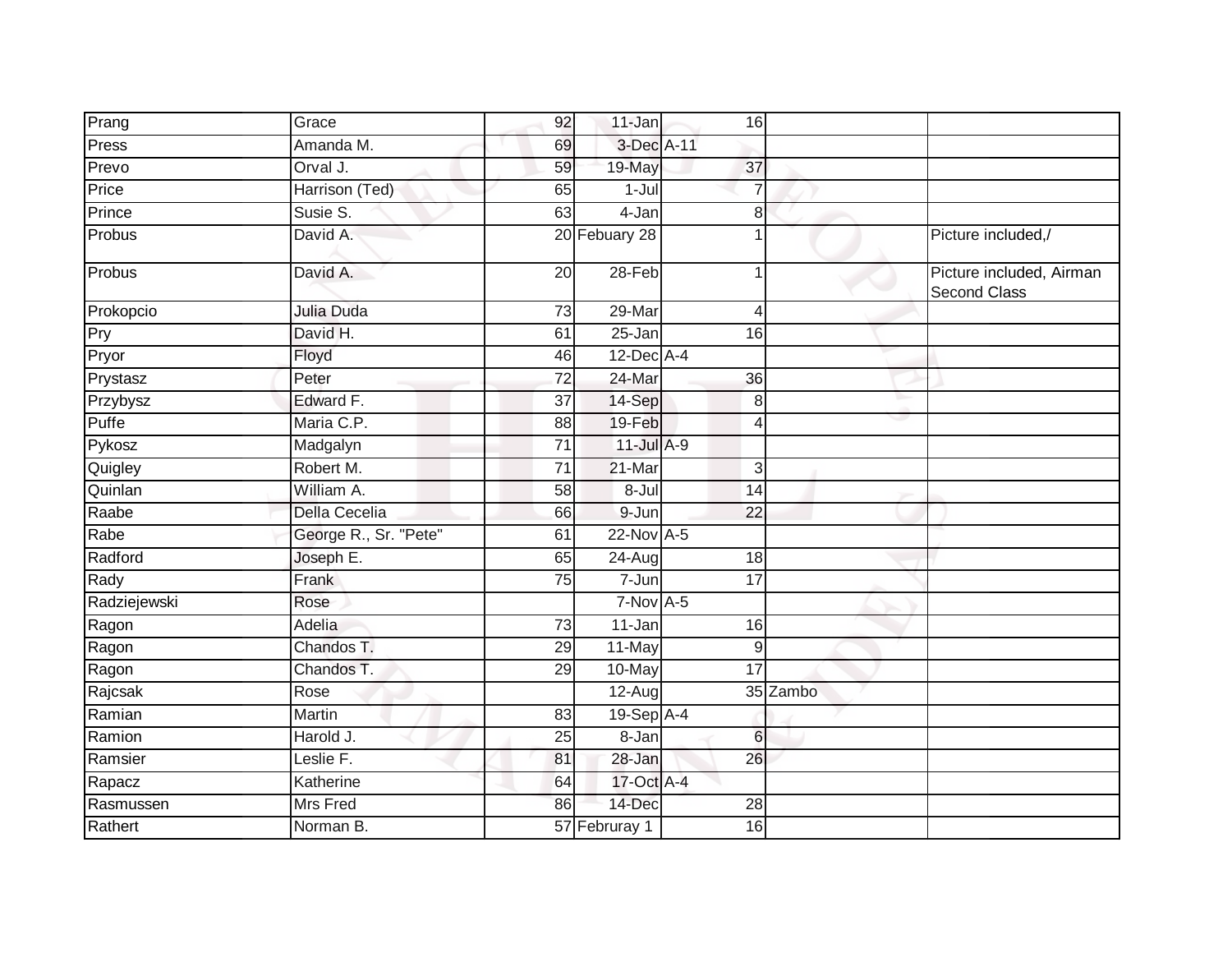| Prang        | Grace                 | 92              | 11-Jan               | 16              |          |                                                 |
|--------------|-----------------------|-----------------|----------------------|-----------------|----------|-------------------------------------------------|
| Press        | Amanda M.             | 69              | 3-Dec A-11           |                 |          |                                                 |
| Prevo        | Orval J.              | 59              | 19-May               | 37              |          |                                                 |
| Price        | Harrison (Ted)        | 65              | $1-Jul$              | $\overline{7}$  |          |                                                 |
| Prince       | Susie S.              | 63              | $4 - Jan$            | 8               |          |                                                 |
| Probus       | David A.              |                 | 20 Febuary 28        | 1               |          | Picture included,/                              |
| Probus       | David A.              | 20              | 28-Feb               | 1               |          | Picture included, Airman<br><b>Second Class</b> |
| Prokopcio    | Julia Duda            | 73              | 29-Mar               | 4               |          |                                                 |
| Pry          | David H.              | 61              | $25 - Jan$           | 16              |          |                                                 |
| Pryor        | Floyd                 | 46              | $12$ -Dec $A-4$      |                 |          |                                                 |
| Prystasz     | Peter                 | 72              | 24-Mar               | 36              |          |                                                 |
| Przybysz     | Edward F.             | 37              | 14-Sep               | 8               |          |                                                 |
| Puffe        | Maria C.P.            | 88              | 19-Feb               | $\overline{4}$  |          |                                                 |
| Pykosz       | Madgalyn              | 71              | $11$ -Jul $A-9$      |                 |          |                                                 |
| Quigley      | Robert M.             | $\overline{71}$ | 21-Mar               | 3               |          |                                                 |
| Quinlan      | William A.            | 58              | 8-Jul                | 14              |          |                                                 |
| Raabe        | Della Cecelia         | 66              | 9-Jun                | 22              |          |                                                 |
| Rabe         | George R., Sr. "Pete" | 61              | 22-Nov A-5           |                 |          |                                                 |
| Radford      | Joseph E.             | 65              | $\overline{2}$ 4-Aug | 18              |          |                                                 |
| Rady         | Frank                 | 75              | 7-Jun                | $\overline{17}$ |          |                                                 |
| Radziejewski | Rose                  |                 | $7-Nov$ A-5          |                 |          |                                                 |
| Ragon        | Adelia                | $\overline{73}$ | 11-Jan               | 16              |          |                                                 |
| Ragon        | Chandos T.            | 29              | 11-May               | 9               |          |                                                 |
| Ragon        | Chandos T.            | 29              | 10-May               | $\overline{17}$ |          |                                                 |
| Rajcsak      | Rose                  |                 | 12-Aug               |                 | 35 Zambo |                                                 |
| Ramian       | Martin                | 83              | 19-Sep A-4           |                 |          |                                                 |
| Ramion       | Harold J.             | 25              | $8 - Jan$            | $6\phantom{1}6$ |          |                                                 |
| Ramsier      | Leslie F.             | 81              | 28-Jan               | 26              |          |                                                 |
| Rapacz       | Katherine             | 64              | 17-Oct A-4           |                 |          |                                                 |
| Rasmussen    | <b>Mrs Fred</b>       | 86              | 14-Dec               | $\overline{28}$ |          |                                                 |
| Rathert      | Norman B.             |                 | 57 Februray 1        | 16              |          |                                                 |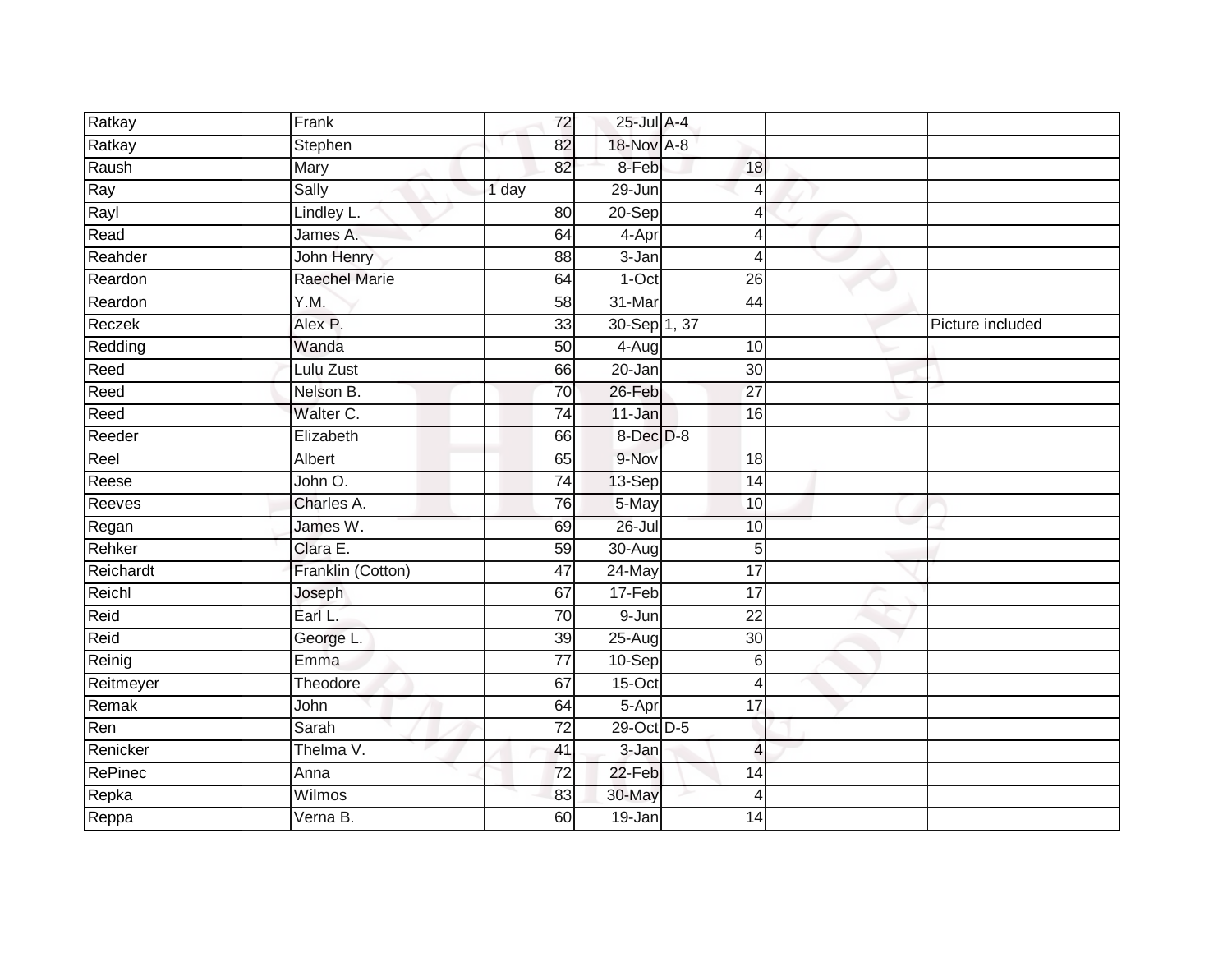|               | Frank                | 72              | 25-Jul A-4     |                 |                  |
|---------------|----------------------|-----------------|----------------|-----------------|------------------|
| Ratkay        |                      |                 |                |                 |                  |
| Ratkay        | Stephen              | 82              | 18-Nov A-8     |                 |                  |
| Raush         | Mary                 | 82              | 8-Feb          | 18              |                  |
| Ray           | Sally                | 1 day           | $29 - Jun$     | $\overline{4}$  |                  |
| Rayl          | Lindley L.           | 80              | $20-Sep$       | $\overline{4}$  |                  |
| Read          | James A.             | 64              | 4-Apr          | 4               |                  |
| Reahder       | John Henry           | 88              | 3-Jan          | $\overline{4}$  |                  |
| Reardon       | <b>Raechel Marie</b> | 64              | $1-Oct$        | 26              |                  |
| Reardon       | $\overline{Y.M.}$    | 58              | 31-Mar         | 44              |                  |
| Reczek        | Alex P.              | $\overline{33}$ | 30-Sep 1, 37   |                 | Picture included |
| Redding       | Wanda                | 50              | $4-Aug$        | 10              |                  |
| Reed          | Lulu Zust            | 66              | 20-Jan         | 30              |                  |
| Reed          | Nelson B.            | 70              | 26-Feb         | 27              |                  |
| Reed          | Walter C.            | 74              | 11-Jan         | 16              |                  |
| Reeder        | Elizabeth            | 66              | $8$ -Dec $D-8$ |                 |                  |
| Reel          | Albert               | 65              | 9-Nov          | 18              |                  |
| Reese         | John O.              | $\overline{74}$ | 13-Sep         | $\overline{14}$ |                  |
| <b>Reeves</b> | Charles A.           | $\overline{76}$ | 5-May          | 10              |                  |
| Regan         | James W.             | 69              | $26 -$ Jul     | 10              |                  |
| Rehker        | Clara E.             | 59              | 30-Aug         | 5               |                  |
| Reichardt     | Franklin (Cotton)    | 47              | 24-May         | 17              |                  |
| Reichl        | Joseph               | 67              | 17-Feb         | $\overline{17}$ |                  |
| Reid          | Earl L.              | 70              | 9-Jun          | 22              |                  |
| Reid          | George L.            | 39              | 25-Aug         | $\overline{30}$ |                  |
| Reinig        | Emma                 | $\overline{77}$ | $10-Sep$       | $6\phantom{1}6$ |                  |
| Reitmeyer     | Theodore             | 67              | $15-Oct$       | $\overline{4}$  |                  |
| Remak         | John                 | 64              | 5-Apr          | $\overline{17}$ |                  |
| Ren           | Sarah                | 72              | 29-Oct D-5     |                 |                  |
| Renicker      | Thelma V.            | 41              | 3-Jan          | $\overline{4}$  |                  |
| RePinec       | Anna                 | 72              | 22-Feb         | 14              |                  |
| Repka         | Wilmos               | 83              | 30-May         | $\overline{4}$  |                  |
| Reppa         | Verna B.             | 60              | 19-Jan         | 14              |                  |
|               |                      |                 |                |                 |                  |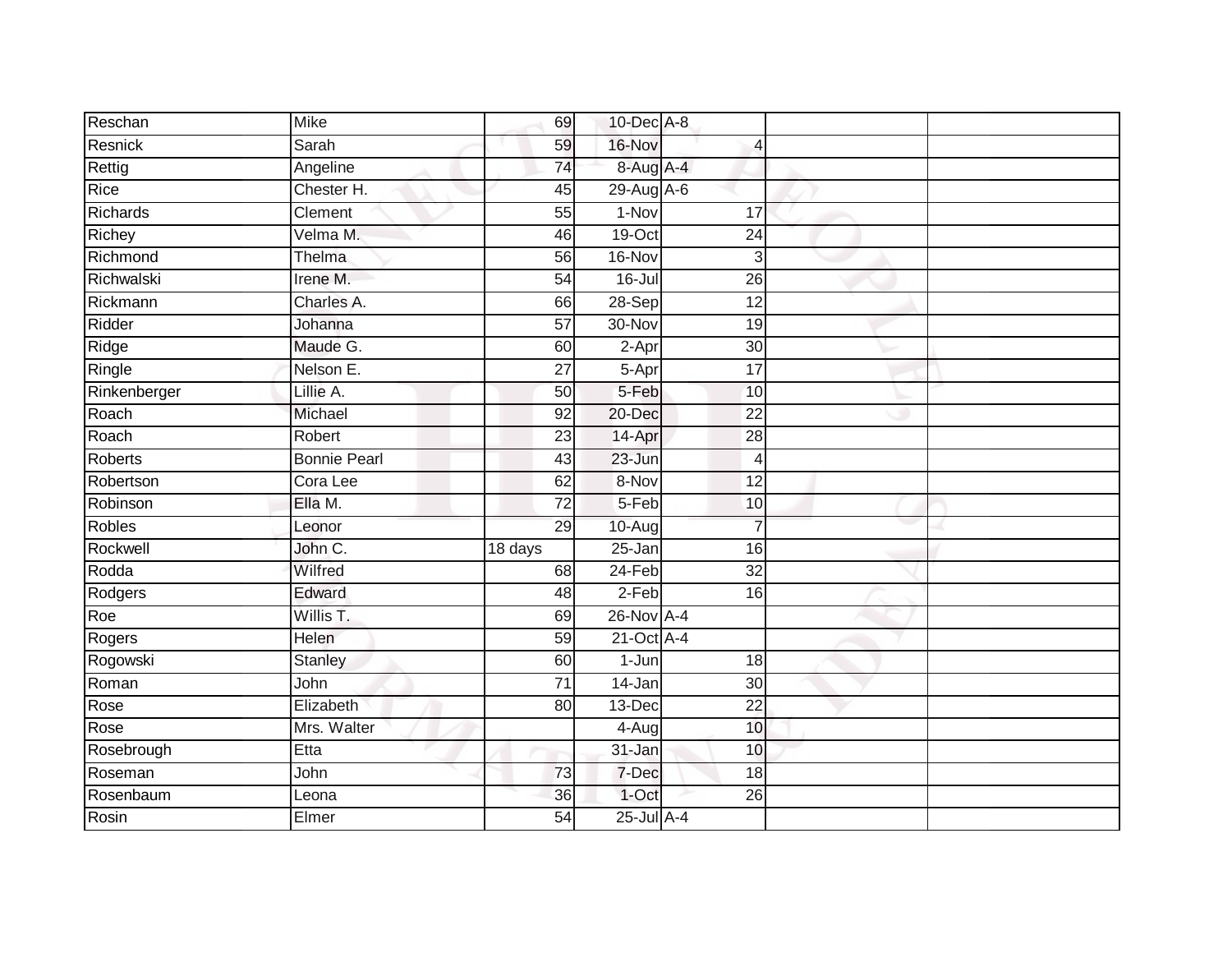| Reschan         | <b>Mike</b>         | 69              | 10-Dec A-8       |                 |  |
|-----------------|---------------------|-----------------|------------------|-----------------|--|
| Resnick         | Sarah               | 59              | 16-Nov           | 4               |  |
| Rettig          | Angeline            | 74              | 8-Aug A-4        |                 |  |
| Rice            | Chester H.          | 45              | $29$ -Aug $A$ -6 |                 |  |
| <b>Richards</b> | Clement             | $\overline{55}$ | 1-Nov            | 17              |  |
| Richey          | Velma M.            | 46              | 19-Oct           | $\overline{24}$ |  |
| Richmond        | Thelma              | 56              | 16-Nov           | 3               |  |
| Richwalski      | Irene M.            | $\overline{54}$ | 16-Jul           | $\overline{26}$ |  |
| Rickmann        | Charles A.          | 66              | 28-Sep           | 12              |  |
| Ridder          | Johanna             | $\overline{57}$ | 30-Nov           | 19              |  |
| Ridge           | Maude G.            | 60              | 2-Apr            | 30              |  |
| Ringle          | Nelson E.           | $\overline{27}$ | 5-Apr            | $\overline{17}$ |  |
| Rinkenberger    | Lillie A.           | 50              | 5-Feb            | 10              |  |
| Roach           | Michael             | 92              | 20-Dec           | $\overline{22}$ |  |
| Roach           | Robert              | $\overline{23}$ | 14-Apr           | $\overline{28}$ |  |
| Roberts         | <b>Bonnie Pearl</b> | 43              | $23 - Jun$       | $\overline{4}$  |  |
| Robertson       | Cora Lee            | 62              | 8-Nov            | $\overline{12}$ |  |
| Robinson        | Ella M.             | 72              | 5-Feb            | 10              |  |
| Robles          | Leonor              | 29              | 10-Aug           | $\overline{7}$  |  |
| Rockwell        | John C.             | 18 days         | $25 - Jan$       | $\overline{16}$ |  |
| Rodda           | Wilfred             | 68              | 24-Feb           | $\overline{32}$ |  |
| Rodgers         | Edward              | 48              | $2-Feb$          | 16              |  |
| Roe             | Willis T.           | 69              | 26-Nov A-4       |                 |  |
| Rogers          | Helen               | 59              | 21-Oct A-4       |                 |  |
| Rogowski        | <b>Stanley</b>      | 60              | 1-Jun            | 18              |  |
| Roman           | John                | $\overline{71}$ | 14-Jan           | $\overline{30}$ |  |
| Rose            | Elizabeth           | 80              | 13-Dec           | $\overline{22}$ |  |
| Rose            | Mrs. Walter         |                 | 4-Aug            | 10              |  |
| Rosebrough      | Etta                |                 | 31-Jan           | 10              |  |
| Roseman         | John                | 73              | 7-Dec            | 18              |  |
| Rosenbaum       | Leona               | 36              | 1-Oct            | 26              |  |
| Rosin           | Elmer               | 54              | $25$ -Jul $A-4$  |                 |  |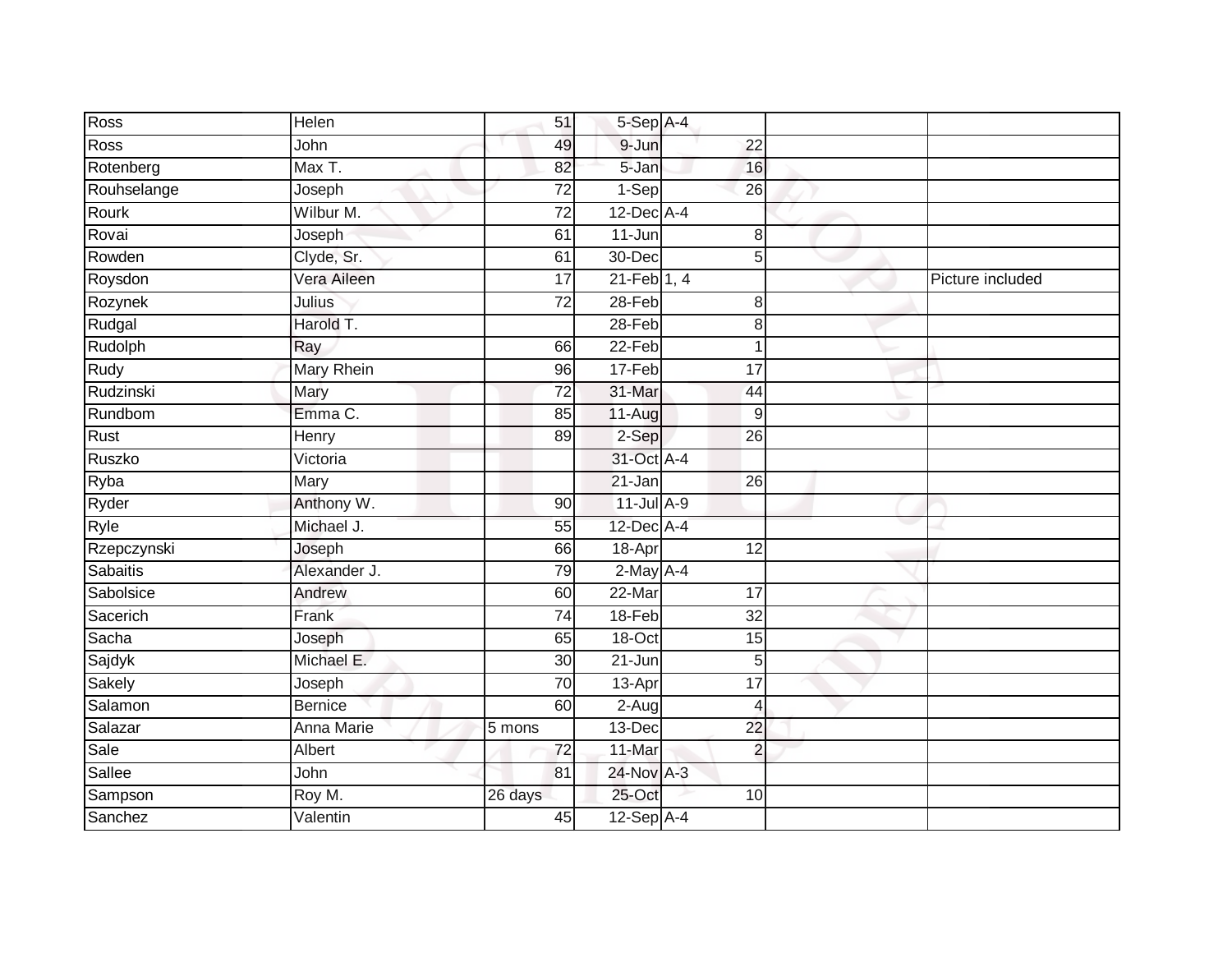| Ross            | Helen          | 51              | 5-Sep A-4        |                 |                  |
|-----------------|----------------|-----------------|------------------|-----------------|------------------|
| Ross            | John           | 49              | 9-Jun            | 22              |                  |
| Rotenberg       | Max T.         | 82              | 5-Jan            | 16              |                  |
| Rouhselange     | Joseph         | $\overline{72}$ | 1-Sep            | 26              |                  |
| <b>Rourk</b>    | Wilbur M.      | $\overline{72}$ | $12$ -Dec $A$ -4 |                 |                  |
| Rovai           | Joseph         | 61              | 11-Jun           | 8               |                  |
| Rowden          | Clyde, Sr.     | 61              | 30-Dec           | 5               |                  |
| Roysdon         | Vera Aileen    | 17              | $21$ -Feb $1, 4$ |                 | Picture included |
| Rozynek         | Julius         | 72              | 28-Feb           | 8               |                  |
| Rudgal          | Harold T.      |                 | $28 - Feb$       | 8               |                  |
| Rudolph         | Ray            | 66              | $22-Feb$         | 1               |                  |
| Rudy            | Mary Rhein     | 96              | 17-Feb           | $\overline{17}$ |                  |
| Rudzinski       | Mary           | 72              | 31-Mar           | 44              |                  |
| Rundbom         | Emma C.        | 85              | 11-Aug           | 9               |                  |
| Rust            | Henry          | 89              | $2-Sep$          | $\overline{26}$ |                  |
| Ruszko          | Victoria       |                 | 31-Oct A-4       |                 |                  |
| Ryba            | Mary           |                 | $21 - Jan$       | $\overline{26}$ |                  |
| Ryder           | Anthony W.     | 90              | $11$ -Jul $A-9$  |                 |                  |
| Ryle            | Michael J.     | 55              | 12-Dec A-4       |                 |                  |
| Rzepczynski     | Joseph         | 66              | 18-Apr           | $\overline{12}$ |                  |
| <b>Sabaitis</b> | Alexander J.   | 79              | $2$ -May $A-4$   |                 |                  |
| Sabolsice       | Andrew         | 60              | $22$ -Mar        | $\overline{17}$ |                  |
| Sacerich        | Frank          | 74              | 18-Feb           | 32              |                  |
| Sacha           | Joseph         | 65              | $18 - Oct$       | 15              |                  |
| Sajdyk          | Michael E.     | $\overline{30}$ | $21 - Jun$       | 5               |                  |
| Sakely          | Joseph         | 70              | 13-Apr           | $\overline{17}$ |                  |
| Salamon         | <b>Bernice</b> | 60              | $2-Aug$          | $\overline{4}$  |                  |
| Salazar         | Anna Marie     | 5 mons          | 13-Dec           | $\overline{22}$ |                  |
| Sale            | Albert         | 72              | 11-Mar           | $\overline{2}$  |                  |
| Sallee          | John           | 81              | 24-Nov A-3       |                 |                  |
| Sampson         | Roy M.         | 26 days         | $25$ -Oct        | 10              |                  |
| Sanchez         | Valentin       | 45              | $12-Sep$ A-4     |                 |                  |
|                 |                |                 |                  |                 |                  |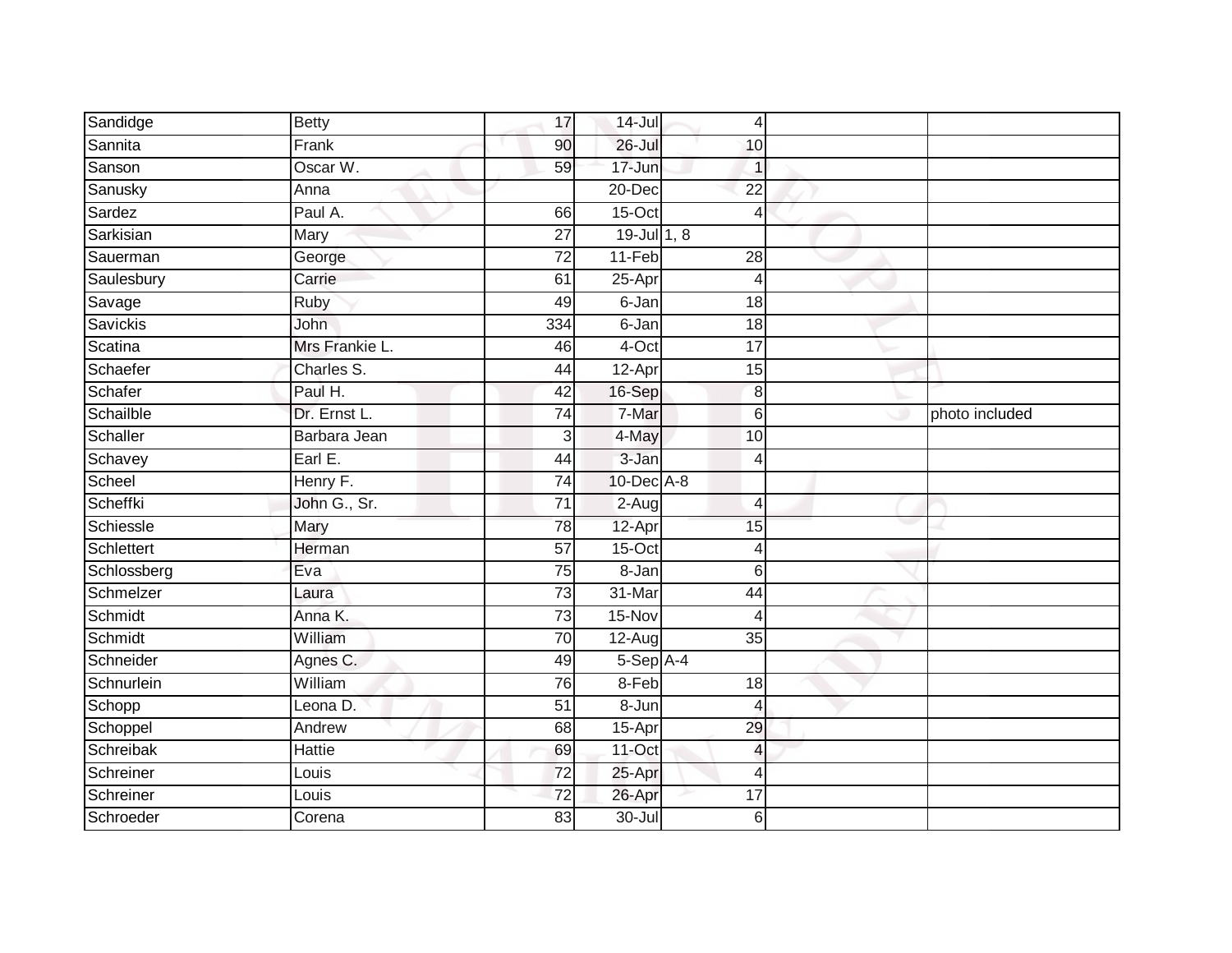| Sandidge        | <b>Betty</b>   | 17              | $14 -$ Jul  | 4                        |                |
|-----------------|----------------|-----------------|-------------|--------------------------|----------------|
| Sannita         | Frank          | 90              | $26 -$ Jul  | 10                       |                |
| Sanson          | Oscar W.       | 59              | 17-Jun      | $\mathbf{1}$             |                |
| Sanusky         | Anna           |                 | 20-Dec      | 22                       |                |
| Sardez          | Paul A.        | 66              | $15-Oct$    | $\overline{4}$           |                |
| Sarkisian       | Mary           | $\overline{27}$ | 19-Jul 1, 8 |                          |                |
| Sauerman        | George         | $\overline{72}$ | 11-Feb      | 28                       |                |
| Saulesbury      | Carrie         | 61              | 25-Apr      | $\overline{4}$           |                |
| Savage          | <b>Ruby</b>    | 49              | 6-Jan       | 18                       |                |
| <b>Savickis</b> | John           | 334             | 6-Jan       | 18                       |                |
| Scatina         | Mrs Frankie L. | 46              | 4-Oct       | 17                       |                |
| Schaefer        | Charles S.     | 44              | 12-Apr      | 15                       |                |
| Schafer         | Paul H.        | 42              | 16-Sep      | 8                        |                |
| Schailble       | Dr. Ernst L.   | 74              | 7-Mar       | $6\phantom{1}6$          | photo included |
| Schaller        | Barbara Jean   | 3               | 4-May       | 10                       |                |
| Schavey         | Earl E.        | 44              | 3-Jan       | $\overline{4}$           |                |
| Scheel          | Henry F.       | $\overline{74}$ | 10-Dec A-8  |                          |                |
| Scheffki        | John G., Sr.   | $\overline{71}$ | $2-Aug$     | $\overline{4}$           |                |
| Schiessle       | Mary           | 78              | 12-Apr      | 15                       |                |
| Schlettert      | Herman         | $\overline{57}$ | $15$ -Oct   | $\overline{4}$           |                |
| Schlossberg     | Eva            | $\overline{75}$ | 8-Jan       | 6                        |                |
| Schmelzer       | Laura          | 73              | 31-Mar      | 44                       |                |
| Schmidt         | Anna K.        | 73              | 15-Nov      | $\overline{4}$           |                |
| Schmidt         | William        | 70              | $12-Aug$    | 35                       |                |
| Schneider       | Agnes C.       | 49              | $5-Sep$ A-4 |                          |                |
| Schnurlein      | William        | 76              | 8-Feb       | 18                       |                |
| Schopp          | Leona D.       | $\overline{51}$ | 8-Jun       | $\overline{4}$           |                |
| Schoppel        | Andrew         | 68              | 15-Apr      | 29                       |                |
| Schreibak       | <b>Hattie</b>  | 69              | 11-Oct      | $\overline{\mathcal{L}}$ |                |
| Schreiner       | Louis          | $\overline{72}$ | 25-Apr      | $\overline{4}$           |                |
| Schreiner       | Louis          | $\overline{72}$ | 26-Apr      | $\overline{17}$          |                |
| Schroeder       | Corena         | 83              | $30 -$ Jul  | 6                        |                |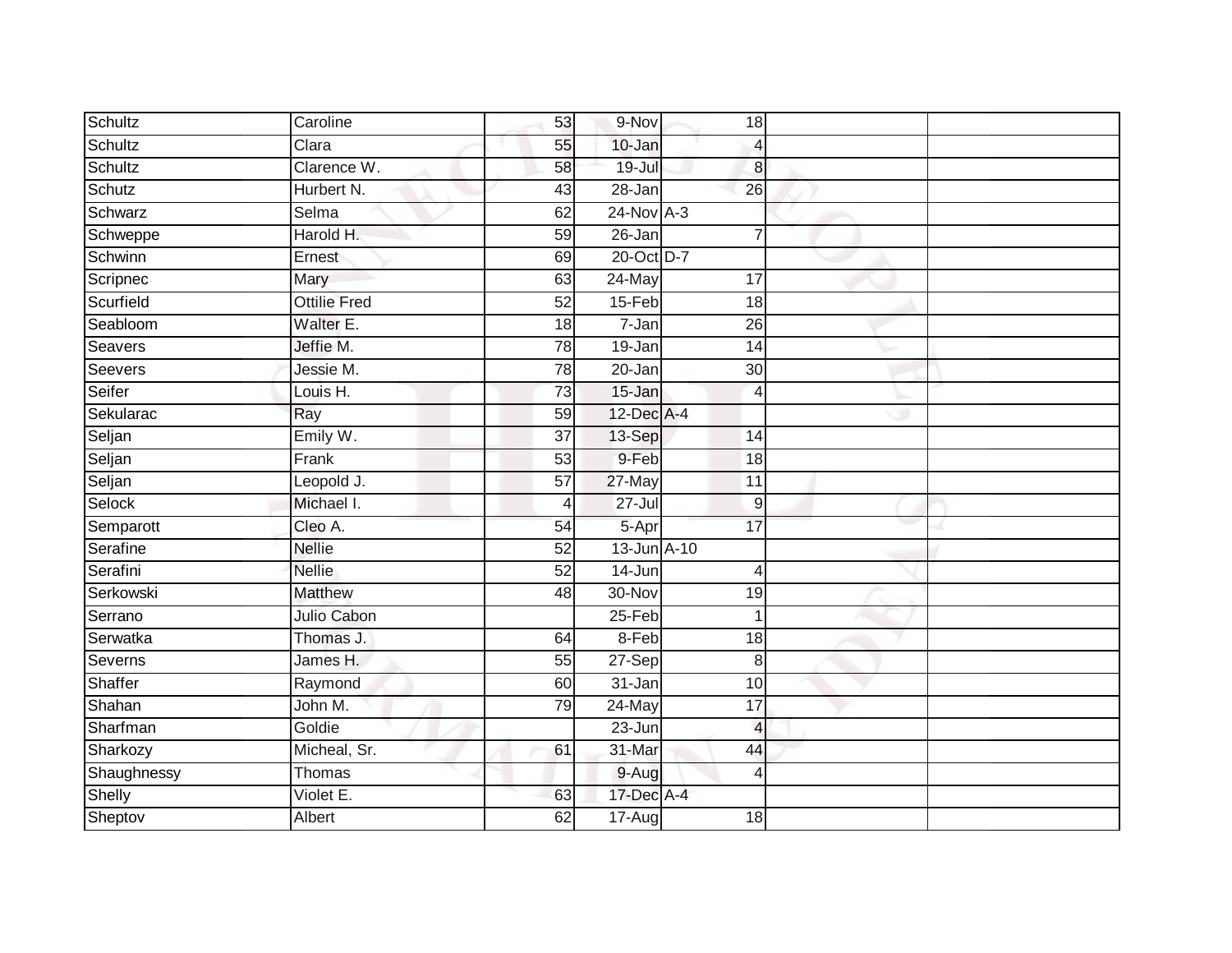| Schultz     | Caroline            | 53              | 9-Nov           | 18                    |  |
|-------------|---------------------|-----------------|-----------------|-----------------------|--|
| Schultz     | Clara               | 55              | 10-Jan          | Δ                     |  |
| Schultz     | Clarence W.         | 58              | $19 -$ Jul      | 8                     |  |
| Schutz      | Hurbert N.          | 43              | 28-Jan          | 26                    |  |
| Schwarz     | Selma               | 62              | $24$ -Nov $A-3$ |                       |  |
| Schweppe    | Harold H.           | 59              | 26-Jan          | 7                     |  |
| Schwinn     | Ernest              | 69              | 20-Oct D-7      |                       |  |
| Scripnec    | Mary                | 63              | 24-May          | 17                    |  |
| Scurfield   | <b>Ottilie Fred</b> | 52              | 15-Feb          | 18                    |  |
| Seabloom    | Walter E.           | 18              | $7 - Jan$       | $\overline{26}$       |  |
| Seavers     | Jeffie M.           | 78              | 19-Jan          | 14                    |  |
| Seevers     | Jessie M.           | $\overline{78}$ | 20-Jan          | 30                    |  |
| Seifer      | Louis H.            | 73              | 15-Jan          | 4                     |  |
| Sekularac   | Ray                 | 59              | 12-Dec A-4      |                       |  |
| Seljan      | Emily W.            | 37              | 13-Sep          | 14                    |  |
| Seljan      | Frank               | $\overline{53}$ | 9-Feb           | 18                    |  |
| Seljan      | Leopold J.          | 57              | 27-May          | 11                    |  |
| Selock      | Michael I.          | 4               | $27 -$ Jul      | 9                     |  |
| Semparott   | Cleo A.             | 54              | 5-Apr           | 17                    |  |
| Serafine    | <b>Nellie</b>       | 52              | 13-Jun A-10     |                       |  |
| Serafini    | <b>Nellie</b>       | 52              | 14-Jun          | 4                     |  |
| Serkowski   | <b>Matthew</b>      | $\overline{48}$ | 30-Nov          | $\overline{19}$       |  |
| Serrano     | Julio Cabon         |                 | 25-Feb          |                       |  |
| Serwatka    | Thomas J.           | 64              | 8-Feb           | 18                    |  |
| Severns     | James H.            | 55              | 27-Sep          | 8 <sup>1</sup>        |  |
| Shaffer     | Raymond             | 60              | $31 - Jan$      | 10                    |  |
| Shahan      | John M.             | 79              | 24-May          | $\overline{17}$       |  |
| Sharfman    | Goldie              |                 | $23 - Jun$      | $\boldsymbol{\Delta}$ |  |
| Sharkozy    | Micheal, Sr.        | 61              | 31-Mar          | 44                    |  |
| Shaughnessy | Thomas              |                 | 9-Aug           | Δ                     |  |
| Shelly      | Violet E.           | 63              | 17-Dec A-4      |                       |  |
| Sheptov     | Albert              | 62              | 17-Aug          | 18                    |  |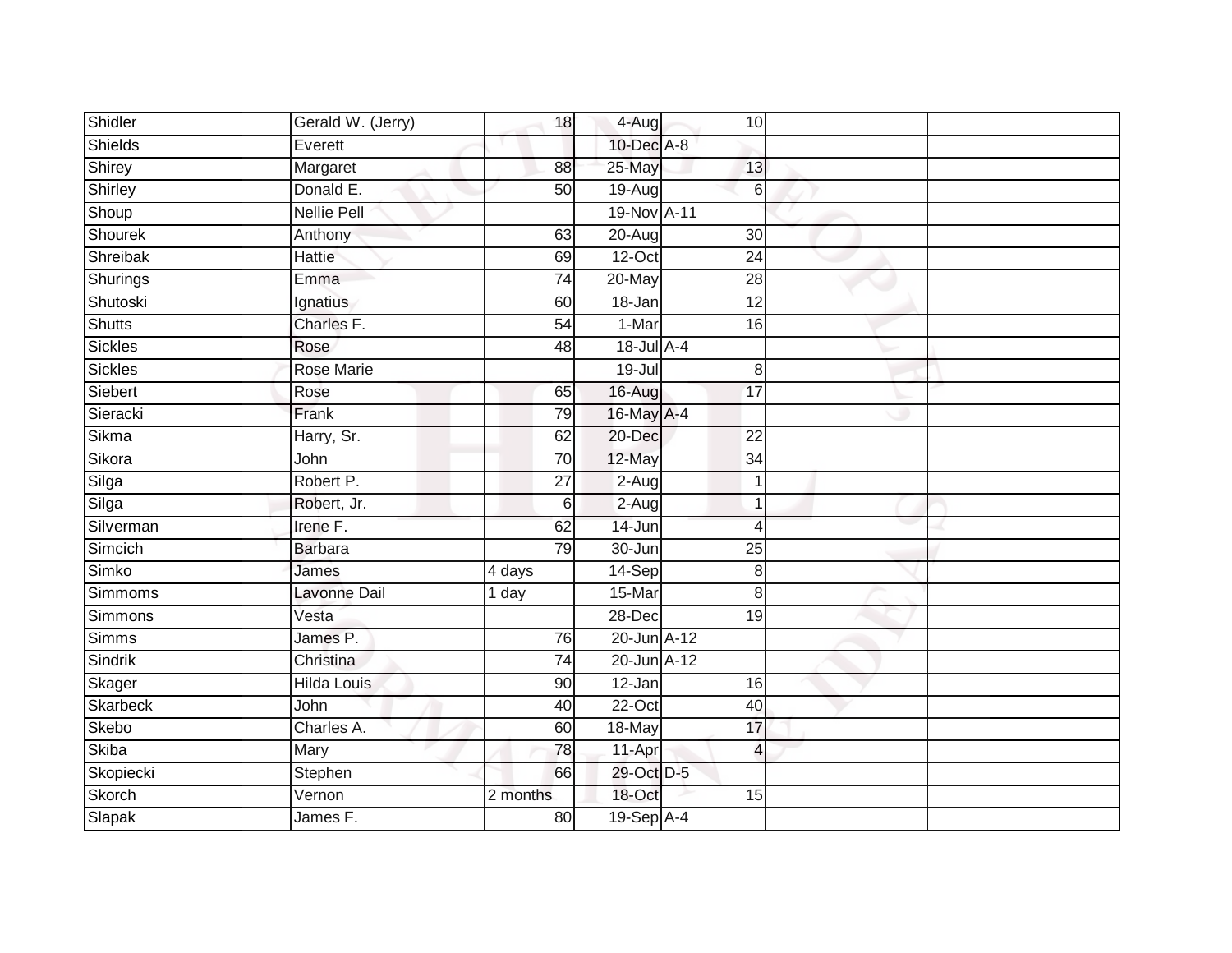| Shidler         | Gerald W. (Jerry)  | 18              | $4-Aug$            | 10 <sup>1</sup> |  |
|-----------------|--------------------|-----------------|--------------------|-----------------|--|
| Shields         | Everett            |                 | 10-Dec A-8         |                 |  |
| Shirey          | Margaret           | 88              | 25-May             | 13              |  |
| Shirley         | Donald E.          | 50              | $19-Aug$           | $6\,$           |  |
| Shoup           | <b>Nellie Pell</b> |                 | 19-Nov A-11        |                 |  |
| Shourek         | Anthony            | 63              | 20-Aug             | 30 <sup>°</sup> |  |
| Shreibak        | <b>Hattie</b>      | 69              | 12-Oct             | $\overline{24}$ |  |
| Shurings        | Emma               | 74              | $20$ -May          | 28              |  |
| Shutoski        | Ignatius           | 60              | 18-Jan             | 12              |  |
| Shutts          | Charles F.         | 54              | 1-Mar              | 16              |  |
| Sickles         | Rose               | 48              | $18 -$ Jul $A - 4$ |                 |  |
| <b>Sickles</b>  | Rose Marie         |                 | $19 -$ Jul         | $\,8\,$         |  |
| Siebert         | Rose               | 65              | 16-Aug             | $\overline{17}$ |  |
| Sieracki        | Frank              | 79              | 16-May A-4         |                 |  |
| Sikma           | Harry, Sr.         | 62              | $20 - Dec$         | $\overline{22}$ |  |
| Sikora          | John               | 70              | 12-May             | 34              |  |
| Silga           | Robert P.          | $\overline{27}$ | $2-Aug$            | $\mathbf 1$     |  |
| Silga           | Robert, Jr.        | 6               | $2-Aug$            | $\mathbf 1$     |  |
| Silverman       | Irene F.           | 62              | 14-Jun             | 4               |  |
| Simcich         | <b>Barbara</b>     | 79              | 30-Jun             | $\overline{25}$ |  |
| Simko           | James              | 4 days          | 14-Sep             | $\,8\,$         |  |
| Simmoms         | Lavonne Dail       | 1 day           | 15-Mar             | $\,8\,$         |  |
| Simmons         | Vesta              |                 | 28-Dec             | 19              |  |
| Simms           | James P.           | 76              | 20-Jun A-12        |                 |  |
| <b>Sindrik</b>  | Christina          | 74              | 20-Jun A-12        |                 |  |
| Skager          | <b>Hilda Louis</b> | 90              | 12-Jan             | 16              |  |
| <b>Skarbeck</b> | John               | 40              | $22-Oct$           | 40              |  |
| Skebo           | Charles A.         | 60              | 18-May             | 17              |  |
| <b>Skiba</b>    | Mary               | 78              | 11-Apr             | 4               |  |
| Skopiecki       | Stephen            | 66              | 29-Oct D-5         |                 |  |
| Skorch          | Vernon             | 2 months        | 18-Oct             | 15              |  |
| Slapak          | James F.           | 80              | 19-Sep A-4         |                 |  |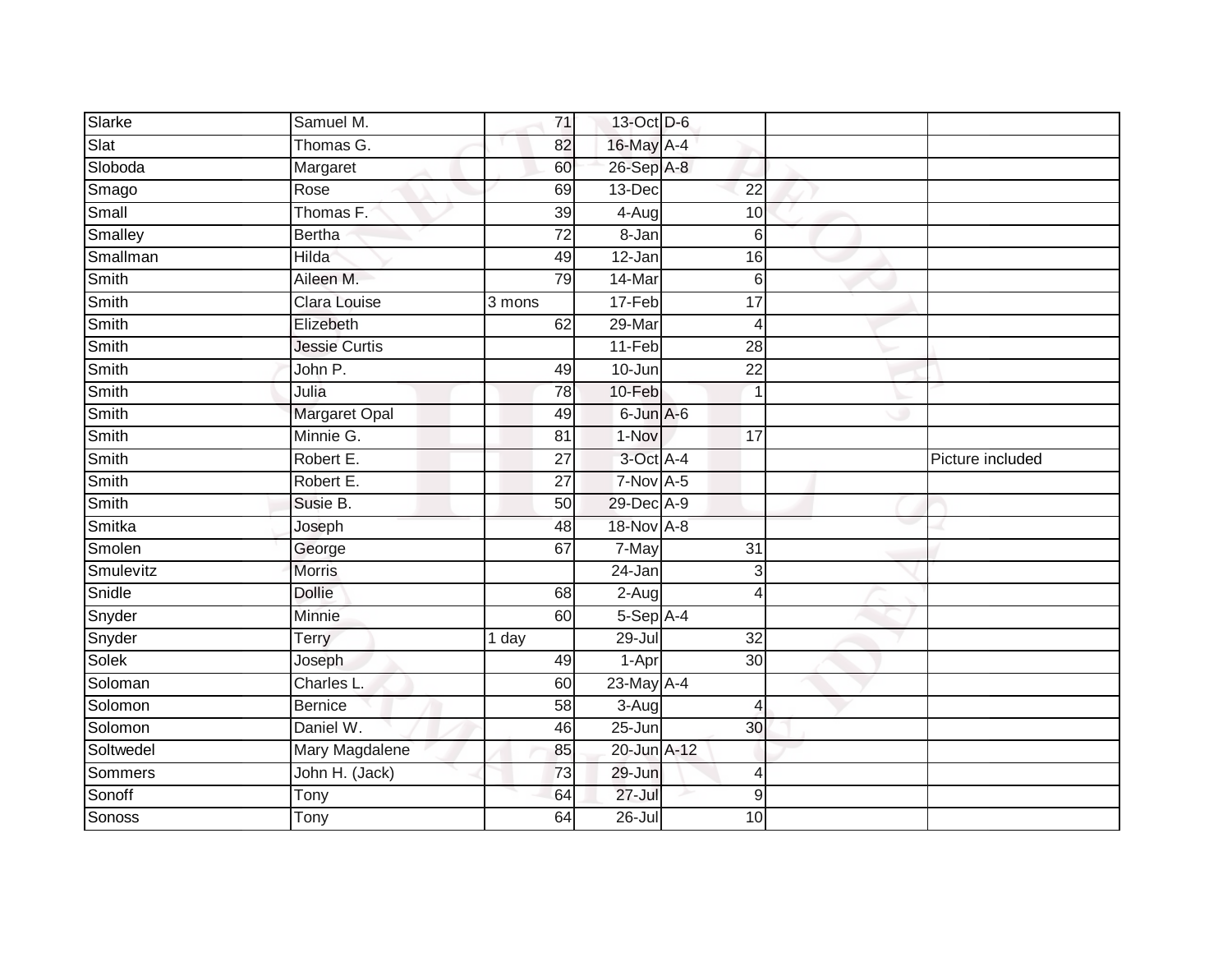| Slarke    | Samuel M.            | 71              | 13-Oct D-6      |                 |                  |
|-----------|----------------------|-----------------|-----------------|-----------------|------------------|
| Slat      | Thomas G.            | 82              | 16-May A-4      |                 |                  |
| Sloboda   | Margaret             | 60              | 26-Sep A-8      |                 |                  |
| Smago     | Rose                 | 69              | 13-Dec          | 22              |                  |
| Small     | Thomas F.            | 39              | $4-Aug$         | $\overline{10}$ |                  |
| Smalley   | <b>Bertha</b>        | $\overline{72}$ | 8-Jan           | $6 \,$          |                  |
| Smallman  | Hilda                | 49              | 12-Jan          | 16              |                  |
| Smith     | Aileen M.            | 79              | 14-Mar          | $6\phantom{1}6$ |                  |
| Smith     | <b>Clara Louise</b>  | 3 mons          | 17-Feb          | 17              |                  |
| Smith     | Elizebeth            | 62              | 29-Mar          | 4               |                  |
| Smith     | <b>Jessie Curtis</b> |                 | $11-Feb$        | 28              |                  |
| Smith     | John P.              | 49              | 10-Jun          | 22              |                  |
| Smith     | Julia                | 78              | 10-Feb          | 1               |                  |
| Smith     | <b>Margaret Opal</b> | 49              | 6-Jun A-6       |                 |                  |
| Smith     | Minnie G.            | 81              | 1-Nov           | $\overline{17}$ |                  |
| Smith     | Robert E.            | 27              | $3$ -Oct $A$ -4 |                 | Picture included |
| Smith     | Robert E.            | $\overline{27}$ | $7-Nov$ A-5     |                 |                  |
| Smith     | Susie B.             | 50              | 29-Dec A-9      |                 |                  |
| Smitka    | Joseph               | 48              | 18-Nov A-8      |                 |                  |
| Smolen    | George               | 67              | 7-May           | $\overline{31}$ |                  |
| Smulevitz | <b>Morris</b>        |                 | 24-Jan          | 3               |                  |
| Snidle    | <b>Dollie</b>        | 68              | $2-Aug$         | 4               |                  |
| Snyder    | Minnie               | 60              | $5-Sep$ A-4     |                 |                  |
| Snyder    | <b>Terry</b>         | 1 day           | $29 -$ Jul      | 32              |                  |
| Solek     | Joseph               | 49              | 1-Apr           | 30 <sup>°</sup> |                  |
| Soloman   | Charles L.           | 60              | $23$ -May $A-4$ |                 |                  |
| Solomon   | <b>Bernice</b>       | 58              | 3-Aug           | $\overline{4}$  |                  |
| Solomon   | Daniel W.            | 46              | 25-Jun          | 30              |                  |
| Soltwedel | Mary Magdalene       | 85              | 20-Jun A-12     |                 |                  |
| Sommers   | John H. (Jack)       | 73              | 29-Jun          | 4               |                  |
| Sonoff    | Tony                 | 64              | $27 -$ Jul      | $\overline{9}$  |                  |
| Sonoss    | Tony                 | 64              | $26 -$ Jul      | $\overline{10}$ |                  |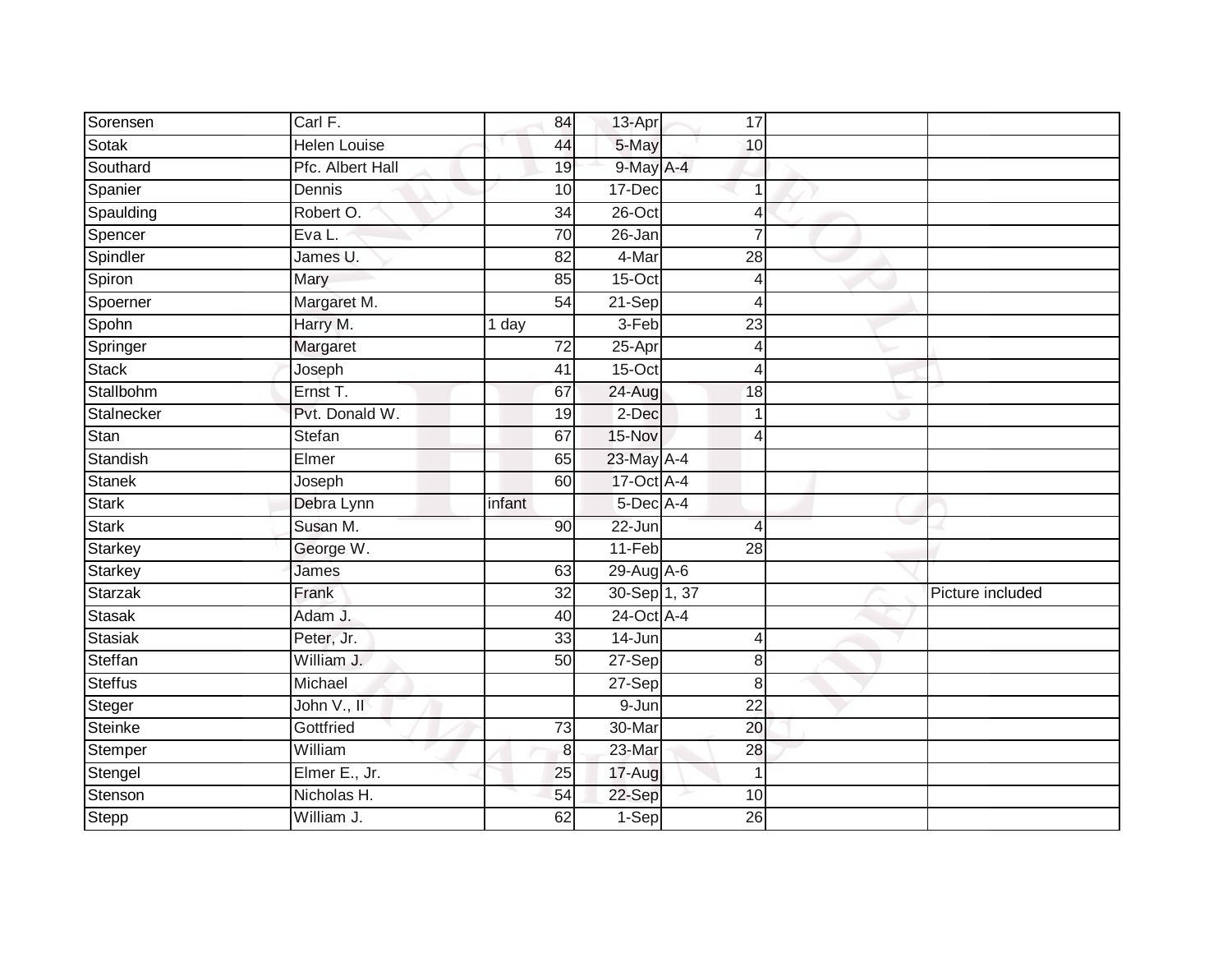| Sorensen       | Carl F.             | 84              | 13-Apr          | 17              |                  |
|----------------|---------------------|-----------------|-----------------|-----------------|------------------|
| Sotak          | <b>Helen Louise</b> | 44              | 5-May           | 10              |                  |
| Southard       | Pfc. Albert Hall    | 19              | 9-May A-4       |                 |                  |
| Spanier        | Dennis              | 10              | 17-Dec          | 1               |                  |
| Spaulding      | Robert O.           | $\overline{34}$ | $26$ -Oct       | $\overline{4}$  |                  |
| Spencer        | Eva L.              | 70              | 26-Jan          | $\overline{7}$  |                  |
| Spindler       | James U.            | 82              | 4-Mar           | 28              |                  |
| Spiron         | Mary                | 85              | $15-Oct$        | 4               |                  |
| Spoerner       | Margaret M.         | $\overline{54}$ | 21-Sep          | 4               |                  |
| Spohn          | Harry M.            | 1 day           | 3-Feb           | 23              |                  |
| Springer       | Margaret            | 72              | 25-Apr          | 4               |                  |
| <b>Stack</b>   | Joseph              | 41              | 15-Oct          | 4               |                  |
| Stallbohm      | Ernst T.            | 67              | 24-Aug          | 18              |                  |
| Stalnecker     | Pvt. Donald W.      | 19              | 2-Dec           |                 |                  |
| Stan           | Stefan              | 67              | 15-Nov          | 4               |                  |
| Standish       | Elmer               | 65              | 23-May A-4      |                 |                  |
| <b>Stanek</b>  | Joseph              | 60              | 17-Oct A-4      |                 |                  |
| <b>Stark</b>   | Debra Lynn          | infant          | $5$ -Dec $A$ -4 |                 |                  |
| <b>Stark</b>   | Susan M.            | 90              | 22-Jun          | $\overline{4}$  |                  |
| Starkey        | George W.           |                 | $11-Feb$        | 28              |                  |
| <b>Starkey</b> | James               | 63              | 29-Aug A-6      |                 |                  |
| Starzak        | Frank               | 32              | 30-Sep 1, 37    |                 | Picture included |
| Stasak         | Adam J.             | 40              | 24-Oct A-4      |                 |                  |
| <b>Stasiak</b> | Peter, Jr.          | 33              | 14-Jun          | 4               |                  |
| Steffan        | William J.          | 50              | 27-Sep          | 8               |                  |
| Steffus        | Michael             |                 | $27-Sep$        | 8               |                  |
| Steger         | John V., II         |                 | 9-Jun           | $\overline{22}$ |                  |
| Steinke        | Gottfried           | 73              | 30-Mar          | 20              |                  |
| Stemper        | William             | 8               | 23-Mar          | 28              |                  |
| Stengel        | Elmer E., Jr.       | 25              | 17-Aug          | 1               |                  |
| Stenson        | Nicholas H.         | 54              | 22-Sep          | 10              |                  |
| Stepp          | William J.          | 62              | $1-Sep$         | $\overline{26}$ |                  |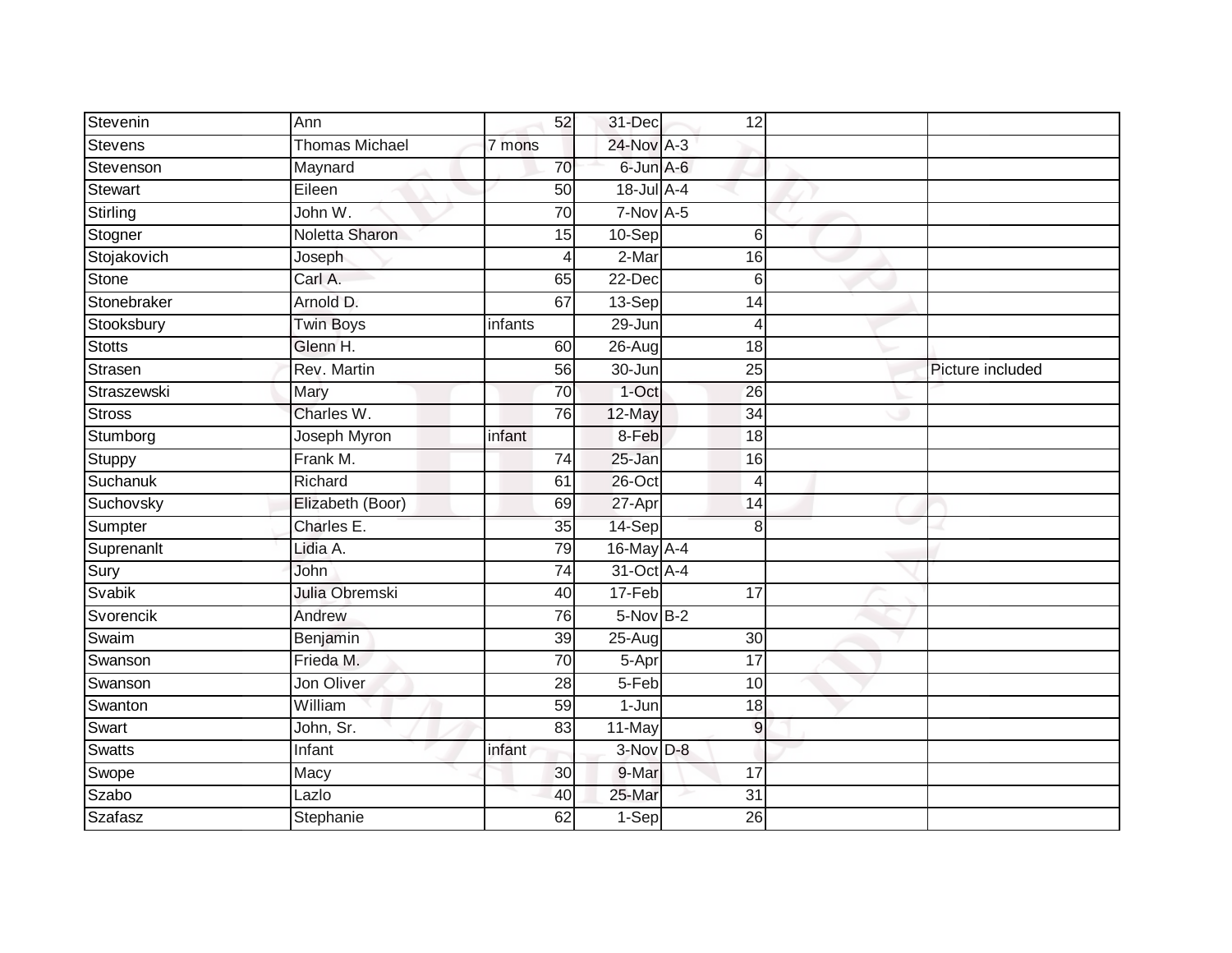| Stevenin       | Ann                   | 52              | 31-Dec        | 12              |                  |
|----------------|-----------------------|-----------------|---------------|-----------------|------------------|
| <b>Stevens</b> | <b>Thomas Michael</b> | 7 mons          | 24-Nov A-3    |                 |                  |
| Stevenson      | Maynard               | 70              | 6-Jun A-6     |                 |                  |
| <b>Stewart</b> | Eileen                | 50              | 18-Jul A-4    |                 |                  |
| Stirling       | John W.               | $\overline{70}$ | $7-Nov A-5$   |                 |                  |
| Stogner        | Noletta Sharon        | 15              | $10-Sep$      | $6 \,$          |                  |
| Stojakovich    | Joseph                |                 | 2-Mar         | 16              |                  |
| Stone          | Carl A.               | 65              | 22-Dec        | 6               |                  |
| Stonebraker    | Arnold D.             | 67              | $13-Sep$      | 14              |                  |
| Stooksbury     | <b>Twin Boys</b>      | infants         | 29-Jun        | $\overline{4}$  |                  |
| <b>Stotts</b>  | Glenn H.              | 60              | $26 - Aug$    | 18              |                  |
| Strasen        | Rev. Martin           | 56              | 30-Jun        | 25              | Picture included |
| Straszewski    | Mary                  | 70              | $1-Oct$       | 26              |                  |
| <b>Stross</b>  | Charles W.            | 76              | 12-May        | 34              |                  |
| Stumborg       | Joseph Myron          | infant          | 8-Feb         | $\overline{18}$ |                  |
| Stuppy         | Frank M.              | 74              | 25-Jan        | 16              |                  |
| Suchanuk       | Richard               | 61              | $26$ -Oct     | $\overline{4}$  |                  |
| Suchovsky      | Elizabeth (Boor)      | 69              | 27-Apr        | 14              |                  |
| Sumpter        | Charles E.            | 35              | 14-Sep        | 8               |                  |
| Suprenanlt     | Lidia A.              | 79              | 16-May A-4    |                 |                  |
| Sury           | John                  | 74              | 31-Oct A-4    |                 |                  |
| Svabik         | Julia Obremski        | 40              | 17-Feb        | $\overline{17}$ |                  |
| Svorencik      | Andrew                | 76              | $5-Nov$ B-2   |                 |                  |
| Swaim          | Benjamin              | $\overline{39}$ | 25-Aug        | 30              |                  |
| Swanson        | Frieda M.             | 70              | 5-Apr         | 17              |                  |
| Swanson        | Jon Oliver            | 28              | 5-Feb         | 10              |                  |
| Swanton        | William               | 59              | $1-Jun$       | 18              |                  |
| Swart          | John, Sr.             | 83              | 11-May        | 9               |                  |
| <b>Swatts</b>  | Infant                | infant          | $3-Nov$ $D-8$ |                 |                  |
| Swope          | Macy                  | 30              | 9-Mar         | 17              |                  |
| Szabo          | Lazlo                 | 40              | 25-Mar        | 31              |                  |
| Szafasz        | Stephanie             | 62              | $1-Sep$       | $\overline{26}$ |                  |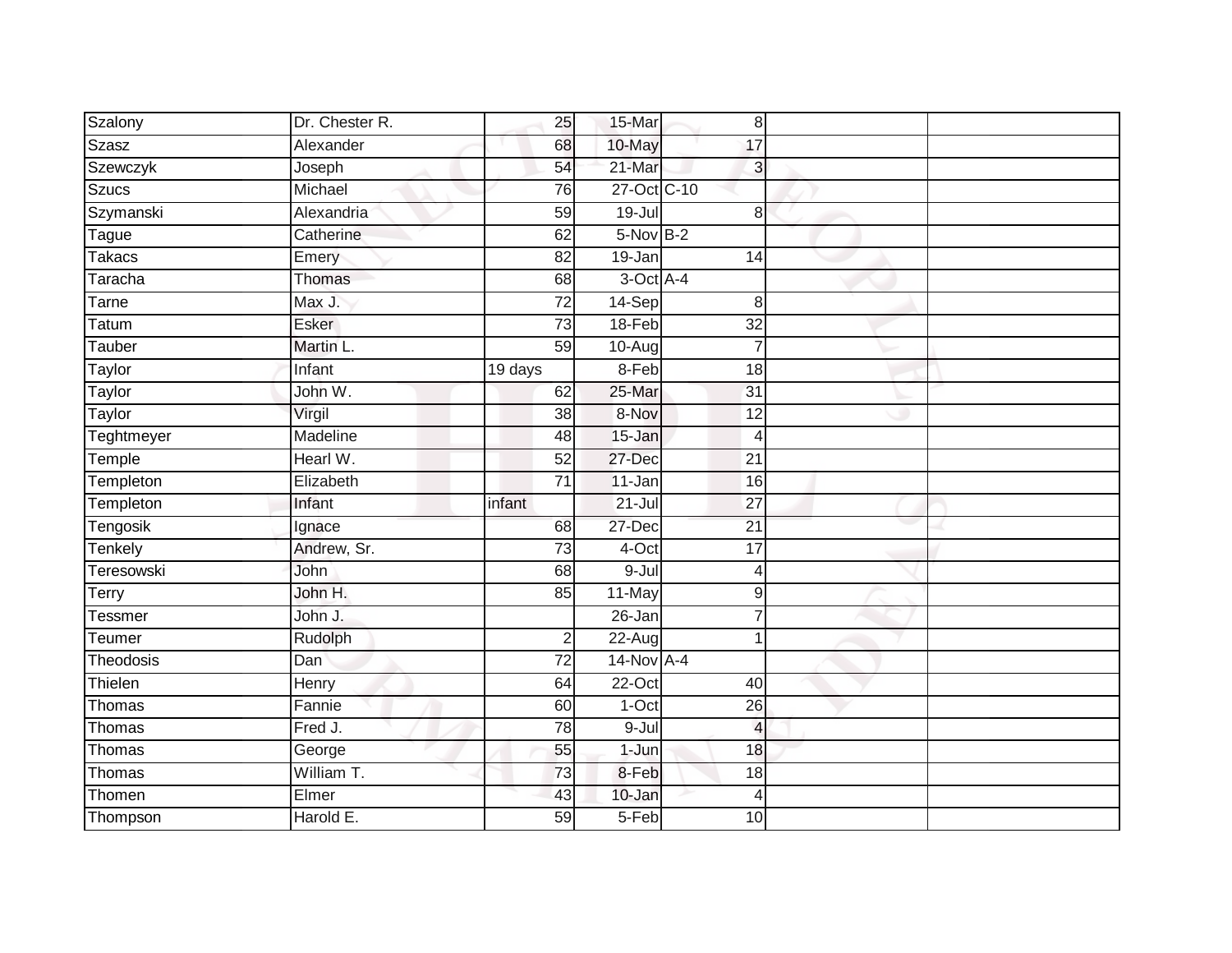| Szalony        | Dr. Chester R. | 25              | 15-Mar      | 8               |  |
|----------------|----------------|-----------------|-------------|-----------------|--|
| <b>Szasz</b>   | Alexander      | 68              | 10-May      | 17              |  |
| Szewczyk       | Joseph         | 54              | 21-Mar      | $\overline{3}$  |  |
| <b>Szucs</b>   | Michael        | 76              | 27-Oct C-10 |                 |  |
| Szymanski      | Alexandria     | 59              | $19 -$ Jul  | 8               |  |
| Tague          | Catherine      | 62              | 5-Nov B-2   |                 |  |
| <b>Takacs</b>  | Emery          | 82              | 19-Jan      | 14              |  |
| Taracha        | Thomas         | 68              | 3-Oct A-4   |                 |  |
| Tarne          | Max J.         | $\overline{72}$ | 14-Sep      | 8               |  |
| Tatum          | <b>Esker</b>   | $\overline{73}$ | 18-Feb      | $\overline{32}$ |  |
| Tauber         | Martin L.      | 59              | 10-Aug      | $\overline{7}$  |  |
| Taylor         | Infant         | 19 days         | $8-Feb$     | 18              |  |
| Taylor         | John W.        | 62              | 25-Mar      | $\overline{31}$ |  |
| Taylor         | Virgil         | 38              | 8-Nov       | 12              |  |
| Teghtmeyer     | Madeline       | 48              | 15-Jan      | 4               |  |
| Temple         | Hearl W.       | 52              | 27-Dec      | 21              |  |
| Templeton      | Elizabeth      | $\overline{71}$ | 11-Jan      | 16              |  |
| Templeton      | Infant         | infant          | $21 -$ Jul  | 27              |  |
| Tengosik       | Ignace         | 68              | 27-Dec      | 21              |  |
| Tenkely        | Andrew, Sr.    | 73              | $4$ -Oct    | $\overline{17}$ |  |
| Teresowski     | John           | 68              | $9 -$ Jul   | $\overline{4}$  |  |
| Terry          | John H.        | 85              | 11-May      | $9\,$           |  |
| <b>Tessmer</b> | John J.        |                 | 26-Jan      | 7               |  |
| Teumer         | Rudolph        | $\overline{2}$  | $22 - Aug$  | 1               |  |
| Theodosis      | Dan            | $\overline{72}$ | 14-Nov A-4  |                 |  |
| Thielen        | Henry          | 64              | $22-Oct$    | 40              |  |
| Thomas         | Fannie         | 60              | $1-Oct$     | $\overline{26}$ |  |
| Thomas         | Fred J.        | $\overline{78}$ | $9 -$ Jul   | $\overline{4}$  |  |
| Thomas         | George         | 55              | $1 - Jun$   | 18              |  |
| Thomas         | William T.     | 73              | 8-Feb       | 18              |  |
| Thomen         | Elmer          | 43              | 10-Jan      | 4               |  |
| Thompson       | Harold E.      | 59              | $5-Feb$     | 10              |  |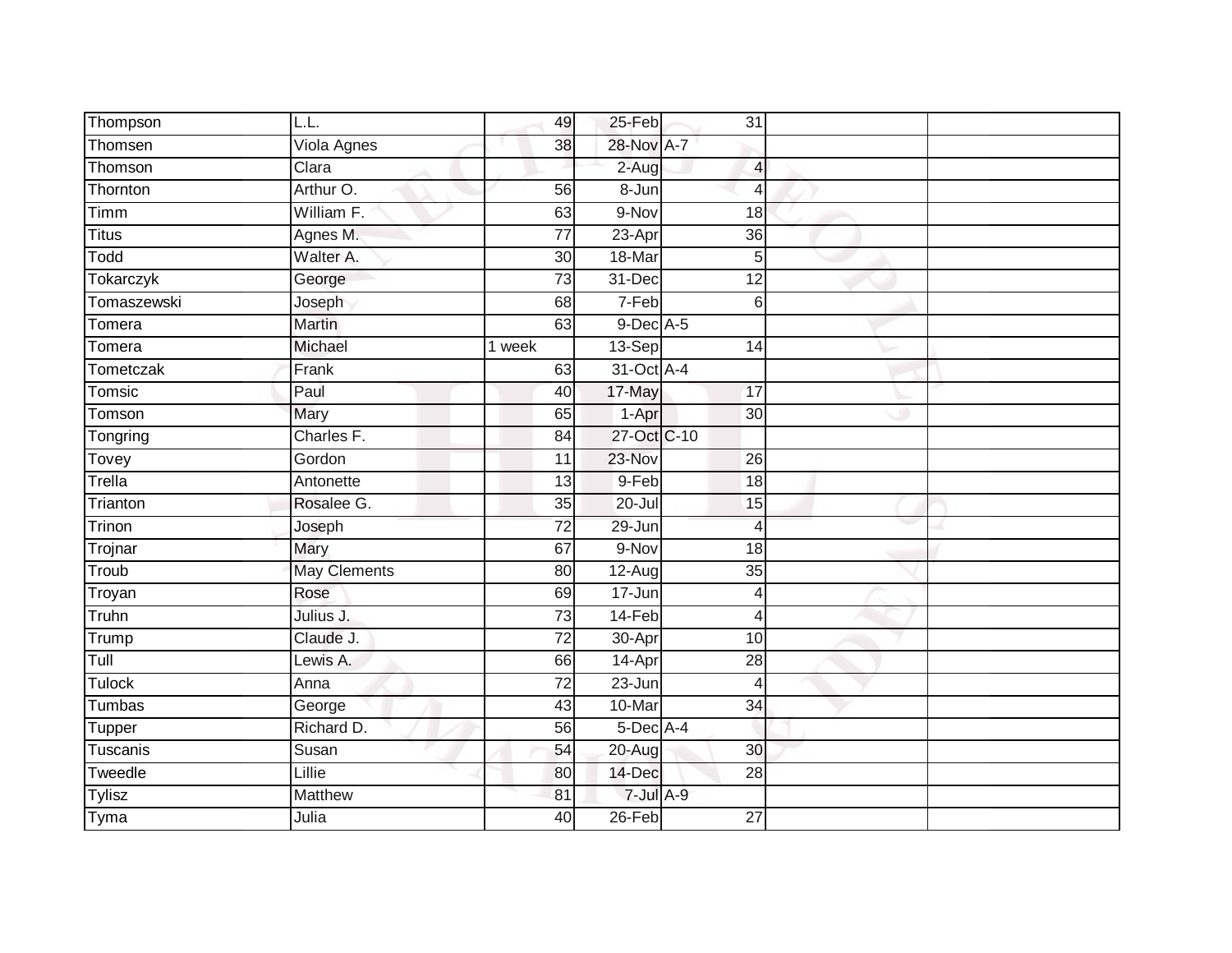| Thompson           | L.L.                | 49              | 25-Feb          | 31                       |  |
|--------------------|---------------------|-----------------|-----------------|--------------------------|--|
| Thomsen            | Viola Agnes         | 38              | 28-Nov A-7      |                          |  |
| Thomson            | Clara               |                 | 2-Aug           | $\overline{\mathcal{A}}$ |  |
| Thornton           | Arthur O.           | 56              | 8-Jun           | $\overline{4}$           |  |
| Timm               | William F.          | 63              | 9-Nov           | $\overline{18}$          |  |
| <b>Titus</b>       | Agnes M.            | $\overline{77}$ | 23-Apr          | 36                       |  |
| Todd               | Walter A.           | $\overline{30}$ | 18-Mar          | 5                        |  |
| <b>Tokarczyk</b>   | George              | 73              | 31-Dec          | $\overline{12}$          |  |
| <b>Tomaszewski</b> | Joseph              | 68              | $7-Feb$         | 6                        |  |
| Tomera             | Martin              | 63              | $9$ -Dec $A$ -5 |                          |  |
| Tomera             | Michael             | 1 week          | 13-Sep          | 14                       |  |
| Tometczak          | Frank               | 63              | 31-Oct A-4      |                          |  |
| Tomsic             | Paul                | 40              | 17-May          | 17                       |  |
| Tomson             | Mary                | 65              | 1-Apr           | 30                       |  |
| Tongring           | Charles F.          | 84              | 27-Oct C-10     |                          |  |
| Tovey              | Gordon              | 11              | 23-Nov          | 26                       |  |
| Trella             | Antonette           | $\overline{13}$ | 9-Feb           | $\overline{18}$          |  |
| Trianton           | Rosalee G.          | 35              | $20 -$ Jul      | 15                       |  |
| Trinon             | Joseph              | $\overline{72}$ | 29-Jun          | $\overline{4}$           |  |
| Trojnar            | Mary                | 67              | 9-Nov           | $\overline{18}$          |  |
| Troub              | <b>May Clements</b> | 80              | $12-Aug$        | 35                       |  |
| Troyan             | Rose                | 69              | 17-Jun          | $\overline{4}$           |  |
| Truhn              | Julius J.           | $\overline{73}$ | 14-Feb          | $\overline{4}$           |  |
| Trump              | Claude J.           | 72              | 30-Apr          | 10                       |  |
| Tull               | Lewis A.            | 66              | $14$ -Apr       | 28                       |  |
| <b>Tulock</b>      | Anna                | 72              | 23-Jun          | $\overline{4}$           |  |
| <b>Tumbas</b>      | George              | 43              | 10-Mar          | $\overline{34}$          |  |
| Tupper             | Richard D.          | 56              | 5-Dec A-4       |                          |  |
| Tuscanis           | Susan               | 54              | 20-Aug          | 30                       |  |
| Tweedle            | Lillie              | 80              | 14-Dec          | 28                       |  |
| <b>Tylisz</b>      | Matthew             | 81              | 7-Jul A-9       |                          |  |
| Tyma               | Julia               | 40              | $26$ -Feb       | $\overline{27}$          |  |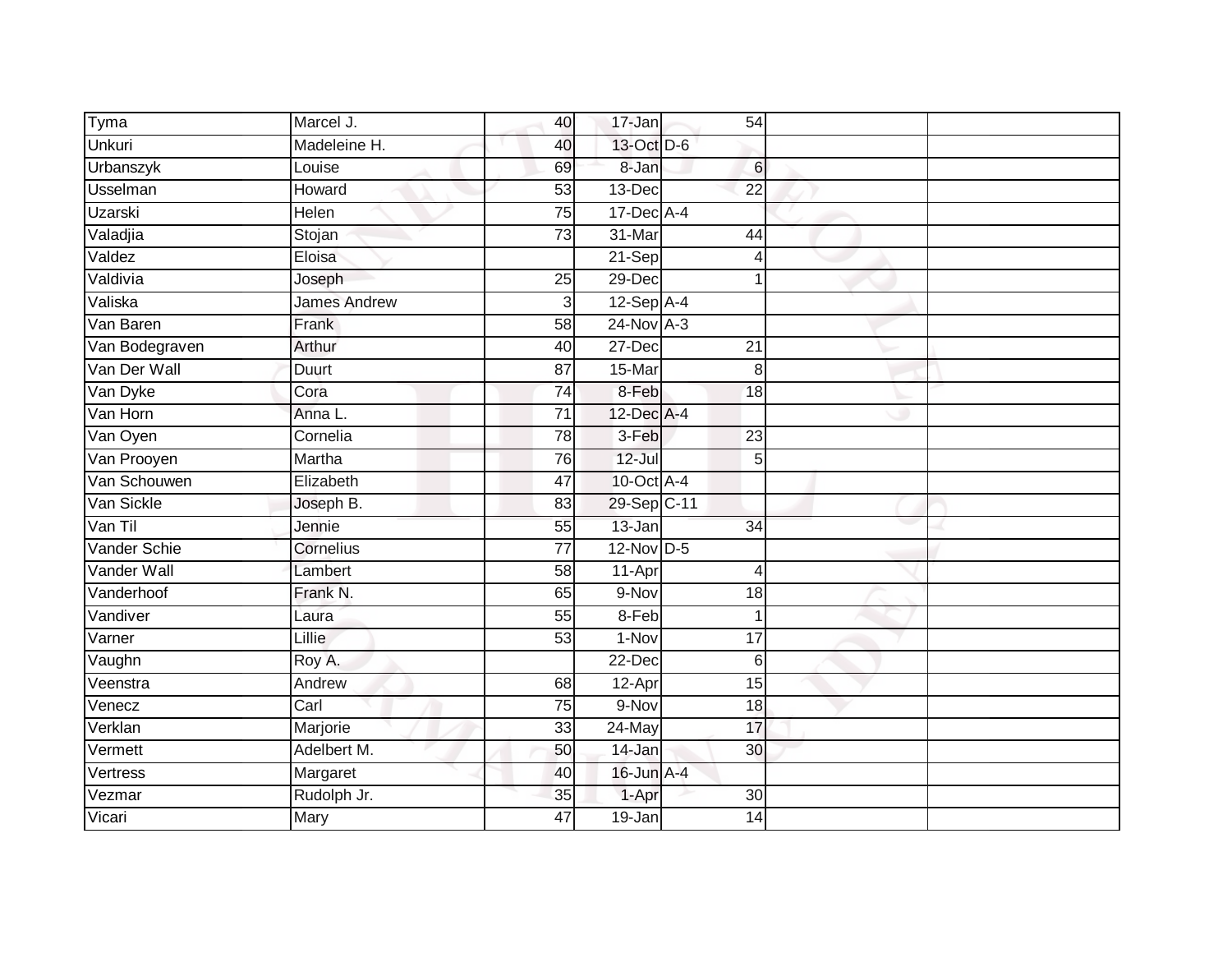| Tyma           | Marcel J.           | 40              | 17-Jan          | 54              |  |
|----------------|---------------------|-----------------|-----------------|-----------------|--|
| <b>Unkuri</b>  | Madeleine H.        | 40              | 13-Oct D-6      |                 |  |
| Urbanszyk      | Louise              | 69              | 8-Jan           | 6               |  |
| Usselman       | Howard              | 53              | 13-Dec          | 22              |  |
| <b>Uzarski</b> | <b>Helen</b>        | $\overline{75}$ | 17-Dec A-4      |                 |  |
| Valadjia       | Stojan              | $\overline{73}$ | 31-Mar          | 44              |  |
| Valdez         | Eloisa              |                 | 21-Sep          | 4               |  |
| Valdivia       | Joseph              | $\overline{25}$ | 29-Dec          |                 |  |
| Valiska        | <b>James Andrew</b> | 3               | $12-Sep$ A-4    |                 |  |
| Van Baren      | Frank               | 58              | $24$ -Nov $A-3$ |                 |  |
| Van Bodegraven | Arthur              | 40              | $27 - Dec$      | 21              |  |
| Van Der Wall   | Duurt               | 87              | 15-Mar          | 8               |  |
| Van Dyke       | Cora                | 74              | 8-Feb           | 18              |  |
| Van Horn       | Anna L.             | 71              | 12-Dec A-4      |                 |  |
| Van Oyen       | Cornelia            | 78              | 3-Feb           | $\overline{23}$ |  |
| Van Prooyen    | Martha              | 76              | $12 -$ Jul      | 5               |  |
| Van Schouwen   | Elizabeth           | 47              | 10-Oct A-4      |                 |  |
| Van Sickle     | Joseph B.           | 83              | 29-Sep C-11     |                 |  |
| Van Til        | Jennie              | 55              | 13-Jan          | 34              |  |
| Vander Schie   | Cornelius           | $\overline{77}$ | 12-Nov D-5      |                 |  |
| Vander Wall    | Lambert             | 58              | 11-Apr          | $\overline{4}$  |  |
| Vanderhoof     | Frank N.            | 65              | 9-Nov           | 18              |  |
| Vandiver       | Laura               | 55              | 8-Feb           | $\overline{1}$  |  |
| Varner         | Lillie              | 53              | 1-Nov           | 17              |  |
| Vaughn         | Roy A.              |                 | 22-Dec          | 6               |  |
| Veenstra       | Andrew              | 68              | 12-Apr          | 15              |  |
| Venecz         | Carl                | $\overline{75}$ | 9-Nov           | 18              |  |
| Verklan        | Marjorie            | 33              | 24-May          | 17              |  |
| Vermett        | Adelbert M.         | 50              | 14-Jan          | 30              |  |
| Vertress       | Margaret            | 40              | $16$ -Jun $A-4$ |                 |  |
| Vezmar         | Rudolph Jr.         | 35              | 1-Apr           | 30              |  |
| Vicari         | <b>Mary</b>         | 47              | $19 - Jan$      | 14              |  |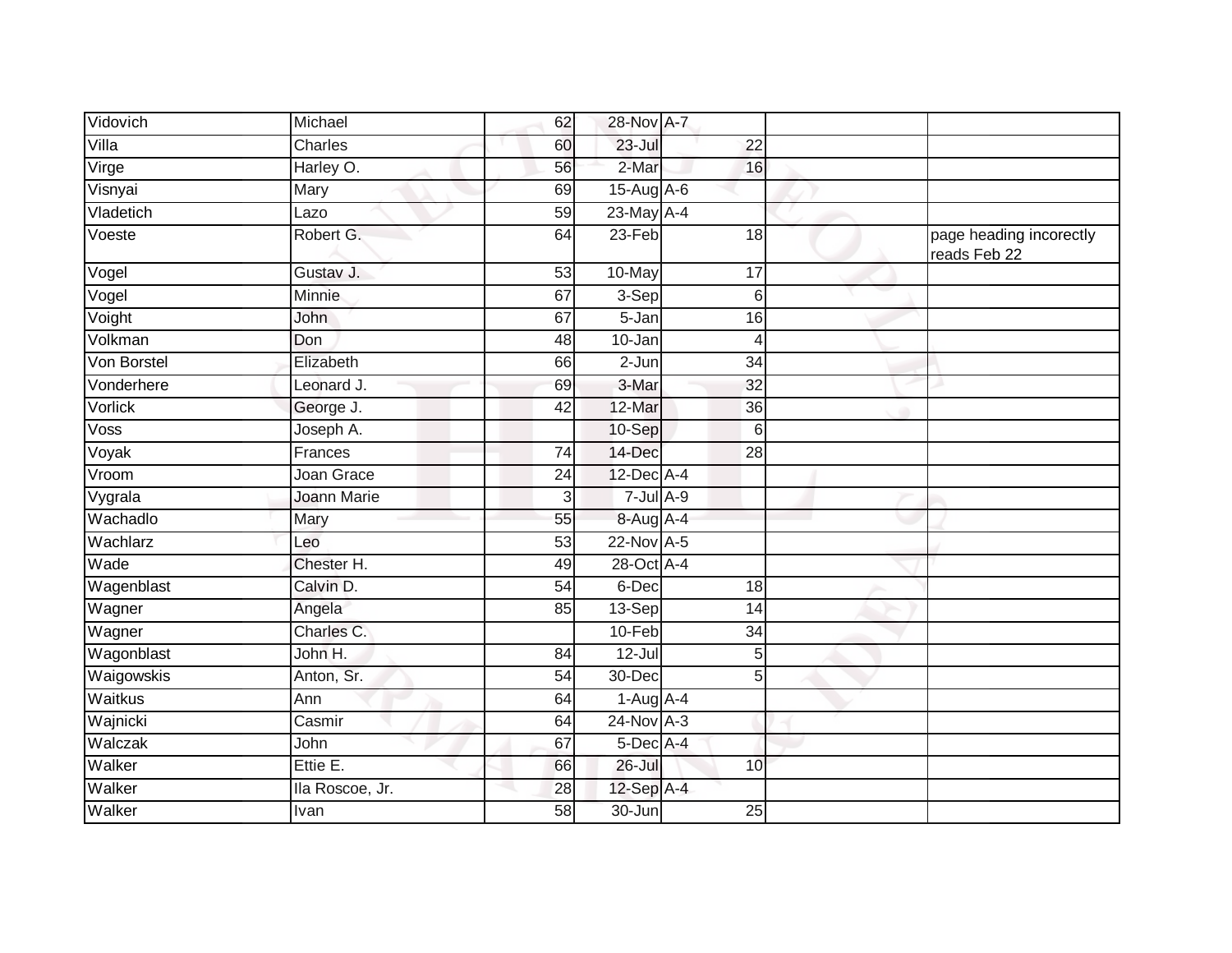| Vidovich    | Michael         | 62              | 28-Nov A-7      |                 |                                         |
|-------------|-----------------|-----------------|-----------------|-----------------|-----------------------------------------|
| Villa       | <b>Charles</b>  | 60              | $23 -$ Jul      | $\overline{22}$ |                                         |
| Virge       | Harley O.       | 56              | 2-Mar           | 16              |                                         |
| Visnyai     | Mary            | 69              | $15-Aug$ A-6    |                 |                                         |
| Vladetich   | Lazo            | 59              | 23-May A-4      |                 |                                         |
| Voeste      | Robert G.       | 64              | 23-Feb          | 18              | page heading incorectly<br>reads Feb 22 |
| Vogel       | Gustav J.       | $\overline{53}$ | 10-May          | $\overline{17}$ |                                         |
| Vogel       | <b>Minnie</b>   | 67              | 3-Sep           | 6               |                                         |
| Voight      | John            | 67              | 5-Jan           | 16              |                                         |
| Volkman     | Don             | 48              | $10 - Jan$      | $\overline{4}$  |                                         |
| Von Borstel | Elizabeth       | 66              | 2-Jun           | 34              |                                         |
| Vonderhere  | Leonard J.      | 69              | 3-Mar           | 32              |                                         |
| Vorlick     | George J.       | 42              | 12-Mar          | 36              |                                         |
| Voss        | Joseph A.       |                 | 10-Sep          | 6               |                                         |
| Voyak       | Frances         | $\overline{74}$ | 14-Dec          | $\overline{28}$ |                                         |
| Vroom       | Joan Grace      | 24              | 12-Dec A-4      |                 |                                         |
| Vygrala     | Joann Marie     | 3               | $7$ -Jul $A-9$  |                 |                                         |
| Wachadlo    | Mary            | 55              | 8-Aug A-4       |                 |                                         |
| Wachlarz    | Leo             | 53              | 22-Nov A-5      |                 |                                         |
| Wade        | Chester H.      | 49              | 28-Oct A-4      |                 |                                         |
| Wagenblast  | Calvin D.       | 54              | 6-Dec           | 18              |                                         |
| Wagner      | Angela          | 85              | 13-Sep          | 14              |                                         |
| Wagner      | Charles C.      |                 | $10-Feb$        | $\overline{34}$ |                                         |
| Wagonblast  | John H.         | 84              | $12 -$ Jul      | 5               |                                         |
| Waigowskis  | Anton, Sr.      | $\overline{54}$ | 30-Dec          | 5               |                                         |
| Waitkus     | Ann             | 64              | $1-Aug$ $A-4$   |                 |                                         |
| Wajnicki    | Casmir          | 64              | $24$ -Nov $A-3$ |                 |                                         |
| Walczak     | John            | 67              | $5$ -Dec $A$ -4 |                 |                                         |
| Walker      | Ettie E.        | 66              | $26 -$ Jul      | 10              |                                         |
| Walker      | lla Roscoe, Jr. | 28              | $12$ -Sep $A-4$ |                 |                                         |
| Walker      | Ivan            | 58              | 30-Jun          | 25              |                                         |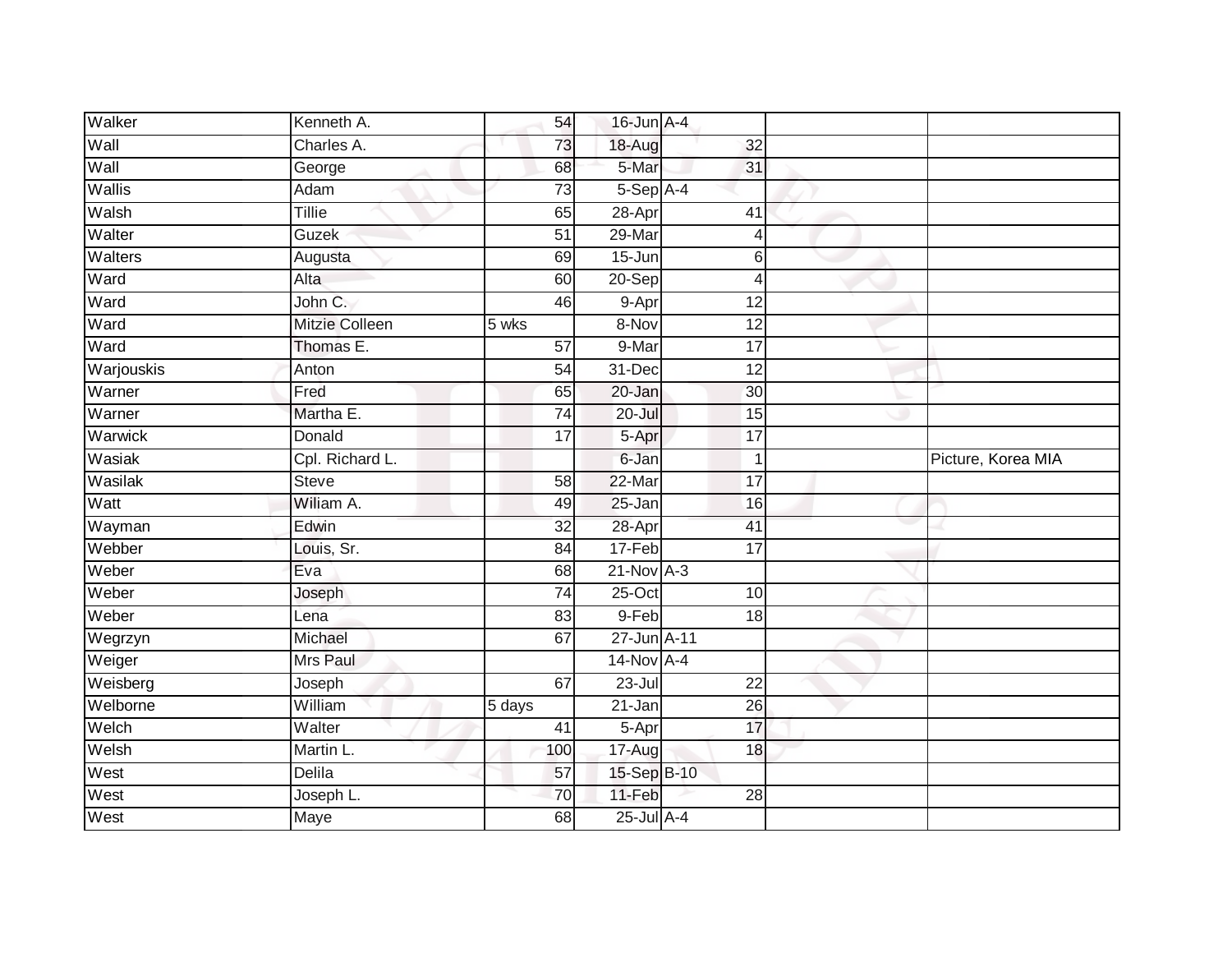| Walker     | Kenneth A.            | 54                 | 16-Jun A-4   |                 |                    |
|------------|-----------------------|--------------------|--------------|-----------------|--------------------|
| Wall       | Charles A.            | 73                 | 18-Aug       | 32              |                    |
| Wall       | George                | 68                 | 5-Mar        | 31              |                    |
| Wallis     | Adam                  | 73                 | $5-Sep$ A-4  |                 |                    |
| Walsh      | Tillie                | 65                 | 28-Apr       | 41              |                    |
| Walter     | Guzek                 | $\overline{51}$    | 29-Mar       | $\overline{4}$  |                    |
| Walters    | Augusta               | 69                 | $15 - Jun$   | 6               |                    |
| Ward       | Alta                  | 60                 | $20-Sep$     | $\overline{4}$  |                    |
| Ward       | John C.               | 46                 | 9-Apr        | $\overline{12}$ |                    |
| Ward       | <b>Mitzie Colleen</b> | $\overline{5}$ wks | 8-Nov        | 12              |                    |
| Ward       | Thomas E.             | 57                 | 9-Mar        | $\overline{17}$ |                    |
| Warjouskis | Anton                 | 54                 | 31-Dec       | 12              |                    |
| Warner     | Fred                  | 65                 | 20-Jan       | 30              |                    |
| Warner     | Martha E.             | 74                 | $20 -$ Jul   | 15              |                    |
| Warwick    | Donald                | $\overline{17}$    | 5-Apr        | 17              |                    |
| Wasiak     | Cpl. Richard L.       |                    | 6-Jan        | $\mathbf 1$     | Picture, Korea MIA |
| Wasilak    | <b>Steve</b>          | $\overline{58}$    | 22-Mar       | 17              |                    |
| Watt       | Wiliam A.             | 49                 | 25-Jan       | 16              |                    |
| Wayman     | Edwin                 | 32                 | 28-Apr       | 41              |                    |
| Webber     | Louis, Sr.            | $\overline{84}$    | $17-Feb$     | $\overline{17}$ |                    |
| Weber      | Eva                   | 68                 | $21-Nov$ A-3 |                 |                    |
| Weber      | Joseph                | 74                 | $25$ -Oct    | 10              |                    |
| Weber      | Lena                  | 83                 | 9-Feb        | 18              |                    |
| Wegrzyn    | Michael               | 67                 | 27-Jun A-11  |                 |                    |
| Weiger     | Mrs Paul              |                    | 14-Nov A-4   |                 |                    |
| Weisberg   | Joseph                | 67                 | $23 -$ Jul   | 22              |                    |
| Welborne   | William               | 5 days             | $21 - Jan$   | $\overline{26}$ |                    |
| Welch      | Walter                | 41                 | 5-Apr        | 17              |                    |
| Welsh      | Martin L.             | 100                | 17-Aug       | 18              |                    |
| West       | <b>Delila</b>         | 57                 | 15-Sep B-10  |                 |                    |
| West       | Joseph L.             | 70                 | 11-Feb       | 28              |                    |
| West       | Maye                  | 68                 | 25-Jul A-4   |                 |                    |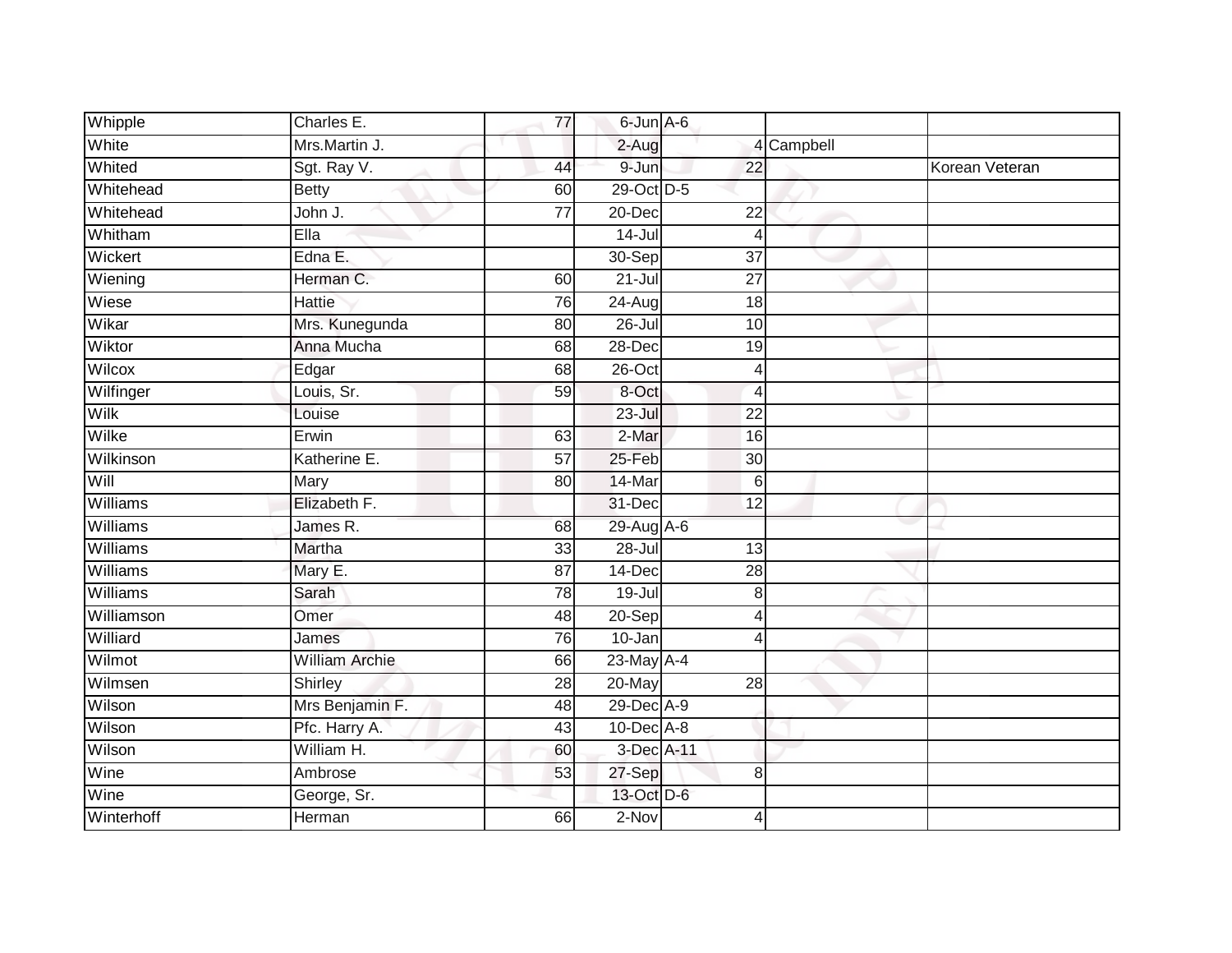| Whipple    | Charles E.            | 77              | 6-Jun A-6       |                 |            |                |
|------------|-----------------------|-----------------|-----------------|-----------------|------------|----------------|
| White      | Mrs.Martin J.         |                 | $2-Aug$         |                 | 4 Campbell |                |
| Whited     | Sgt. Ray V.           | 44              | 9-Jun           | $\overline{22}$ |            | Korean Veteran |
| Whitehead  | <b>Betty</b>          | 60              | 29-Oct D-5      |                 |            |                |
| Whitehead  | John J.               | $\overline{77}$ | 20-Dec          | $\overline{22}$ |            |                |
| Whitham    | Ella                  |                 | 14-Jul          | 4               |            |                |
| Wickert    | Edna E.               |                 | 30-Sep          | $\overline{37}$ |            |                |
| Wiening    | Herman C.             | 60              | $21 -$ Jul      | 27              |            |                |
| Wiese      | <b>Hattie</b>         | 76              | 24-Aug          | 18              |            |                |
| Wikar      | Mrs. Kunegunda        | 80              | $26$ -Jul       | 10              |            |                |
| Wiktor     | Anna Mucha            | 68              | $28$ -Dec       | 19              |            |                |
| Wilcox     | Edgar                 | 68              | $26$ -Oct       | 4               |            |                |
| Wilfinger  | Louis, Sr.            | 59              | 8-Oct           | $\overline{4}$  |            |                |
| Wilk       | Louise                |                 | $23 -$ Jul      | 22              |            |                |
| Wilke      | Erwin                 | 63              | $2-Mar$         | 16              |            |                |
| Wilkinson  | Katherine E.          | 57              | 25-Feb          | 30              |            |                |
| Will       | Mary                  | 80              | 14-Mar          | 6               |            |                |
| Williams   | Elizabeth F.          |                 | 31-Dec          | 12              |            |                |
| Williams   | James R.              | 68              | 29-Aug A-6      |                 |            |                |
| Williams   | Martha                | 33              | $28 -$ Jul      | $\overline{13}$ |            |                |
| Williams   | Mary E.               | 87              | 14-Dec          | 28              |            |                |
| Williams   | Sarah                 | 78              | $19 -$ Jul      | 8               |            |                |
| Williamson | Omer                  | 48              | $20-Sep$        | Δ               |            |                |
| Williard   | James                 | 76              | 10-Jan          | Δ               |            |                |
| Wilmot     | <b>William Archie</b> | 66              | $23$ -May $A-4$ |                 |            |                |
| Wilmsen    | Shirley               | $\overline{28}$ | 20-May          | 28              |            |                |
| Wilson     | Mrs Benjamin F.       | 48              | 29-Dec A-9      |                 |            |                |
| Wilson     | Pfc. Harry A.         | 43              | $10$ -Dec $A-8$ |                 |            |                |
| Wilson     | William H.            | 60              | 3-Dec A-11      |                 |            |                |
| Wine       | Ambrose               | 53              | 27-Sep          | 8               |            |                |
| Wine       | George, Sr.           |                 | 13-Oct D-6      |                 |            |                |
| Winterhoff | Herman                | 66              | 2-Nov           | 4               |            |                |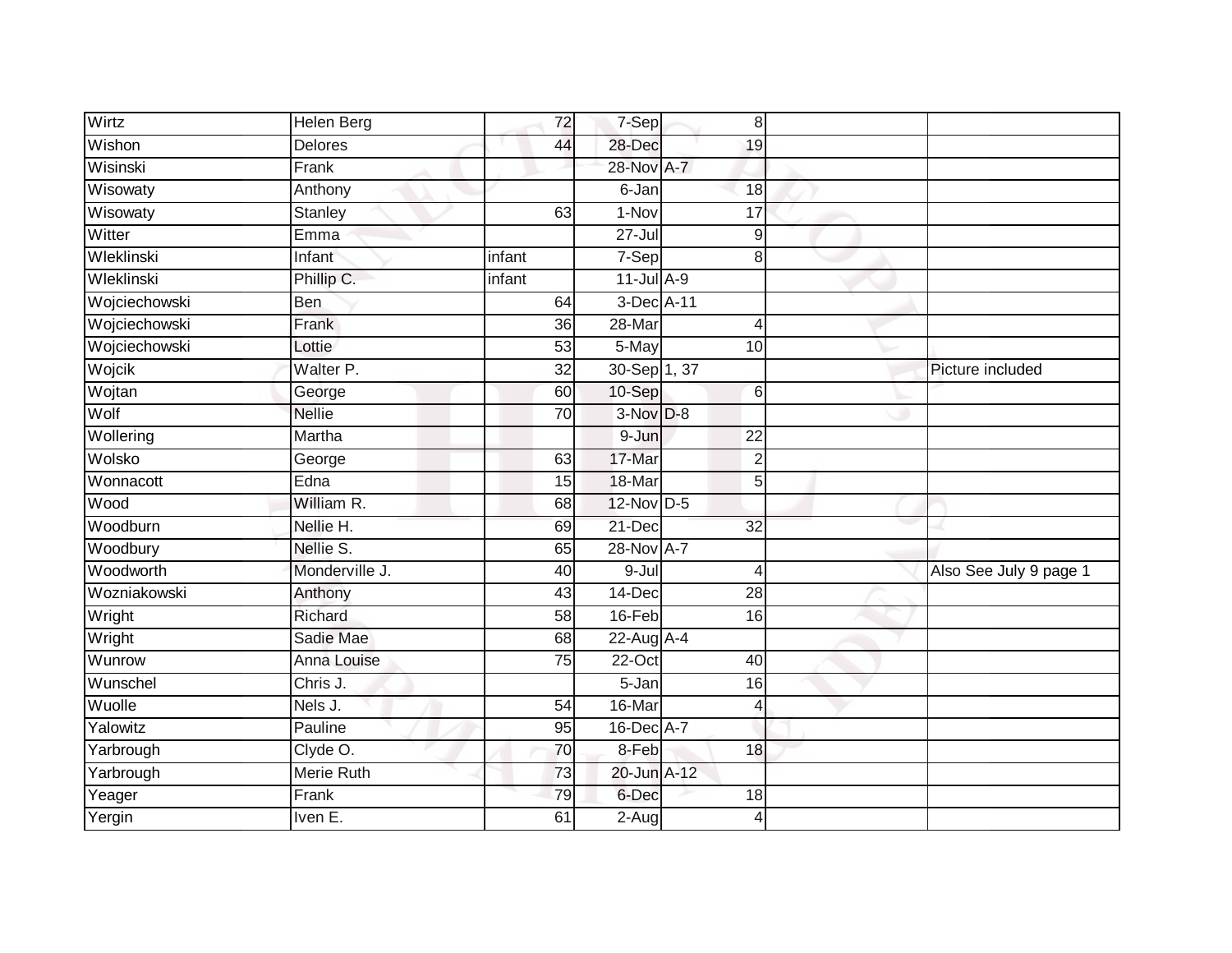| Wirtz         | Helen Berg        | 72              | $7-Sep$          | 8               |                        |
|---------------|-------------------|-----------------|------------------|-----------------|------------------------|
| Wishon        | <b>Delores</b>    | 44              | 28-Dec           | 19              |                        |
| Wisinski      | Frank             |                 | 28-Nov A-7       |                 |                        |
| Wisowaty      | Anthony           |                 | 6-Jan            | 18              |                        |
| Wisowaty      | Stanley           | 63              | $1-Nov$          | 17              |                        |
| Witter        | Emma              |                 | $27 -$ Jul       | 9               |                        |
| Wleklinski    | Infant            | infant          | $7-$ Sep         | 8               |                        |
| Wleklinski    | Phillip C.        | infant          | $11$ -Jul $A-9$  |                 |                        |
| Wojciechowski | Ben               | 64              | 3-Dec A-11       |                 |                        |
| Wojciechowski | Frank             | 36              | 28-Mar           | $\overline{4}$  |                        |
| Wojciechowski | Lottie            | 53              | 5-May            | 10              |                        |
| Wojcik        | Walter P.         | 32              | 30-Sep 1, 37     |                 | Picture included       |
| Wojtan        | George            | 60              | 10-Sep           | $6\phantom{1}6$ |                        |
| Wolf          | <b>Nellie</b>     | 70              | $3-Nov$ $D-8$    |                 |                        |
| Wollering     | Martha            |                 | 9-Jun            | $\overline{22}$ |                        |
| Wolsko        | George            | 63              | 17-Mar           | $\overline{2}$  |                        |
| Wonnacott     | Edna              | $\overline{15}$ | 18-Mar           | 5               |                        |
| Wood          | William R.        | 68              | $12$ -Nov $D-5$  |                 |                        |
| Woodburn      | Nellie H.         | 69              | 21-Dec           | $\overline{32}$ |                        |
| Woodbury      | Nellie S.         | 65              | 28-Nov A-7       |                 |                        |
| Woodworth     | Monderville J.    | 40              | $9 -$ Jul        | $\overline{4}$  | Also See July 9 page 1 |
| Wozniakowski  | Anthony           | 43              | 14-Dec           | 28              |                        |
| Wright        | Richard           | 58              | $16-Feb$         | 16              |                        |
| Wright        | Sadie Mae         | 68              | $22$ -Aug $A-4$  |                 |                        |
| Wunrow        | Anna Louise       | 75              | 22-Oct           | 40              |                        |
| Wunschel      | Chris J.          |                 | $5 - Jan$        | 16              |                        |
| Wuolle        | Nels J.           | $\overline{54}$ | 16-Mar           | $\overline{4}$  |                        |
| Yalowitz      | Pauline           | 95              | $16$ -Dec $A$ -7 |                 |                        |
| Yarbrough     | Clyde O.          | 70              | 8-Feb            | 18              |                        |
| Yarbrough     | <b>Merie Ruth</b> | 73              | 20-Jun A-12      |                 |                        |
| Yeager        | Frank             | 79              | 6-Dec            | 18              |                        |
| Yergin        | Iven E.           | 61              | $2-Aug$          | $\overline{4}$  |                        |